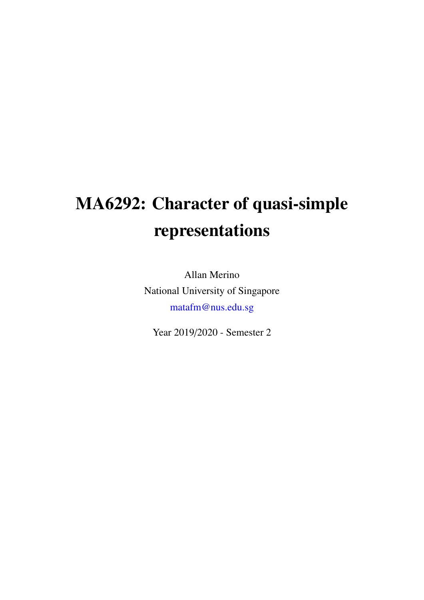# MA6292: Character of quasi-simple representations

Allan Merino National University of Singapore matafm@nus.edu.sg

Year 2019/2020 - Semester 2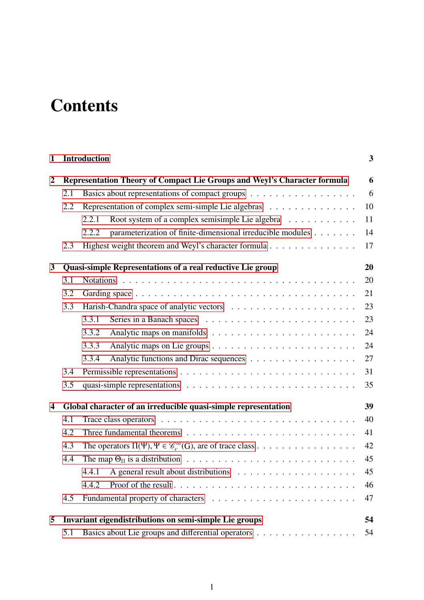# **Contents**

| $\mathbf{1}$   | <b>Introduction</b>                                          |                                                                                             |        |  |  |
|----------------|--------------------------------------------------------------|---------------------------------------------------------------------------------------------|--------|--|--|
| $\overline{2}$ |                                                              | Representation Theory of Compact Lie Groups and Weyl's Character formula                    | 6      |  |  |
|                | 2.1                                                          |                                                                                             | 6      |  |  |
|                | 2.2                                                          | Representation of complex semi-simple Lie algebras                                          | 10     |  |  |
|                |                                                              | Root system of a complex semisimple Lie algebra<br>2.2.1                                    | 11     |  |  |
|                |                                                              | parameterization of finite-dimensional irreducible modules<br>2.2.2                         | 14     |  |  |
|                | 2.3                                                          | Highest weight theorem and Weyl's character formula                                         | 17     |  |  |
| 3              | Quasi-simple Representations of a real reductive Lie group   |                                                                                             |        |  |  |
|                | 3.1                                                          |                                                                                             | 20     |  |  |
|                | 3.2                                                          |                                                                                             | 21     |  |  |
|                | 3.3                                                          |                                                                                             | 23     |  |  |
|                |                                                              | 3.3.1                                                                                       | 23     |  |  |
|                |                                                              | 3.3.2                                                                                       | 24     |  |  |
|                |                                                              | 3.3.3                                                                                       | 24     |  |  |
|                |                                                              | 3.3.4                                                                                       | 27     |  |  |
|                | 3.4                                                          |                                                                                             | 31     |  |  |
|                | 3.5                                                          |                                                                                             |        |  |  |
| 4              |                                                              | Global character of an irreducible quasi-simple representation                              | 39     |  |  |
|                | 4.1                                                          |                                                                                             | 40     |  |  |
|                | 4.2                                                          | 41                                                                                          |        |  |  |
|                | 4.3                                                          | 42<br>The operators $\Pi(\Psi)$ , $\Psi \in \mathcal{C}_c^{\infty}(G)$ , are of trace class |        |  |  |
|                | 4.4                                                          |                                                                                             |        |  |  |
|                |                                                              | 4.4.1                                                                                       | $45\,$ |  |  |
|                |                                                              | 4.4.2                                                                                       | 46     |  |  |
|                | 4.5                                                          |                                                                                             | 47     |  |  |
| 5              | Invariant eigendistributions on semi-simple Lie groups<br>54 |                                                                                             |        |  |  |
|                | 5.1                                                          | Basics about Lie groups and differential operators                                          | 54     |  |  |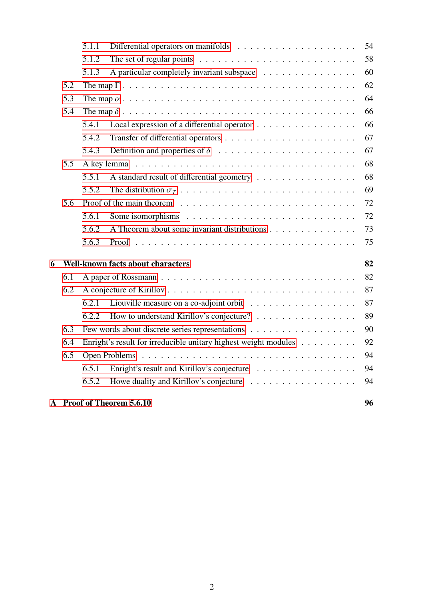|   |                                          |       | A Proof of Theorem 5.6.10                                                           | 96 |  |  |
|---|------------------------------------------|-------|-------------------------------------------------------------------------------------|----|--|--|
|   |                                          | 6.5.2 |                                                                                     | 94 |  |  |
|   |                                          | 6.5.1 | Enright's result and Kirillov's conjecture                                          | 94 |  |  |
|   | 6.5                                      |       |                                                                                     | 94 |  |  |
|   | 6.4                                      |       | Enright's result for irreducible unitary highest weight modules                     | 92 |  |  |
|   | 6.3                                      |       |                                                                                     |    |  |  |
|   |                                          | 6.2.2 | How to understand Kirillov's conjecture?                                            | 89 |  |  |
|   |                                          | 6.2.1 |                                                                                     | 87 |  |  |
|   | 6.2                                      |       |                                                                                     | 87 |  |  |
|   | 6.1                                      |       |                                                                                     |    |  |  |
| 6 | <b>Well-known facts about characters</b> |       |                                                                                     |    |  |  |
|   |                                          | 5.6.3 |                                                                                     | 75 |  |  |
|   |                                          | 5.6.2 | A Theorem about some invariant distributions                                        | 73 |  |  |
|   |                                          | 5.6.1 |                                                                                     | 72 |  |  |
|   | 5.6                                      |       |                                                                                     | 72 |  |  |
|   |                                          | 5.5.2 |                                                                                     | 69 |  |  |
|   |                                          | 5.5.1 | A standard result of differential geometry                                          | 68 |  |  |
|   | 5.5                                      |       |                                                                                     | 68 |  |  |
|   |                                          | 5.4.3 |                                                                                     | 67 |  |  |
|   |                                          | 5.4.2 |                                                                                     | 67 |  |  |
|   |                                          | 5.4.1 | Local expression of a differential operator                                         | 66 |  |  |
|   | 5.4                                      |       |                                                                                     |    |  |  |
|   | 5.3                                      |       |                                                                                     | 64 |  |  |
|   | 5.2                                      |       |                                                                                     | 62 |  |  |
|   |                                          | 5.1.3 | A particular completely invariant subspace                                          | 60 |  |  |
|   |                                          | 5.1.2 | The set of regular points $\ldots \ldots \ldots \ldots \ldots \ldots \ldots \ldots$ | 58 |  |  |
|   |                                          | 5.1.1 |                                                                                     | 54 |  |  |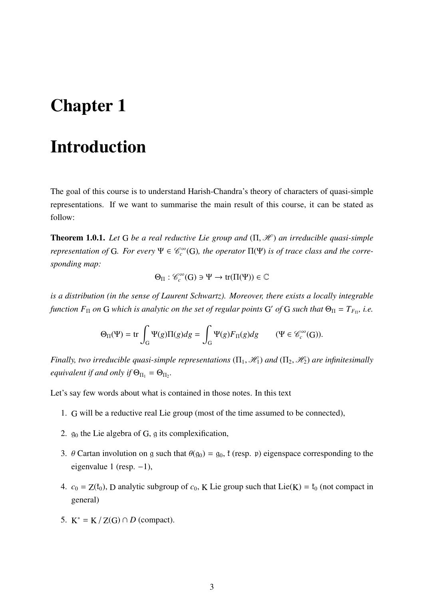# <span id="page-3-0"></span>Chapter 1

# Introduction

The goal of this course is to understand Harish-Chandra's theory of characters of quasi-simple representations. If we want to summarise the main result of this course, it can be stated as follow:

Theorem 1.0.1. *Let* <sup>G</sup> *be a real reductive Lie group and* (Π, <sup>H</sup> ) *an irreducible quasi-simple representation of* G. For every  $\Psi \in \mathcal{C}_c^{\infty}(G)$ , the operator  $\Pi(\Psi)$  *is of trace class and the corresponding map:*

$$
\Theta_{\Pi}:\mathscr{C}_{c}^{\infty}(G)\ni\Psi\rightarrow\text{tr}(\Pi(\Psi))\in\mathbb{C}
$$

*is a distribution (in the sense of Laurent Schwartz). Moreover, there exists a locally integrable function*  $F_{\Pi}$  *on* G *which is analytic on the set of regular points* G' *of* G *such that*  $\Theta_{\Pi} = T_{F_{\Pi}}$ *, i.e.* 

$$
\Theta_{\Pi}(\Psi) = \text{tr} \int_{G} \Psi(g) \Pi(g) dg = \int_{G} \Psi(g) F_{\Pi}(g) dg \qquad (\Psi \in \mathcal{C}_c^{\infty}(G)).
$$

*Finally, two irreducible quasi-simple representations*  $(\Pi_1, \mathcal{H}_1)$  *and*  $(\Pi_2, \mathcal{H}_2)$  *are infinitesimally equivalent if and only if*  $\Theta_{\Pi_1} = \Theta_{\Pi_2}$ .

Let's say few words about what is contained in those notes. In this text

- 1. G will be a reductive real Lie group (most of the time assumed to be connected),
- 2.  $g_0$  the Lie algebra of G, g its complexification,
- 3. θ Cartan involution on g such that  $\theta(g_0) = g_0$ ,  $f$  (resp. p) eigenspace corresponding to the eigenvalue 1 (resp.  $-1$ ),
- 4.  $c_0 = Z(f_0)$ , D analytic subgroup of  $c_0$ , K Lie group such that Lie(K) =  $f_0$  (not compact in general)
- 5.  $K^* = K / Z(G) \cap D$  (compact).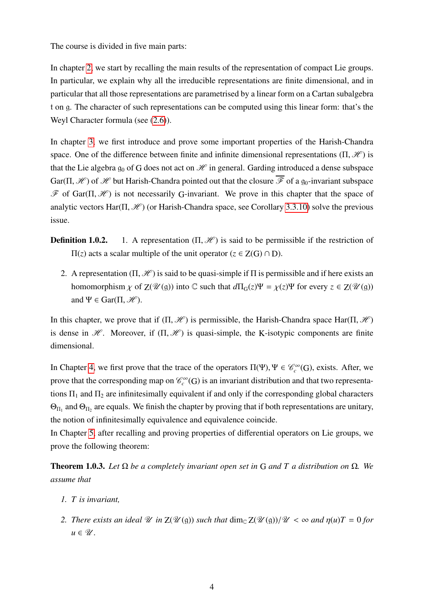The course is divided in five main parts:

In chapter [2,](#page-6-0) we start by recalling the main results of the representation of compact Lie groups. In particular, we explain why all the irreducible representations are finite dimensional, and in particular that all those representations are parametrised by a linear form on a Cartan subalgebra t on g. The character of such representations can be computed using this linear form: that's the Weyl Character formula (see [\(2.6\)](#page-19-0)).

In chapter [3,](#page-20-0) we first introduce and prove some important properties of the Harish-Chandra space. One of the difference between finite and infinite dimensional representations  $(\Pi, \mathcal{H})$  is that the Lie algebra  $q_0$  of G does not act on  $\mathcal H$  in general. Garding introduced a dense subspace Gar( $\Pi$ , H  $\mathcal{H}$ ) of H but Harish-Chandra pointed out that the closure  $\overline{\mathcal{F}}$  of a  $g_0$ -invariant subspace  $\mathscr F$  of Gar( $\Pi, \mathscr H$ ) is not necessarily G-invariant. We prove in this chapter that the space of analytic vectors Har( $\Pi$ ,  $\mathcal{H}$ ) (or Harish-Chandra space, see Corollary [3.3.10\)](#page-25-0) solve the previous issue.

- **Definition 1.0.2.** 1. A representation  $(\Pi, \mathcal{H})$  is said to be permissible if the restriction of  $\Pi(z)$  acts a scalar multiple of the unit operator ( $z \in Z(G) \cap D$ ).
	- 2. A representation  $(\Pi, \mathcal{H})$  is said to be quasi-simple if  $\Pi$  is permissible and if here exists an homomorphism  $\chi$  of  $Z(\mathcal{U}(\mathfrak{g}))$  into C such that  $d\Pi_G(z)\Psi = \chi(z)\Psi$  for every  $z \in Z(\mathcal{U}(\mathfrak{g}))$ and  $\Psi \in \text{Gar}(\Pi, \mathcal{H})$ .

In this chapter, we prove that if  $(\Pi, \mathcal{H})$  is permissible, the Harish-Chandra space Har( $\Pi, \mathcal{H}$ ) is dense in  $\mathcal H$ . Moreover, if  $(\Pi, \mathcal H)$  is quasi-simple, the K-isotypic components are finite dimensional.

In Chapter [4,](#page-39-0) we first prove that the trace of the operators  $\Pi(\Psi)$ ,  $\Psi \in \mathcal{C}^{\infty}_c(G)$ , exists. After, we prove that the corresponding map on  $\mathcal{C}_c^{\infty}(G)$  is an invariant distribution and that two representations  $\Pi_1$  and  $\Pi_2$  are infinitesimally equivalent if and only if the corresponding global characters  $\Theta_{\Pi_1}$  and  $\Theta_{\Pi_2}$  are equals. We finish the chapter by proving that if both representations are unitary, the notion of infinitesimally equivalence and equivalence coincide.

In Chapter [5,](#page-54-0) after recalling and proving properties of differential operators on Lie groups, we prove the following theorem:

Theorem 1.0.3. *Let* Ω *be a completely invariant open set in* G *and T a distribution on* Ω*. We assume that*

- *1. T is invariant,*
- *2. There exists an ideal* U *in*  $Z(\mathcal{U}(\mathfrak{g}))$  *such that*  $\dim_{\mathbb{C}}Z(\mathcal{U}(\mathfrak{g}))/\mathcal{U}<\infty$  *and*  $\eta(u)T=0$  *for*  $u \in \mathscr{U}$ .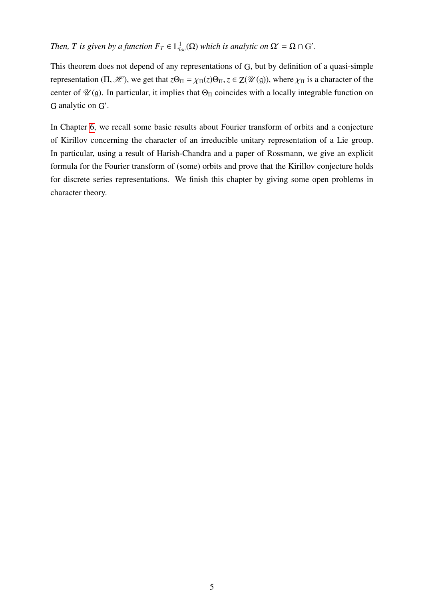### *Then, T is given by a function*  $F_T \in L^1_{loc}(\Omega)$  *which is analytic on*  $\Omega' = \Omega \cap G'$ *.*

This theorem does not depend of any representations of G, but by definition of a quasi-simple representation (Π, H<sup>2</sup>), we get that  $z\Theta_{\Pi} = \chi_{\Pi}(z)\Theta_{\Pi}$ ,  $z \in Z(\mathcal{U}(\mathfrak{g}))$ , where  $\chi_{\Pi}$  is a character of the center of  $\mathcal{U}(\mathfrak{g})$ . In particular, it implies that  $\Theta_{\Pi}$  coincides with a locally integrable function on G analytic on G'.

In Chapter [6,](#page-82-0) we recall some basic results about Fourier transform of orbits and a conjecture of Kirillov concerning the character of an irreducible unitary representation of a Lie group. In particular, using a result of Harish-Chandra and a paper of Rossmann, we give an explicit formula for the Fourier transform of (some) orbits and prove that the Kirillov conjecture holds for discrete series representations. We finish this chapter by giving some open problems in character theory.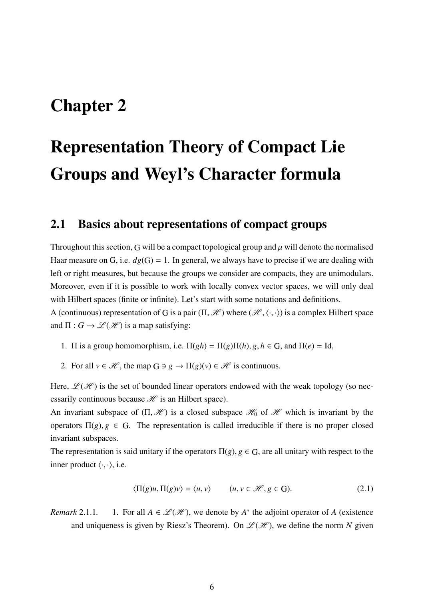# <span id="page-6-0"></span>Chapter 2

# Representation Theory of Compact Lie Groups and Weyl's Character formula

### <span id="page-6-1"></span>2.1 Basics about representations of compact groups

Throughout this section, G will be a compact topological group and  $\mu$  will denote the normalised Haar measure on G, i.e.  $dg(G) = 1$ . In general, we always have to precise if we are dealing with left or right measures, but because the groups we consider are compacts, they are unimodulars. Moreover, even if it is possible to work with locally convex vector spaces, we will only deal with Hilbert spaces (finite or infinite). Let's start with some notations and definitions.

A (continuous) representation of G is a pair  $(\Pi, \mathcal{H})$  where  $(\mathcal{H}, \langle \cdot, \cdot \rangle)$  is a complex Hilbert space and  $\Pi: G \to \mathcal{L}(\mathcal{H})$  is a map satisfying:

- 1. Π is a group homomorphism, i.e.  $\Pi(gh) = \Pi(g)\Pi(h), g, h \in G$ , and  $\Pi(e) = \text{Id}$ ,
- 2. For all  $v \in \mathcal{H}$ , the map  $G \ni g \to \Pi(g)(v) \in \mathcal{H}$  is continuous.

Here,  $\mathcal{L}(\mathcal{H})$  is the set of bounded linear operators endowed with the weak topology (so necessarily continuous because  $\mathcal{H}$  is an Hilbert space).

An invariant subspace of  $(\Pi, \mathcal{H})$  is a closed subspace  $\mathcal{H}_0$  of  $\mathcal{H}$  which is invariant by the operators  $\Pi(g)$ ,  $g \in G$ . The representation is called irreducible if there is no proper closed invariant subspaces.

The representation is said unitary if the operators  $\Pi(g)$ ,  $g \in G$ , are all unitary with respect to the inner product  $\langle \cdot, \cdot \rangle$ , i.e.

<span id="page-6-2"></span>
$$
\langle \Pi(g)u, \Pi(g)v \rangle = \langle u, v \rangle \qquad (u, v \in \mathcal{H}, g \in \mathcal{G}). \tag{2.1}
$$

*Remark* 2.1.1. 1. For all  $A \in \mathcal{L}(\mathcal{H})$ , we denote by  $A^*$  the adjoint operator of A (existence and uniqueness is given by Riesz's Theorem). On  $\mathscr{L}(\mathscr{H})$ , we define the norm *N* given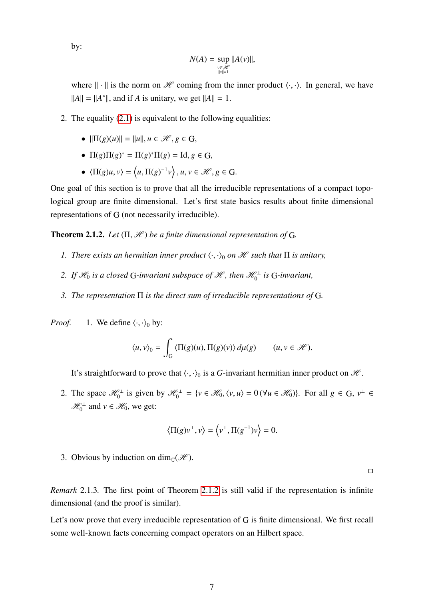by:

$$
N(A) = \sup_{\substack{v \in \mathcal{H} \\ ||v|| = 1}} ||A(v)||,
$$

where  $\|\cdot\|$  is the norm on H coming from the inner product  $\langle \cdot, \cdot \rangle$ . In general, we have  $||A|| = ||A^*||$ , and if *A* is unitary, we get  $||A|| = 1$ .

- 2. The equality [\(2.1\)](#page-6-2) is equivalent to the following equalities:
	- $||\Pi(g)(u)|| = ||u||, u \in \mathcal{H}, g \in G$ ,
	- $\Pi(g)\Pi(g)^* = \Pi(g)^*\Pi(g) = \text{Id}, g \in G,$
	- $\langle \Pi(g)u, v \rangle = \langle u, \Pi(g)^{-1}v \rangle, u, v \in \mathcal{H}, g \in G.$

One goal of this section is to prove that all the irreducible representations of a compact topological group are finite dimensional. Let's first state basics results about finite dimensional representations of G (not necessarily irreducible).

**Theorem 2.1.2.** *Let*  $(\Pi, \mathcal{H})$  *be a finite dimensional representation of* G.

- *1. There exists an hermitian inner product*  $\langle \cdot, \cdot \rangle_0$  *on H such that*  $\Pi$  *is unitary,*
- 2. If  $\mathscr{H}_0$  is a closed G-invariant subspace of  $\mathscr{H}$ , then  $\mathscr{H}_0^{\perp}$  is G-invariant,
- <span id="page-7-0"></span>*3. The representation* Π *is the direct sum of irreducible representations of* G*.*

*Proof.* 1. We define  $\langle \cdot, \cdot \rangle_0$  by:

$$
\langle u, v \rangle_0 = \int_G \langle \Pi(g)(u), \Pi(g)(v) \rangle d\mu(g) \qquad (u, v \in \mathcal{H}).
$$

It's straightforward to prove that  $\langle \cdot, \cdot \rangle_0$  is a *G*-invariant hermitian inner product on *H*.

2. The space  $\mathcal{H}_0^{\perp}$  is given by  $\mathcal{H}_0^{\perp} = \{v \in \mathcal{H}_0, \langle v, u \rangle = 0 \, (\forall u \in \mathcal{H}_0) \}$ . For all  $g \in G$ ,  $v^{\perp} \in \mathcal{H}_0$  $\mathcal{H}_0^{\perp}$  and  $v \in \mathcal{H}_0$ , we get:

$$
\langle \Pi(g)\nu^{\perp}, \nu \rangle = \langle \nu^{\perp}, \Pi(g^{-1})\nu \rangle = 0.
$$

3. Obvious by induction on dim<sub>C</sub>( $\mathcal{H}$ ).

 $\Box$ 

*Remark* 2.1.3*.* The first point of Theorem [2.1.2](#page-7-0) is still valid if the representation is infinite dimensional (and the proof is similar).

Let's now prove that every irreducible representation of G is finite dimensional. We first recall some well-known facts concerning compact operators on an Hilbert space.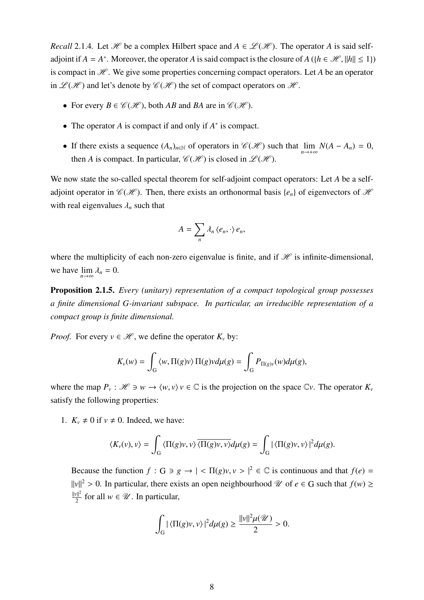*Recall* 2.1.4*.* Let *H* be a complex Hilbert space and  $A \in \mathcal{L}(\mathcal{H})$ . The operator *A* is said selfadjoint if *A* = *A*<sup>\*</sup>. Moreover, the operator *A* is said compact is the closure of *A* ({*h* ∈  $\mathcal{H}$ , ||*h*|| ≤ 1}) is compact in  $H$ . We give some properties concerning compact operators. Let A be an operator in  $\mathcal{L}(\mathcal{H})$  and let's denote by  $\mathcal{C}(\mathcal{H})$  the set of compact operators on  $\mathcal{H}$ .

- For every  $B \in \mathcal{C}(\mathcal{H})$ , both *AB* and *BA* are in  $\mathcal{C}(\mathcal{H})$ .
- The operator *A* is compact if and only if *A* ∗ is compact.
- If there exists a sequence  $(A_n)_{n \in \mathbb{N}}$  of operators in  $\mathcal{C}(\mathcal{H})$  such that  $\lim_{n \to +\infty} N(A A_n) = 0$ , then *A* is compact. In particular,  $\mathcal{C}(\mathcal{H})$  is closed in  $\mathcal{L}(\mathcal{H})$ .

We now state the so-called spectal theorem for self-adjoint compact operators: Let *A* be a selfadjoint operator in  $\mathcal{C}(H)$ . Then, there exists an orthonormal basis { $e_n$ } of eigenvectors of H with real eigenvalues  $\lambda_n$  such that

$$
A=\sum_n \lambda_n \langle e_n,\cdot\rangle e_n,
$$

where the multiplicity of each non-zero eigenvalue is finite, and if  $\mathcal H$  is infinite-dimensional, we have  $\lim_{n \to \infty} \lambda_n = 0$ .

Proposition 2.1.5. *Every (unitary) representation of a compact topological group possesses a finite dimensional G-invariant subspace. In particular, an irreducible representation of a compact group is finite dimensional.*

*Proof.* For every  $v \in \mathcal{H}$ , we define the operator  $K_v$  by:

$$
K_{\nu}(w) = \int_{G} \langle w, \Pi(g)v \rangle \Pi(g) v d\mu(g) = \int_{G} P_{\Pi(g)\nu}(w) d\mu(g),
$$

where the map  $P_v$ :  $\mathcal{H} \ni w \to \langle w, v \rangle v \in \mathbb{C}$  is the projection on the space  $\mathbb{C}v$ . The operator  $K_v$ satisfy the following properties:

1.  $K_v \neq 0$  if  $v \neq 0$ . Indeed, we have:

$$
\langle K_v(v), v \rangle = \int_G \langle \Pi(g)v, v \rangle \overline{\langle \Pi(g)v, v \rangle} d\mu(g) = \int_G |\langle \Pi(g)v, v \rangle|^2 d\mu(g).
$$

Because the function  $f : G \ni g \to \in \Pi(g)v, v \ni l^2 \in \mathbb{C}$  is continuous and that  $f(e) =$  $||v||^2 > 0$ . In particular, there exists an open neighbourhood  $\mathcal{U}$  of  $e \in G$  such that  $f(w) \ge$  $||v||^2$  $\frac{2}{2}$  for all  $w \in \mathcal{U}$ . In particular,

$$
\int_G |\langle \Pi(g)v, v \rangle|^2 d\mu(g) \ge \frac{\|v\|^2 \mu(\mathcal{U})}{2} > 0.
$$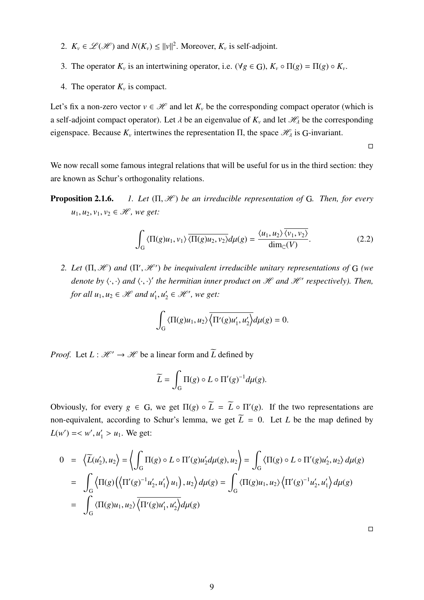- 2.  $K_v \in \mathcal{L}(\mathcal{H})$  and  $N(K_v) \le ||v||^2$ . Moreover,  $K_v$  is self-adjoint.
- 3. The operator  $K_v$  is an intertwining operator, i.e.  $(\forall g \in G)$ ,  $K_v \circ \Pi(g) = \Pi(g) \circ K_v$ .
- 4. The operator  $K_v$  is compact.

Let's fix a non-zero vector  $v \in \mathcal{H}$  and let  $K_v$  be the corresponding compact operator (which is a self-adjoint compact operator). Let  $\lambda$  be an eigenvalue of  $K_\nu$  and let  $\mathcal{H}_\lambda$  be the corresponding eigenspace. Because  $K_\nu$  intertwines the representation  $\Pi$ , the space  $\mathcal{H}_\lambda$  is G-invariant.

 $\Box$ 

We now recall some famous integral relations that will be useful for us in the third section: they are known as Schur's orthogonality relations.

Proposition 2.1.6. *1. Let* (Π, <sup>H</sup> ) *be an irreducible representation of* <sup>G</sup>*. Then, for every*  $u_1, u_2, v_1, v_2 \in \mathcal{H}$ , we get:

<span id="page-9-0"></span>
$$
\int_{G} \langle \Pi(g)u_1, v_1 \rangle \overline{\langle \Pi(g)u_2, v_2 \rangle} d\mu(g) = \frac{\langle u_1, u_2 \rangle \overline{\langle v_1, v_2 \rangle}}{\dim_{\mathbb{C}}(V)}.
$$
\n(2.2)

<span id="page-9-1"></span>*2. Let*  $(\Pi, \mathcal{H})$  *and*  $(\Pi', \mathcal{H'})$  *be inequivalent irreducible unitary representations of* G *(we denote by*  $\langle \cdot, \cdot \rangle$  *and*  $\langle \cdot, \cdot \rangle'$  *the hermitian inner product on H and H respectively*). Then, *for all*  $u_1, u_2 \in \mathcal{H}$  and  $u'_1, u'_2$  $y'_2 \in \mathcal{H}'$ , we get:

$$
\int_G \langle \Pi(g)u_1, u_2 \rangle \overline{\langle \Pi'(g)u_1', u_2' \rangle} d\mu(g) = 0.
$$

*Proof.* Let  $L : \mathcal{H}' \to \mathcal{H}$  be a linear form and  $\widetilde{L}$  defined by

$$
\widetilde{L} = \int_{G} \Pi(g) \circ L \circ \Pi'(g)^{-1} d\mu(g).
$$

Obviously, for every  $g \in G$ , we get  $\Pi(g) \circ \widetilde{L} = \widetilde{L} \circ \Pi'(g)$ . If the two representations are non-equivalent, according to Schur's lemma, we get  $\widetilde{L} = 0$ . Let *L* be the map defined by  $L(w') = \langle w', u'_1 \rangle u_1.$  We get:

$$
0 = \langle \overline{L}(u'_2), u_2 \rangle = \langle \int_G \Pi(g) \circ L \circ \Pi'(g) u'_2 d\mu(g), u_2 \rangle = \int_G \langle \Pi(g) \circ L \circ \Pi'(g) u'_2, u_2 \rangle d\mu(g)
$$
  
= 
$$
\int_G \langle \Pi(g) \left( \langle \Pi'(g)^{-1} u'_2, u'_1 \rangle u_1 \right), u_2 \rangle d\mu(g) = \int_G \langle \Pi(g) u_1, u_2 \rangle \langle \Pi'(g)^{-1} u'_2, u'_1 \rangle d\mu(g)
$$
  
= 
$$
\int_G \langle \Pi(g) u_1, u_2 \rangle \overline{\langle \Pi'(g) u'_1, u'_2 \rangle} d\mu(g)
$$

 $\Box$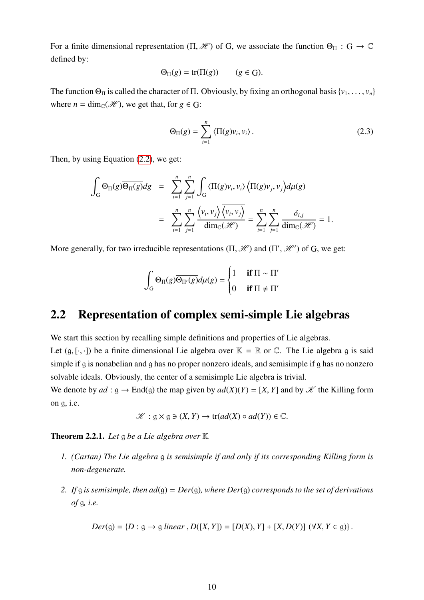For a finite dimensional representation  $(\Pi, \mathcal{H})$  of G, we associate the function  $\Theta_{\Pi} : G \to \mathbb{C}$ defined by:

$$
\Theta_{\Pi}(g) = \text{tr}(\Pi(g)) \qquad (g \in G).
$$

The function  $\Theta_{\Pi}$  is called the character of  $\Pi$ . Obviously, by fixing an orthogonal basis {*v*<sub>1</sub>, . . . , *v*<sub>*n*</sub>} where  $n = \dim_{\mathbb{C}}(\mathcal{H})$ , we get that, for  $g \in G$ :

$$
\Theta_{\Pi}(g) = \sum_{i=1}^{n} \langle \Pi(g)v_i, v_i \rangle.
$$
 (2.3)

Then, by using Equation [\(2.2\)](#page-9-0), we get:

$$
\int_{G} \Theta_{\Pi}(g) \overline{\Theta_{\Pi}(g)} dg = \sum_{i=1}^{n} \sum_{j=1}^{n} \int_{G} \langle \Pi(g)v_{i}, v_{i} \rangle \overline{\langle \Pi(g)v_{j}, v_{j} \rangle} d\mu(g)
$$
\n
$$
= \sum_{i=1}^{n} \sum_{j=1}^{n} \frac{\langle v_{i}, v_{j} \rangle \overline{\langle v_{i}, v_{j} \rangle}}{\dim_{\mathbb{C}}(\mathcal{H})} = \sum_{i=1}^{n} \sum_{j=1}^{n} \frac{\delta_{i,j}}{\dim_{\mathbb{C}}(\mathcal{H})} = 1.
$$

More generally, for two irreducible representations  $(\Pi, \mathcal{H})$  and  $(\Pi', \mathcal{H'})$  of G, we get:

$$
\int_{G} \Theta_{\Pi}(g) \overline{\Theta_{\Pi'}(g)} d\mu(g) = \begin{cases} 1 & \text{if } \Pi \sim \Pi' \\ 0 & \text{if } \Pi \neq \Pi' \end{cases}
$$

## <span id="page-10-0"></span>2.2 Representation of complex semi-simple Lie algebras

We start this section by recalling simple definitions and properties of Lie algebras. Let  $(g, [\cdot, \cdot])$  be a finite dimensional Lie algebra over  $\mathbb{K} = \mathbb{R}$  or  $\mathbb{C}$ . The Lie algebra g is said simple if g is nonabelian and g has no proper nonzero ideals, and semisimple if g has no nonzero solvable ideals. Obviously, the center of a semisimple Lie algebra is trivial.

We denote by  $ad : g \to \text{End}(g)$  the map given by  $ad(X)(Y) = [X, Y]$  and by  $\mathscr K$  the Killing form on g, i.e.

$$
\mathscr{K}: \mathfrak{g} \times \mathfrak{g} \ni (X, Y) \to \text{tr}(ad(X) \circ ad(Y)) \in \mathbb{C}.
$$

Theorem 2.2.1. *Let* g *be a Lie algebra over* K

- *1. (Cartan) The Lie algebra* g *is semisimple if and only if its corresponding Killing form is non-degenerate.*
- *2. If* g *is semisimple, then ad*(g) = *Der*(g)*, where Der*(g) *corresponds to the set of derivations of* g*, i.e.*

$$
Der(g) = \{D : g \to g \text{ linear}, D([X, Y]) = [D(X), Y] + [X, D(Y)] \, (\forall X, Y \in g) \}.
$$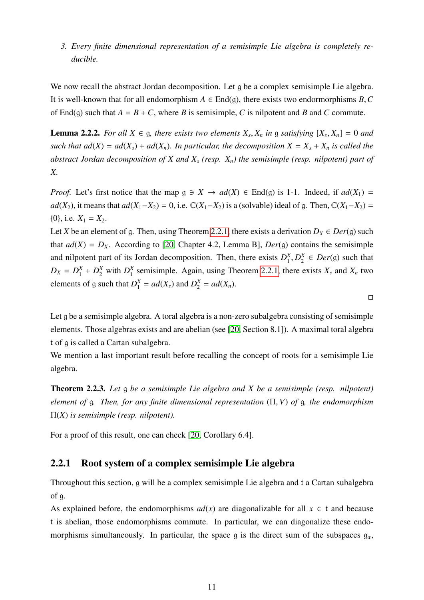<span id="page-11-1"></span>*3. Every finite dimensional representation of a semisimple Lie algebra is completely reducible.*

We now recall the abstract Jordan decomposition. Let g be a complex semisimple Lie algebra. It is well-known that for all endomorphism  $A \in End(g)$ , there exists two endormorphisms  $B, C$ of End(g) such that  $A = B + C$ , where *B* is semisimple, *C* is nilpotent and *B* and *C* commute.

**Lemma 2.2.2.** For all  $X \in \mathfrak{g}$ , there exists two elements  $X_s$ ,  $X_n$  in  $\mathfrak{g}$  satisfying  $[X_s, X_n] = 0$  and *such that*  $ad(X) = ad(X_s) + ad(X_n)$ *. In particular, the decomposition*  $X = X_s + X_n$  *is called the abstract Jordan decomposition of X and X<sup>s</sup> (resp. Xn) the semisimple (resp. nilpotent) part of X.*

*Proof.* Let's first notice that the map  $g \ni X \to ad(X) \in End(g)$  is 1-1. Indeed, if  $ad(X_1) =$ *ad*(*X*<sub>2</sub>), it means that  $ad(X_1 - X_2) = 0$ , i.e.  $\mathbb{C}(X_1 - X_2)$  is a (solvable) ideal of g. Then,  $\mathbb{C}(X_1 - X_2) =$  ${0}$ , i.e.  $X_1 = X_2$ .

Let *X* be an element of g. Then, using Theorem [2.2.1,](#page-11-1) there exists a derivation  $D_X \in Der(g)$  such that  $ad(X) = D_X$ . According to [\[20,](#page-98-0) Chapter 4.2, Lemma B],  $Der(g)$  contains the semisimple and nilpotent part of its Jordan decomposition. Then, there exists  $D_1^X$  $I_1^X, D_2^X$  $L_2^X \in Der(g)$  such that  $D_X = D_1^X + D_2^X$  with  $D_1^X$  $\frac{X}{1}$  semisimple. Again, using Theorem [2.2.1,](#page-11-1) there exists  $X_s$  and  $X_n$  two elements of g such that  $D_1^X = ad(X_s)$  and  $D_2^X = ad(X_n)$ .

Let g be a semisimple algebra. A toral algebra is a non-zero subalgebra consisting of semisimple elements. Those algebras exists and are abelian (see [\[20,](#page-98-0) Section 8.1]). A maximal toral algebra t of g is called a Cartan subalgebra.

 $\Box$ 

We mention a last important result before recalling the concept of roots for a semisimple Lie algebra.

<span id="page-11-2"></span>Theorem 2.2.3. *Let* g *be a semisimple Lie algebra and X be a semisimple (resp. nilpotent) element of* <sup>g</sup>*. Then, for any finite dimensional representation* (Π, *<sup>V</sup>*) *of* <sup>g</sup>*, the endomorphism* Π(*X*) *is semisimple (resp. nilpotent).*

For a proof of this result, one can check [\[20,](#page-98-0) Corollary 6.4].

### <span id="page-11-0"></span>2.2.1 Root system of a complex semisimple Lie algebra

Throughout this section, g will be a complex semisimple Lie algebra and t a Cartan subalgebra of g.

As explained before, the endomorphisms  $ad(x)$  are diagonalizable for all  $x \in t$  and because t is abelian, those endomorphisms commute. In particular, we can diagonalize these endomorphisms simultaneously. In particular, the space g is the direct sum of the subspaces  $g_{\alpha}$ ,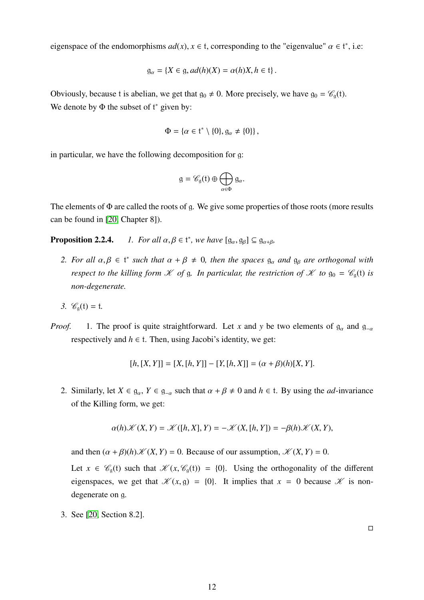eigenspace of the endomorphisms  $ad(x)$ ,  $x \in t$ , corresponding to the "eigenvalue"  $\alpha \in t^*$ , i.e:

$$
\mathfrak{g}_{\alpha} = \{ X \in \mathfrak{g}, ad(h)(X) = \alpha(h)X, h \in \mathfrak{t} \}.
$$

Obviously, because t is abelian, we get that  $g_0 \neq 0$ . More precisely, we have  $g_0 = \mathcal{C}_a(t)$ . We denote by  $\Phi$  the subset of  $t^*$  given by:

$$
\Phi = \{ \alpha \in \mathfrak{t}^* \setminus \{0\}, \mathfrak{g}_{\alpha} \neq \{0\} \},
$$

in particular, we have the following decomposition for g:

$$
\mathfrak{g}=\mathscr{C}_{\mathfrak{g}}(\mathfrak{t})\oplus\bigoplus_{\alpha\in\Phi}\mathfrak{g}_{\alpha}.
$$

The elements of Φ are called the roots of g. We give some properties of those roots (more results can be found in [\[20,](#page-98-0) Chapter 8]).

**Proposition 2.2.4.** *1. For all*  $\alpha, \beta \in \mathfrak{t}^*$ , we have  $[\mathfrak{g}_{\alpha}, \mathfrak{g}_{\beta}] \subseteq \mathfrak{g}_{\alpha+\beta}$ ,

- *2. For all*  $\alpha, \beta \in \mathfrak{t}^*$  *such that*  $\alpha + \beta \neq 0$ *, then the spaces*  $g_\alpha$  *and*  $g_\beta$  *are orthogonal with respect to the killing form*  $K$  *of*  $g$ *. In particular, the restriction of*  $K$  *to*  $g_0 = \mathcal{C}_g(t)$  *is non-degenerate.*
- *3.*  $\mathcal{C}_{\alpha}(t) = t$ .
- *Proof.* 1. The proof is quite straightforward. Let *x* and *y* be two elements of  $g_\alpha$  and  $g_{-\alpha}$ respectively and  $h \in t$ . Then, using Jacobi's identity, we get:

$$
[h, [X, Y]] = [X, [h, Y]] - [Y, [h, X]] = (\alpha + \beta)(h)[X, Y].
$$

2. Similarly, let  $X \in \mathfrak{g}_{\alpha}$ ,  $Y \in \mathfrak{g}_{-\alpha}$  such that  $\alpha + \beta \neq 0$  and  $h \in \mathfrak{t}$ . By using the *ad*-invariance of the Killing form, we get:

$$
\alpha(h)\mathscr{K}(X,Y)=\mathscr{K}([h,X],Y)=-\mathscr{K}(X,[h,Y])=-\beta(h)\mathscr{K}(X,Y),
$$

and then  $(\alpha + \beta)(h) \mathcal{K}(X, Y) = 0$ . Because of our assumption,  $\mathcal{K}(X, Y) = 0$ .

Let  $x \in \mathcal{C}_q(t)$  such that  $\mathcal{K}(x, \mathcal{C}_q(t)) = \{0\}$ . Using the orthogonality of the different eigenspaces, we get that  $\mathcal{K}(x, g) = \{0\}$ . It implies that  $x = 0$  because  $\mathcal{K}$  is nondegenerate on g.

3. See [\[20,](#page-98-0) Section 8.2].

 $\Box$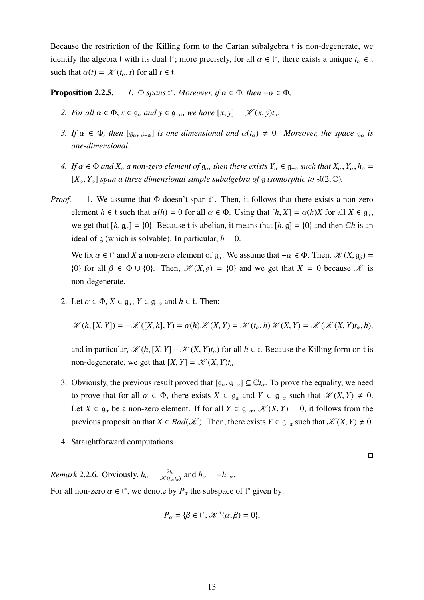Because the restriction of the Killing form to the Cartan subalgebra t is non-degenerate, we identify the algebra t with its dual t<sup>\*</sup>; more precisely, for all  $\alpha \in t^*$ , there exists a unique  $t_\alpha \in t$ such that  $\alpha(t) = \mathcal{K}(t_{\alpha}, t)$  for all  $t \in \mathfrak{t}$ .

**Proposition 2.2.5.** <sup>\*</sup>*. Moreover, if*  $\alpha \in \Phi$ *, then*  $-\alpha \in \Phi$ *,* 

- *2. For all*  $\alpha \in \Phi$ ,  $x \in \mathfrak{g}_{\alpha}$  *and*  $y \in \mathfrak{g}_{-\alpha}$ *, we have*  $[x, y] = \mathcal{K}(x, y)t_{\alpha}$ *,*
- *3. If*  $\alpha \in \Phi$ *, then*  $[g_{\alpha}, g_{-\alpha}]$  *is one dimensional and*  $\alpha(t_{\alpha}) \neq 0$ *. Moreover, the space*  $g_{\alpha}$  *is one-dimensional.*
- <span id="page-13-0"></span>*4. If*  $\alpha \in \Phi$  *and*  $X_\alpha$  *a non-zero element of*  $g_\alpha$ , *then there exists*  $Y_\alpha \in g_{-\alpha}$  *such that*  $X_\alpha, Y_\alpha, h_\alpha =$  $[X_\alpha, Y_\alpha]$  *span a three dimensional simple subalgebra of* g *isomorphic to*  $\mathfrak{sl}(2,\mathbb{C})$ *.*
- *Proof.* 1. We assume that Φ doesn't span t\*. Then, it follows that there exists a non-zero element  $h \in \mathfrak{t}$  such that  $\alpha(h) = 0$  for all  $\alpha \in \Phi$ . Using that  $[h, X] = \alpha(h)X$  for all  $X \in \mathfrak{g}_{\alpha}$ , we get that  $[h, g_{\alpha}] = \{0\}$ . Because t is abelian, it means that  $[h, g] = \{0\}$  and then  $\mathbb{C}h$  is an ideal of g (which is solvable). In particular,  $h = 0$ .

We fix  $\alpha \in t^*$  and *X* a non-zero element of  $g_\alpha$ . We assume that  $-\alpha \in \Phi$ . Then,  $\mathcal{K}(X, g_\beta) =$ {0} for all  $\beta \in \Phi \cup \{0\}$ . Then,  $\mathcal{K}(X, g) = \{0\}$  and we get that  $X = 0$  because  $\mathcal{K}$  is non-degenerate.

2. Let  $\alpha \in \Phi$ ,  $X \in \mathfrak{g}_{\alpha}$ ,  $Y \in \mathfrak{g}_{-\alpha}$  and  $h \in \mathfrak{t}$ . Then:

$$
\mathscr{K}(h,[X,Y]) = -\mathscr{K}([X,h],Y) = \alpha(h)\mathscr{K}(X,Y) = \mathscr{K}(t_{\alpha},h)\mathscr{K}(X,Y) = \mathscr{K}(\mathscr{K}(X,Y)t_{\alpha},h),
$$

and in particular,  $\mathcal{K}(h, [X, Y] - \mathcal{K}(X, Y)t_0)$  for all  $h \in \mathfrak{t}$ . Because the Killing form on t is non-degenerate, we get that  $[X, Y] = \mathcal{K}(X, Y)t_{\alpha}$ .

- 3. Obviously, the previous result proved that  $[g_\alpha, g_{-\alpha}] \subseteq \mathbb{C}t_\alpha$ . To prove the equality, we need to prove that for all  $\alpha \in \Phi$ , there exists  $X \in \mathfrak{g}_{\alpha}$  and  $Y \in \mathfrak{g}_{-\alpha}$  such that  $\mathscr{K}(X, Y) \neq 0$ . Let  $X \in \mathfrak{g}_{\alpha}$  be a non-zero element. If for all  $Y \in \mathfrak{g}_{-\alpha}$ ,  $\mathscr{K}(X, Y) = 0$ , it follows from the previous proposition that  $X \in Rad(\mathcal{K})$ . Then, there exists  $Y \in \mathfrak{g}_{-\alpha}$  such that  $\mathcal{K}(X, Y) \neq 0$ .
- 4. Straightforward computations.

 $\Box$ 

<span id="page-13-1"></span>*Remark* 2.2.6*.* Obviously,  $h_{\alpha} = \frac{2t_{\alpha}}{\mathcal{K}(t_{\alpha})}$  $\frac{2t_{\alpha}}{X(t_{\alpha},t_{\alpha})}$  and  $h_{\alpha}=-h_{-\alpha}$ . For all non-zero  $\alpha \in t^*$ , we denote by  $P_{\alpha}$  the subspace of  $t^*$  given by:

$$
P_{\alpha} = \{ \beta \in \mathfrak{t}^*, \mathscr{K}^*(\alpha, \beta) = 0 \},
$$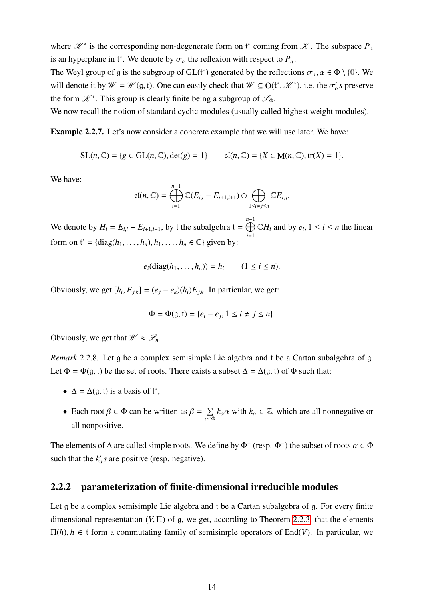where  $\mathcal{K}^*$  is the corresponding non-degenerate form on  $t^*$  coming from  $\mathcal{K}$ . The subspace  $P_a$ is an hyperplane in t<sup>\*</sup>. We denote by  $\sigma_{\alpha}$  the reflexion with respect to  $P_{\alpha}$ .

The Weyl group of g is the subgroup of GL( $t^*$ ) generated by the reflections  $\sigma_{\alpha}$ ,  $\alpha \in \Phi \setminus \{0\}$ . We will denote it by  $\mathcal{W} = \mathcal{W}(\mathfrak{g}, \mathfrak{t})$ . One can easily check that  $\mathcal{W} \subseteq O(\mathfrak{t}^*, \mathcal{K}^*)$ , i.e. the  $\sigma'_\alpha s$  preserve the form  $\mathscr{K}^*$ . This group is clearly finite being a subgroup of  $\mathscr{S}_{\Phi}$ .

We now recall the notion of standard cyclic modules (usually called highest weight modules).

Example 2.2.7. Let's now consider a concrete example that we will use later. We have:

$$
SL(n, \mathbb{C}) = \{ g \in GL(n, \mathbb{C}), \det(g) = 1 \} \qquad \text{sl}(n, \mathbb{C}) = \{ X \in M(n, \mathbb{C}), \text{tr}(X) = 1 \}.
$$

We have:

$$
\mathfrak{sl}(n,\mathbb{C})=\bigoplus_{i=1}^{n-1}\mathbb{C}(E_{i,i}-E_{i+1,i+1})\oplus\bigoplus_{1\leq i\neq j\leq n}\mathbb{C}E_{i,j}
$$

We denote by  $H_i = E_{i,i} - E_{i+1,i+1}$ , by t the subalgebra t =  $\overset{n-1}{\bigoplus}$ *i*=1  $\mathbb{C}H_i$  and by  $e_i, 1 \leq i \leq n$  the linear form on  $t' = \{diag(h_1, \ldots, h_n), h_1, \ldots, h_n \in \mathbb{C}\}$  given by:

$$
e_i(\text{diag}(h_1,\ldots,h_n))=h_i \qquad (1\leq i\leq n).
$$

Obviously, we get  $[h_i, E_{j,k}] = (e_j - e_k)(h_i)E_{j,k}$ . In particular, we get:

$$
\Phi = \Phi(\mathfrak{g}, \mathfrak{t}) = \{e_i - e_j, 1 \le i \ne j \le n\}.
$$

Obviously, we get that  $\mathcal{W} \approx \mathcal{S}_n$ .

*Remark* 2.2.8*.* Let g be a complex semisimple Lie algebra and t be a Cartan subalgebra of g. Let  $\Phi = \Phi(g, t)$  be the set of roots. There exists a subset  $\Delta = \Delta(g, t)$  of  $\Phi$  such that:

- $\Delta = \Delta(g, t)$  is a basis of  $t^*$ ,
- Each root  $\beta \in \Phi$  can be written as  $\beta = \sum_{\alpha \in \Phi}$  $\sum_{\alpha \in \Phi} k_{\alpha} \alpha$  with  $k_{\alpha} \in \mathbb{Z}$ , which are all nonnegative or all nonpositive.

The elements of  $\Delta$  are called simple roots. We define by  $\Phi^+$  (resp.  $\Phi^-$ ) the subset of roots  $\alpha \in \Phi$ such that the  $k'_\text{o}$  are positive (resp. negative).

### <span id="page-14-0"></span>2.2.2 parameterization of finite-dimensional irreducible modules

Let g be a complex semisimple Lie algebra and t be a Cartan subalgebra of g. For every finite dimensional representation (*V*, <sup>Π</sup>) of <sup>g</sup>, we get, according to Theorem [2.2.3,](#page-11-2) that the elements  $\Pi(h)$ ,  $h \in \mathfrak{t}$  form a commutating family of semisimple operators of End(*V*). In particular, we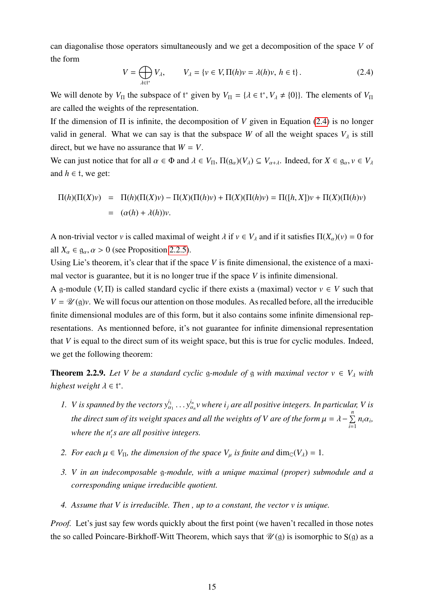can diagonalise those operators simultaneously and we get a decomposition of the space *V* of the form

<span id="page-15-0"></span>
$$
V = \bigoplus_{\lambda \in \mathfrak{t}^*} V_{\lambda}, \qquad V_{\lambda} = \{ v \in V, \Pi(h)v = \lambda(h)v, \, h \in \mathfrak{t} \}.
$$

We will denote by  $V_{\Pi}$  the subspace of  $t^*$  given by  $V_{\Pi} = {\lambda \in t^*}, V_{\lambda} \neq \{0\}$ . The elements of  $V_{\Pi}$ are called the weights of the representation.

If the dimension of Π is infinite, the decomposition of *V* given in Equation [\(2.4\)](#page-15-0) is no longer valid in general. What we can say is that the subspace *W* of all the weight spaces  $V_\lambda$  is still direct, but we have no assurance that  $W = V$ .

We can just notice that for all  $\alpha \in \Phi$  and  $\lambda \in V_{\Pi}$ ,  $\Pi(\mathfrak{g}_{\alpha})(V_{\lambda}) \subseteq V_{\alpha+\lambda}$ . Indeed, for  $X \in \mathfrak{g}_{\alpha}, v \in V_{\lambda}$ and  $h \in \mathfrak{t}$ , we get:

$$
\Pi(h)(\Pi(X)v) = \Pi(h)(\Pi(X)v) - \Pi(X)(\Pi(h)v) + \Pi(X)(\Pi(h)v) = \Pi([h, X])v + \Pi(X)(\Pi(h)v)
$$
  
= 
$$
(\alpha(h) + \lambda(h))v.
$$

A non-trivial vector *v* is called maximal of weight  $\lambda$  if  $v \in V_\lambda$  and if it satisfies  $\Pi(X_\alpha)(v) = 0$  for all  $X_\alpha \in \mathfrak{g}_\alpha, \alpha > 0$  (see Proposition [2.2.5\)](#page-13-0).

Using Lie's theorem, it's clear that if the space *V* is finite dimensional, the existence of a maximal vector is guarantee, but it is no longer true if the space *V* is infinite dimensional.

A g-module (*V*,  $\Pi$ ) is called standard cyclic if there exists a (maximal) vector  $v \in V$  such that  $V = \mathcal{U}(\mathfrak{g})v$ . We will focus our attention on those modules. As recalled before, all the irreducible finite dimensional modules are of this form, but it also contains some infinite dimensional representations. As mentionned before, it's not guarantee for infinite dimensional representation that *V* is equal to the direct sum of its weight space, but this is true for cyclic modules. Indeed, we get the following theorem:

**Theorem 2.2.9.** Let V be a standard cyclic g-module of g with maximal vector  $v \in V_\lambda$  with  $height \lambda \in \mathfrak{t}^*$ .

- *1. V is spanned by the vectors*  $y_{\alpha_1}^{i_1} \ldots y_{\alpha}^{i_n}$ α*n v where i<sup>j</sup> are all positive integers. In particular, V is the direct sum of its weight spaces and all the weights of V are of the form*  $\mu = \lambda - \sum_{i=1}^{n}$  $\sum_{i=1}^{\infty} n_i \alpha_i$ *where the n'<sub>i</sub>s are all positive integers.*
- *2. For each*  $\mu \in V_{\Pi}$ , the dimension of the space  $V_{\mu}$  is finite and  $\dim_{\mathbb{C}}(V_{\lambda}) = 1$ .
- *3. V in an indecomposable* g*-module, with a unique maximal (proper) submodule and a corresponding unique irreducible quotient.*
- *4. Assume that V is irreducible. Then , up to a constant, the vector v is unique.*

*Proof.* Let's just say few words quickly about the first point (we haven't recalled in those notes the so called Poincare-Birkhoff-Witt Theorem, which says that  $\mathcal{U}(\mathfrak{g})$  is isomorphic to  $S(\mathfrak{g})$  as a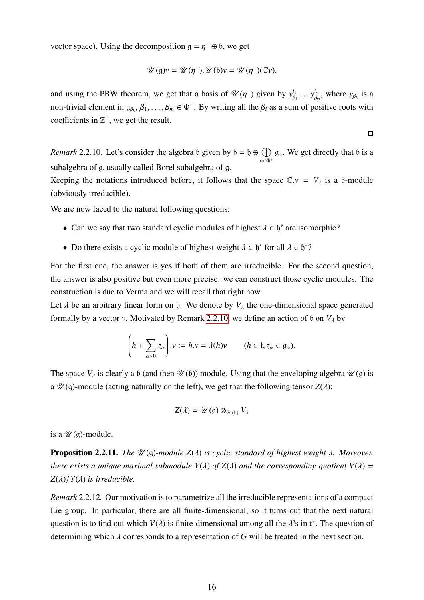vector space). Using the decomposition  $g = \eta^- \oplus b$ , we get

$$
\mathscr{U}(\mathfrak{g})v = \mathscr{U}(\eta^-).\mathscr{U}(\mathfrak{b})v = \mathscr{U}(\eta^-)(\mathbb{C}v).
$$

and using the PBW theorem, we get that a basis of  $\mathcal{U}(\eta^-)$  given by  $y_\beta^{i_1}$  $\mu_1^{i_1} \ldots \mu_{\beta_i}^{i_m}$  $\beta_m^{l_m}$ , where  $y_{\beta_k}$  is a non-trivial element in  $g_{\beta_k}, \beta_1, \ldots, \beta_m \in \Phi^-$ . By writing all the  $\beta_i$  as a sum of positive roots with coefficients in  $\mathbb{Z}^+$ , we get the result.

$$
\Box
$$

<span id="page-16-0"></span>*Remark* 2.2.10. Let's consider the algebra b given by  $b = \phi \oplus \bigoplus$  $\alpha \in \Phi^+$  $g_{\alpha}$ . We get directly that b is a subalgebra of g, usually called Borel subalgebra of g.

Keeping the notations introduced before, it follows that the space  $\mathbb{C}.v = V_\lambda$  is a b-module (obviously irreducible).

We are now faced to the natural following questions:

- Can we say that two standard cyclic modules of highest  $\lambda \in \mathfrak{h}^*$  are isomorphic?
- Do there exists a cyclic module of highest weight  $\lambda \in \mathfrak{h}^*$  for all  $\lambda \in \mathfrak{h}^*$ ?

For the first one, the answer is yes if both of them are irreducible. For the second question, the answer is also positive but even more precise: we can construct those cyclic modules. The construction is due to Verma and we will recall that right now.

Let  $\lambda$  be an arbitrary linear form on b. We denote by  $V_{\lambda}$  the one-dimensional space generated formally by a vector *v*. Motivated by Remark [2.2.10,](#page-16-0) we define an action of b on  $V_{\lambda}$  by

$$
\left(h + \sum_{\alpha > 0} z_{\alpha}\right) \cdot v := h \cdot v = \lambda(h)v \qquad (h \in \mathfrak{t}, z_{\alpha} \in \mathfrak{g}_{\alpha}).
$$

The space  $V_\lambda$  is clearly a b (and then  $\mathscr{U}(\mathfrak{b})$ ) module. Using that the enveloping algebra  $\mathscr{U}(\mathfrak{g})$  is a  $\mathcal{U}(\mathfrak{g})$ -module (acting naturally on the left), we get that the following tensor  $Z(\lambda)$ :

$$
Z(\lambda) = \mathscr{U}(\mathfrak{g}) \otimes_{\mathscr{U}(\mathfrak{b})} V_{\lambda}
$$

is a  $\mathcal{U}(\mathfrak{q})$ -module.

**Proposition 2.2.11.** *The*  $\mathcal{U}(\mathfrak{g})$ -module  $Z(\lambda)$  is cyclic standard of highest weight  $\lambda$ . Moreover, *there exists a unique maximal submodule*  $Y(\lambda)$  *of*  $Z(\lambda)$  *and the corresponding quotient*  $V(\lambda) =$  $Z(\lambda)/Y(\lambda)$  *is irreducible.* 

*Remark* 2.2.12*.* Our motivation is to parametrize all the irreducible representations of a compact Lie group. In particular, there are all finite-dimensional, so it turns out that the next natural question is to find out which *V*( $\lambda$ ) is finite-dimensional among all the  $\lambda$ 's in t<sup>\*</sup>. The question of determining which λ corresponds to a representation of *<sup>G</sup>* will be treated in the next section.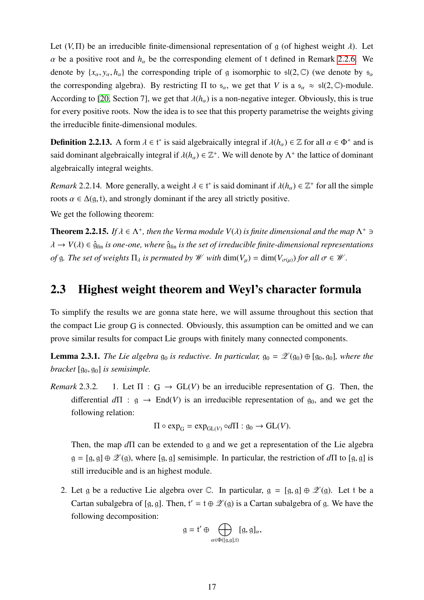Let  $(V, \Pi)$  be an irreducible finite-dimensional representation of g (of highest weight  $\lambda$ ). Let  $\alpha$  be a positive root and  $h_{\alpha}$  be the corresponding element of t defined in Remark [2.2.6.](#page-13-1) We denote by  $\{x_\alpha, y_\alpha, h_\alpha\}$  the corresponding triple of g isomorphic to  $\mathfrak{sl}(2,\mathbb{C})$  (we denote by  $\mathfrak{s}_\alpha$ the corresponding algebra). By restricting  $\Pi$  to  $\mathfrak{s}_{\alpha}$ , we get that *V* is a  $\mathfrak{s}_{\alpha} \approx \mathfrak{sl}(2,\mathbb{C})$ -module. According to [\[20,](#page-98-0) Section 7], we get that  $\lambda(h_\alpha)$  is a non-negative integer. Obviously, this is true for every positive roots. Now the idea is to see that this property parametrise the weights giving the irreducible finite-dimensional modules.

**Definition 2.2.13.** A form  $\lambda \in \mathfrak{t}^*$  is said algebraically integral if  $\lambda(h_\alpha) \in \mathbb{Z}$  for all  $\alpha \in \Phi^+$  and is said dominant algebraically integral if  $\lambda(h_\alpha) \in \mathbb{Z}^+$ . We will denote by  $\Lambda^+$  the lattice of dominant algebraically integral weights.

*Remark* 2.2.14*.* More generally, a weight  $\lambda \in \mathfrak{t}^*$  is said dominant if  $\lambda(h_\alpha) \in \mathbb{Z}^+$  for all the simple roots  $\alpha \in \Delta(q, t)$ , and strongly dominant if the arey all strictly positive.

We get the following theorem:

**Theorem 2.2.15.** *If*  $\lambda \in \Lambda^+$ , then the Verma module  $V(\lambda)$  *is finite dimensional and the map*  $\Lambda^+ \ni \Lambda$  $\lambda \to V(\lambda) \in \hat{\mathfrak{g}}_{fin}$  *is one-one, where*  $\hat{\mathfrak{g}}_{fin}$  *is the set of irreducible finite-dimensional representations of* g. The set of weights  $\Pi_{\lambda}$  is permuted by W with  $\dim(V_{\mu}) = \dim(V_{\sigma(\mu)})$  for all  $\sigma \in \mathcal{W}$ .

### <span id="page-17-0"></span>2.3 Highest weight theorem and Weyl's character formula

To simplify the results we are gonna state here, we will assume throughout this section that the compact Lie group G is connected. Obviously, this assumption can be omitted and we can prove similar results for compact Lie groups with finitely many connected components.

**Lemma 2.3.1.** *The Lie algebra*  $g_0$  *is reductive. In particular,*  $g_0 = \mathscr{Z}(g_0) \oplus [g_0, g_0]$ *, where the bracket*  $[g_0, g_0]$  *is semisimple.* 

*Remark* 2.3.2. 1. Let  $\Pi : G \to GL(V)$  be an irreducible representation of G. Then, the differential  $d\Pi$  :  $g \rightarrow End(V)$  is an irreducible representation of  $g_0$ , and we get the following relation:

$$
\Pi \circ \exp_{G} = \exp_{GL(V)} \circ d\Pi : g_0 \to GL(V).
$$

Then, the map *d*Π can be extended to g and we get a representation of the Lie algebra  $g = [g, g] \oplus \mathcal{Z}(g)$ , where [g, g] semisimple. In particular, the restriction of  $d\Pi$  to [g, g] is still irreducible and is an highest module.

2. Let g be a reductive Lie algebra over C. In particular,  $g = [g, g] \oplus \mathscr{Z}(g)$ . Let t be a Cartan subalgebra of [g, g]. Then,  $t' = t \oplus \mathcal{L}(g)$  is a Cartan subalgebra of g. We have the following decomposition:

$$
g = t' \oplus \bigoplus_{\alpha \in \Phi([g,g],t)} [g, g]_{\alpha},
$$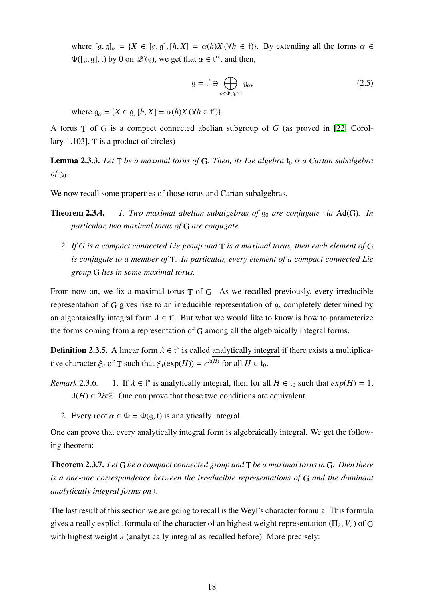where  $[g, g]_{\alpha} = \{X \in [g, g], [h, X] = \alpha(h)X(\forall h \in \mathfrak{t})\}$ . By extending all the forms  $\alpha \in$  $\Phi([g, g], t)$  by 0 on  $\mathscr{Z}(g)$ , we get that  $\alpha \in t^{**}$ , and then,

$$
g = f' \oplus \bigoplus_{\alpha \in \Phi(g, t')} g_{\alpha}, \tag{2.5}
$$

where  $g_{\alpha} = \{X \in g, [h, X] = \alpha(h)X \, (\forall h \in \mathfrak{t}')\}.$ 

A torus T of G is a compect connected abelian subgroup of *G* (as proved in [\[22,](#page-98-1) Corollary 1.103],  $T$  is a product of circles)

**Lemma 2.3.3.** Let  $T$  *be a maximal torus of* G. Then, its Lie algebra  $t_0$  *is a Cartan subalgebra*  $of$   $g_0$ .

We now recall some properties of those torus and Cartan subalgebras.

- **Theorem 2.3.4.** *1. Two maximal abelian subalgebras of*  $g_0$  *are conjugate via* Ad(G). *In particular, two maximal torus of* G *are conjugate.*
	- *2. If G is a compact connected Lie group and* T *is a maximal torus, then each element of* G *is conjugate to a member of* T*. In particular, every element of a compact connected Lie group* G *lies in some maximal torus.*

From now on, we fix a maximal torus T of G. As we recalled previously, every irreducible representation of G gives rise to an irreducible representation of g, completely determined by an algebraically integral form  $\lambda \in \mathfrak{t}^*$ . But what we would like to know is how to parameterize the forms coming from a representation of G among all the algebraically integral forms.

**Definition 2.3.5.** A linear form  $\lambda \in \mathfrak{t}^*$  is called analytically integral if there exists a multiplicative character  $\xi_{\lambda}$  of T such that  $\xi_{\lambda}(\exp(H)) = e^{\lambda(H)}$  for all  $H \in \mathfrak{t}_0$ .

- *Remark* 2.3.6*.* <sup>\*</sup> is analytically integral, then for all  $H \in t_0$  such that  $exp(H) = 1$ ,  $\lambda(H) \in 2i\pi\mathbb{Z}$ . One can prove that those two conditions are equivalent.
	- 2. Every root  $\alpha \in \Phi = \Phi(\mathfrak{g}, \mathfrak{t})$  is analytically integral.

One can prove that every analytically integral form is algebraically integral. We get the following theorem:

Theorem 2.3.7. *Let* G *be a compact connected group and* T *be a maximal torus in* G*. Then there is a one-one correspondence between the irreducible representations of* G *and the dominant analytically integral forms on* t*.*

The last result of this section we are going to recall is the Weyl's character formula. This formula gives a really explicit formula of the character of an highest weight representation ( $\Pi_{\lambda}$ ,  $V_{\lambda}$ ) of G with highest weight  $\lambda$  (analytically integral as recalled before). More precisely: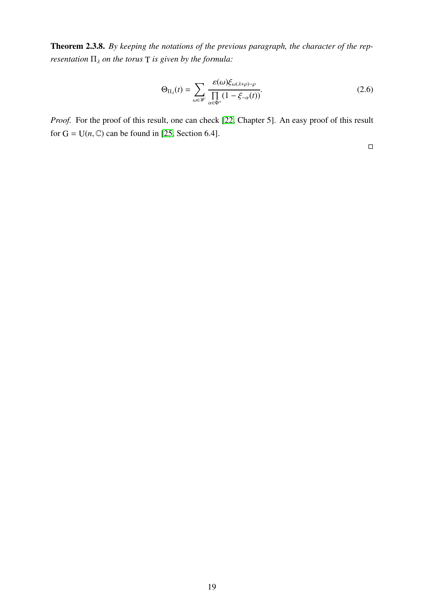Theorem 2.3.8. *By keeping the notations of the previous paragraph, the character of the representation*  $\Pi_{\lambda}$  *on the torus*  $T$  *is given by the formula:* 

<span id="page-19-0"></span>
$$
\Theta_{\Pi_{\lambda}}(t) = \sum_{\omega \in \mathscr{W}} \frac{\varepsilon(\omega) \xi_{\omega(\lambda+\rho)-\rho}}{\prod_{\alpha \in \Phi^+} (1 - \xi_{-\alpha}(t))}.
$$
\n(2.6)

*Proof.* For the proof of this result, one can check [\[22,](#page-98-1) Chapter 5]. An easy proof of this result for  $G = U(n, \mathbb{C})$  can be found in [\[25,](#page-98-2) Section 6.4].

 $\Box$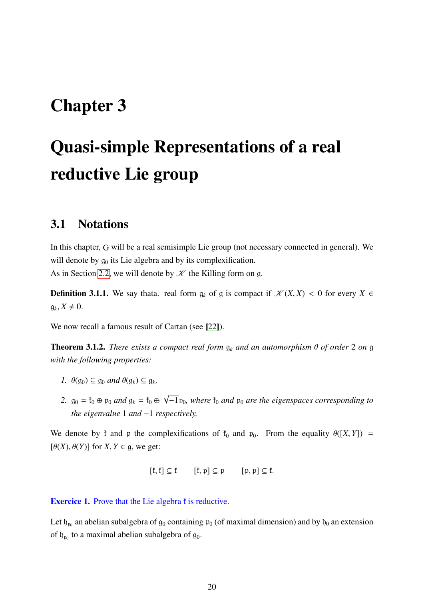# <span id="page-20-0"></span>Chapter 3

# Quasi-simple Representations of a real reductive Lie group

### <span id="page-20-1"></span>3.1 Notations

In this chapter, G will be a real semisimple Lie group (not necessary connected in general). We will denote by  $g_0$  its Lie algebra and by its complexification.

As in Section [2.2,](#page-10-0) we will denote by  $K$  the Killing form on g.

**Definition 3.1.1.** We say thata. real form  $g_k$  of g is compact if  $\mathcal{K}(X,X) < 0$  for every  $X \in$  $g_k, X \neq 0.$ 

We now recall a famous result of Cartan (see [\[22\]](#page-98-1)).

**Theorem 3.1.2.** *There exists a compact real form*  $g_k$  *and an automorphism*  $\theta$  *of order* 2 *on* g *with the following properties:*

- *1.*  $\theta(g_0) \subseteq g_0$  *and*  $\theta(g_k) \subseteq g_k$ ,
- 2.  $g_0 = f_0 \oplus p_0$  *and*  $g_k = f_0 \oplus$ √  $-1$  p<sub>0</sub>*, where*  $t_0$  *and*  $p_0$  *are the eigenspaces corresponding to the eigenvalue* 1 *and* −1 *respectively.*

We denote by f and p the complexifications of  $f_0$  and  $p_0$ . From the equality  $\theta([X, Y]) =$  $[\theta(X), \theta(Y)]$  for *X*, *Y*  $\in$  g, we get:

$$
[\mathfrak{k},\mathfrak{k}]\subseteq \mathfrak{k}\qquad [\mathfrak{k},\mathfrak{p}]\subseteq \mathfrak{p}\qquad [\mathfrak{p},\mathfrak{p}]\subseteq \mathfrak{k}.
$$

**Exercice 1.** Prove that the Lie algebra f is reductive.

Let  $\mathfrak{h}_{\mathfrak{p}_0}$  an abelian subalgebra of  $\mathfrak{g}_0$  containing  $\mathfrak{p}_0$  (of maximal dimension) and by  $\mathfrak{h}_0$  an extension of  $\mathfrak{h}_{\mathfrak{p}_0}$  to a maximal abelian subalgebra of  $\mathfrak{g}_0$ .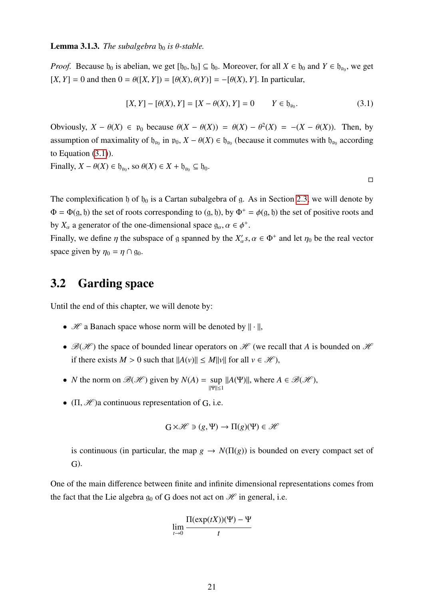#### **Lemma 3.1.3.** *The subalgebra*  $b_0$  *is*  $\theta$ *-stable.*

*Proof.* Because  $\mathfrak{h}_0$  is abelian, we get  $[\mathfrak{h}_0, \mathfrak{h}_0] \subseteq \mathfrak{h}_0$ . Moreover, for all  $X \in \mathfrak{h}_0$  and  $Y \in \mathfrak{h}_{\mathfrak{p}_0}$ , we get  $[K, Y] = 0$  and then  $0 = \theta([X, Y]) = [\theta(X), \theta(Y)] = -[\theta(X), Y]$ . In particular,

<span id="page-21-1"></span>
$$
[X, Y] - [\theta(X), Y] = [X - \theta(X), Y] = 0 \qquad Y \in \mathfrak{h}_{\mathfrak{p}_0}.
$$
 (3.1)

Obviously,  $X - \theta(X) \in \mathfrak{p}_0$  because  $\theta(X - \theta(X)) = \theta(X) - \theta^2(X) = -(X - \theta(X))$ . Then, by assumption of maximality of  $\mathfrak{h}_{\mathfrak{p}_0}$  in  $\mathfrak{p}_0$ ,  $X - \theta(X) \in \mathfrak{h}_{\mathfrak{p}_0}$  (because it commutes with  $\mathfrak{h}_{\mathfrak{p}_0}$  according to Equation [\(3.1\)](#page-21-1)).

Finally,  $X - \theta(X) \in \mathfrak{h}_{\mathfrak{p}_0}$ , so  $\theta(X) \in X + \mathfrak{h}_{\mathfrak{p}_0} \subseteq \mathfrak{h}_0$ .

 $\Box$ 

The complexification b of  $b_0$  is a Cartan subalgebra of g. As in Section [2.3,](#page-17-0) we will denote by  $\Phi = \Phi(q, \mathfrak{h})$  the set of roots corresponding to  $(\mathfrak{g}, \mathfrak{h})$ , by  $\Phi^+ = \phi(\mathfrak{g}, \mathfrak{h})$  the set of positive roots and by  $X_\alpha$  a generator of the one-dimensional space  $g_\alpha, \alpha \in \phi^+$ .

Finally, we define  $\eta$  the subspace of g spanned by the  $X'_\alpha s, \alpha \in \Phi^+$  and let  $\eta_0$  be the real vector space given by  $\eta_0 = \eta \cap \mathfrak{g}_0$ .

### <span id="page-21-0"></span>3.2 Garding space

Until the end of this chapter, we will denote by:

- $\mathcal H$  a Banach space whose norm will be denoted by  $\|\cdot\|$ ,
- $\mathcal{B}(\mathcal{H})$  the space of bounded linear operators on  $\mathcal{H}$  (we recall that A is bounded on  $\mathcal{H}$ ) if there exists  $M > 0$  such that  $||A(v)|| \le M||v||$  for all  $v \in \mathcal{H}$ ,
- *N* the norm on  $\mathcal{B}(\mathcal{H})$  given by  $N(A) = \sup |A(\Psi)||$ , where  $A \in \mathcal{B}(\mathcal{H})$ , ||Ψ||≤1
- $(\Pi, \mathcal{H})$ a continuous representation of G, i.e.

$$
G \times \mathcal{H} \ni (g, \Psi) \to \Pi(g)(\Psi) \in \mathcal{H}
$$

is continuous (in particular, the map  $g \to N(\Pi(g))$  is bounded on every compact set of G).

One of the main difference between finite and infinite dimensional representations comes from the fact that the Lie algebra  $g_0$  of G does not act on  $\mathcal H$  in general, i.e.

$$
\lim_{t\to 0}\frac{\Pi(\exp(tX))(\Psi)-\Psi}{t}
$$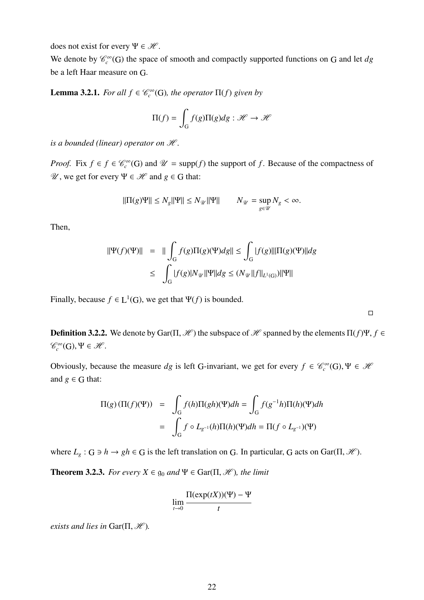does not exist for every  $\Psi \in \mathcal{H}$ .

We denote by  $\mathcal{C}_c^{\infty}(G)$  the space of smooth and compactly supported functions on G and let *dg* be a left Haar measure on G.

**Lemma 3.2.1.** *For all*  $f \in \mathcal{C}_c^{\infty}(G)$ *, the operator*  $\Pi(f)$  *given by* 

$$
\Pi(f) = \int_{G} f(g)\Pi(g)dg : \mathcal{H} \to \mathcal{H}
$$

*is a bounded (linear) operator on*  $H$ *.* 

*Proof.* Fix  $f \in \mathcal{C}_c^{\infty}(G)$  and  $\mathcal{U} = \text{supp}(f)$  the support of *f*. Because of the compactness of  $\mathcal{U}$ , we get for every Ψ ∈  $\mathcal{H}$  and *g* ∈ G that:

$$
\|\Pi(g)\Psi\| \le N_g \|\Psi\| \le N_{\mathcal{U}} \|\Psi\| \qquad N_{\mathcal{U}} = \sup_{g \in \mathcal{U}} N_g < \infty.
$$

Then,

$$
\begin{aligned} ||\Psi(f)(\Psi)|| &= || \int_G f(g) \Pi(g)(\Psi) dg || \le \int_G |f(g)| ||\Pi(g)(\Psi) || dg \\ &\le \int_G |f(g)| N_{\mathcal{U}} ||\Psi|| dg \le (N_{\mathcal{U}} ||f||_{L^1(G)}) ||\Psi|| \end{aligned}
$$

Finally, because  $f \in L^1(G)$ , we get that  $\Psi(f)$  is bounded.

**Definition 3.2.2.** We denote by Gar( $\Pi$ ,  $\mathcal{H}$ ) the subspace of  $\mathcal{H}$  spanned by the elements  $\Pi(f)\Psi$ ,  $f \in$  $\mathscr{C}_c^{\infty}(\mathsf{G}), \Psi \in \mathscr{H}.$ 

 $\Box$ 

Obviously, because the measure *dg* is left G-invariant, we get for every  $f \in \mathcal{C}_c^{\infty}(G)$ ,  $\Psi \in \mathcal{H}$ and  $g \in G$  that:

$$
\Pi(g)(\Pi(f)(\Psi)) = \int_G f(h)\Pi(gh)(\Psi)dh = \int_G f(g^{-1}h)\Pi(h)(\Psi)dh
$$

$$
= \int_G f \circ L_{g^{-1}}(h)\Pi(h)(\Psi)dh = \Pi(f \circ L_{g^{-1}})(\Psi)
$$

where  $L_g$ :  $G \ni h \to gh \in G$  is the left translation on G. In particular, G acts on Gar( $\Pi$ ,  $\mathcal{H}$ ).

**Theorem 3.2.3.** *For every*  $X \in \mathfrak{g}_0$  *and*  $\Psi \in \text{Gar}(\Pi, \mathcal{H})$ *, the limit* 

$$
\lim_{t \to 0} \frac{\Pi(\exp(tX))(\Psi) - \Psi}{t}
$$

*exists and lies in* Gar( $\Pi$ ,  $\mathcal{H}$ ).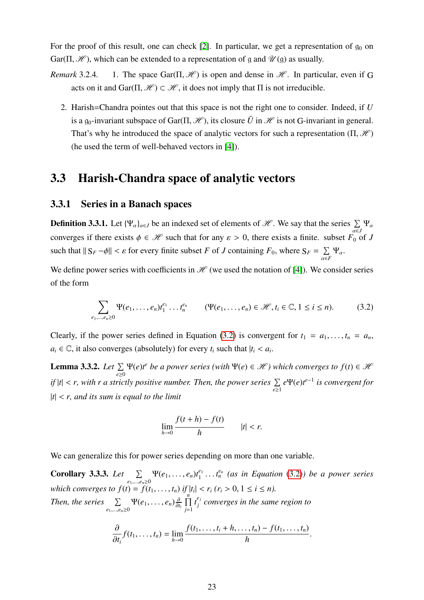For the proof of this result, one can check [\[2\]](#page-97-0). In particular, we get a representation of  $g_0$  on Gar( $\Pi$ ,  $\mathcal{H}$ ), which can be extended to a representation of g and  $\mathcal{U}$ (g) as usually.<br>Remark 3.2.4. 1. The space Gar( $\Pi$ ,  $\mathcal{H}$ ) is open and dense in  $\mathcal{H}$ . In particular

- <span id="page-23-5"></span>*Remarka 3.2.4.4.1.3.4.* 1. The space Gar( $\Pi$ ,  $\mathscr{H}$ ) is open and dense in  $\mathscr{H}$ . In particular, even if G acts on it and  $\text{Gar}(\Pi, \mathcal{H}) \subset \mathcal{H}$ , it does not imply that  $\Pi$  is not irreducible.
	- 2. Harish=Chandra pointes out that this space is not the right one to consider. Indeed, if *U* is a g<sub>0</sub>-invariant subspace of Gar( $\Pi$ ,  $\mathcal{H}$ ), its closure  $\bar{U}$  in  $\mathcal{H}$  is not G-invariant in general. That's why he introduced the space of analytic vectors for such a representation  $(\Pi, \mathcal{H})$ (he used the term of well-behaved vectors in [\[4\]](#page-97-1)).

### <span id="page-23-0"></span>3.3 Harish-Chandra space of analytic vectors

### <span id="page-23-1"></span>3.3.1 Series in a Banach spaces

**Definition 3.3.1.** Let  $\{\Psi_{\alpha}\}_{{\alpha}\in J}$  be an indexed set of elements of  $\mathscr{H}$ . We say that the series  $\sum_{\alpha\in J}\Psi_{\alpha}$ converges if there exists  $\phi \in \mathcal{H}$  such that for any  $\varepsilon > 0$ , there exists a finite. subset  $F_0$  of *J* such that  $||S_F - \phi|| < \varepsilon$  for every finite subset *F* of *J* containing  $F_0$ , where  $S_F = \sum_{\alpha \in I}$  $\sum_{\alpha \in F} \Psi_{\alpha}$ .

We define power series with coefficients in  $\mathcal{H}$  (we used the notation of [\[4\]](#page-97-1)). We consider series of the form

<span id="page-23-2"></span>
$$
\sum_{e_1, ..., e_n \ge 0} \Psi(e_1, ..., e_n) t_1^{e_1} \dots t_n^{e_n} \qquad (\Psi(e_1, ..., e_n) \in \mathcal{H}, t_i \in \mathbb{C}, 1 \le i \le n).
$$
 (3.2)

Clearly, if the power series defined in Equation [\(3.2\)](#page-23-2) is convergent for  $t_1 = a_1, \ldots, t_n = a_n$ ,  $a_i \in \mathbb{C}$ , it also converges (absolutely) for every  $t_i$  such that  $|t_i| < a_i$ .

<span id="page-23-3"></span>**Lemma 3.3.2.** *Let*  $\Sigma$ *e*≥0  $\Psi(e)t^e$  *be a power series (with*  $\Psi(e) \in \mathcal{H}$ ) which converges to  $f(t) \in \mathcal{H}$ *if*  $|t| < r$ , with r a strictly positive number. Then, the power series  $\sum_{e \geq 1}$ *e*Ψ(*e*)*t e*−1 *is convergent for* <sup>|</sup>*t*<sup>|</sup> < *r, and its sum is equal to the limit*

$$
\lim_{h \to 0} \frac{f(t+h) - f(t)}{h} \qquad |t| < r.
$$

We can generalize this for power series depending on more than one variable.

<span id="page-23-4"></span>Corollary 3.3.3. Let  $\sum$  $\sum_{e_1,...,e_n \geq 0} \Psi(e_1,...,e_n) t_1^{e_1}$ <br>  $\vdots$  $t_1^{e_1} \ldots t_n^{e_n}$  (as in Equation [\(3.2\)](#page-23-2)) be a power series *which converges to*  $f(t) = f(t_1, \ldots, t_n)$  *if*  $|t_i| < r_i$   $(r_i > 0, 1 \le i \le n)$ . *Then, the series*  $\Sigma$  $\sum_{e_1,\ldots,e_n\geq 0} \Psi(e_1,\ldots,e_n) \frac{\partial}{\partial t_i}$  $\prod$ <sup>n</sup> *j*=1  $t_i^{e_j}$ *j converges in the same region to*

$$
\frac{\partial}{\partial t_i} f(t_1,\ldots,t_n) = \lim_{h\to 0} \frac{f(t_1,\ldots,t_i+h,\ldots,t_n)-f(t_1,\ldots,t_n)}{h}
$$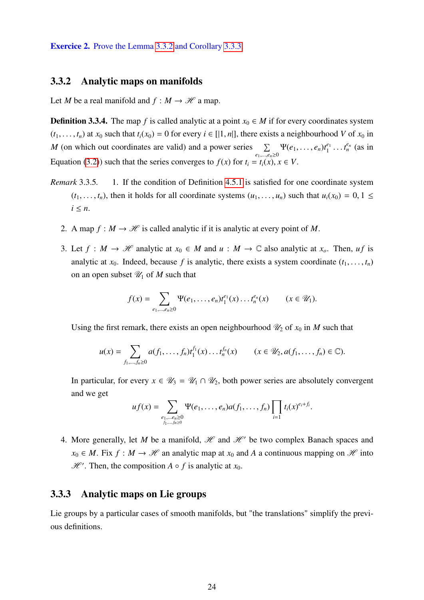Exercice 2. Prove the Lemma [3.3.2](#page-23-3) and Corollary [3.3.3.](#page-23-4)

#### <span id="page-24-0"></span>3.3.2 Analytic maps on manifolds

Let *M* be a real manifold and  $f : M \to \mathcal{H}$  a map.

**Definition 3.3.4.** The map *f* is called analytic at a point  $x_0 \in M$  if for every coordinates system  $(t_1, \ldots, t_n)$  at  $x_0$  such that  $t_i(x_0) = 0$  for every  $i \in [[1, n]],$  there exists a neighbourhood *V* of  $x_0$  in *M* (on which out coordinates are valid) and a power series  $\Sigma$  $\sum_{e_1,...,e_n\geq 0} \Psi(e_1,...,e_n) t_1^{e_1}$  $t_1^{e_1} \ldots t_n^{e_n}$  (as in Equation [\(3.2\)](#page-23-2)) such that the series converges to  $f(x)$  for  $t_i = t_i(x), x \in V$ .

- *Remark* 3.3.5*.* 1. If the condition of Definition [4.5.1](#page-47-1) is satisfied for one coordinate system  $(t_1, \ldots, t_n)$ , then it holds for all coordinate systems  $(u_1, \ldots, u_n)$  such that  $u_i(x_0) = 0, 1 \leq$  $i \leq n$ .
	- 2. A map  $f : M \to \mathcal{H}$  is called analytic if it is analytic at every point of M.
	- 3. Let  $f : M \to \mathcal{H}$  analytic at  $x_0 \in M$  and  $u : M \to \mathbb{C}$  also analytic at  $x_o$ . Then,  $uf$  is analytic at  $x_0$ . Indeed, because f is analytic, there exists a system coordinate  $(t_1, \ldots, t_n)$ on an open subset  $\mathcal{U}_1$  of *M* such that

$$
f(x) = \sum_{e_1, ..., e_n \ge 0} \Psi(e_1, ..., e_n) t_1^{e_1}(x) ... t_n^{e_n}(x) \qquad (x \in \mathcal{U}_1).
$$

Using the first remark, there exists an open neighbourhood  $\mathcal{U}_2$  of  $x_0$  in *M* such that

$$
u(x) = \sum_{f_1, ..., f_n \ge 0} a(f_1, ..., f_n) t_1^{f_1}(x) ... t_n^{f_n}(x) \qquad (x \in \mathcal{U}_2, a(f_1, ..., f_n) \in \mathbb{C}).
$$

In particular, for every  $x \in \mathcal{U}_3 = \mathcal{U}_1 \cap \mathcal{U}_2$ , both power series are absolutely convergent and we get

$$
uf(x)=\sum_{\substack{e_1,\ldots,e_n\geq 0\\f_1,\ldots,f_n\geq 0}}\Psi(e_1,\ldots,e_n)a(f_1,\ldots,f_n)\prod_{i=1}t_i(x)^{e_i+f_i}.
$$

4. More generally, let *M* be a manifold,  $\mathcal{H}$  and  $\mathcal{H}'$  be two complex Banach spaces and  $x_0 \in M$ . Fix  $f : M \to \mathcal{H}$  an analytic map at  $x_0$  and A a continuous mapping on  $\mathcal{H}$  into  $\mathcal{H}'$ . Then, the composition  $A \circ f$  is analytic at  $x_0$ .

### <span id="page-24-1"></span>3.3.3 Analytic maps on Lie groups

Lie groups by a particular cases of smooth manifolds, but "the translations" simplify the previous definitions.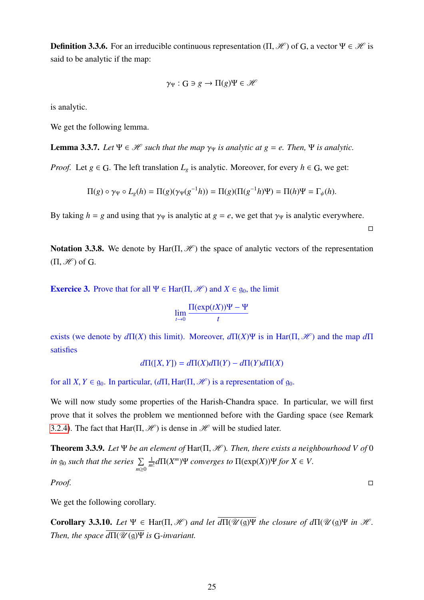**Definition 3.3.6.** For an irreducible continuous representation  $(\Pi, \mathcal{H})$  of G, a vector  $\Psi \in \mathcal{H}$  is said to be analytic if the map:

$$
\gamma_{\Psi}: G \ni g \to \Pi(g)\Psi \in \mathscr{H}
$$

is analytic.

We get the following lemma.

**Lemma 3.3.7.** Let  $\Psi \in \mathcal{H}$  such that the map  $\gamma_{\Psi}$  is analytic at  $g = e$ . Then,  $\Psi$  is analytic.

*Proof.* Let  $g \in G$ . The left translation  $L_g$  is analytic. Moreover, for every  $h \in G$ , we get:

$$
\Pi(g) \circ \gamma_{\Psi} \circ L_g(h) = \Pi(g)(\gamma_{\Psi}(g^{-1}h)) = \Pi(g)(\Pi(g^{-1}h)\Psi) = \Pi(h)\Psi = \Gamma_{\psi}(h).
$$

By taking  $h = g$  and using that  $\gamma_{\Psi}$  is analytic at  $g = e$ , we get that  $\gamma_{\Psi}$  is analytic everywhere.

 $\Box$ 

Notation 3.3.8. We denote by Har( $\Pi$ ,  $\mathcal{H}$ ) the space of analytic vectors of the representation  $(\Pi, \mathcal{H})$  of G.

**Exercice 3.** Prove that for all  $\Psi \in \text{Har}(\Pi, \mathcal{H})$  and  $X \in \mathfrak{g}_0$ , the limit

$$
\lim_{t \to 0} \frac{\Pi(\exp(tX))\Psi - \Psi}{t}
$$

exists (we denote by  $d\Pi(X)$  this limit). Moreover,  $d\Pi(X)\Psi$  is in Har( $\Pi$ ,  $\mathcal{H}$ ) and the map  $d\Pi$ satisfies

 $d\Pi([X, Y]) = d\Pi(X)d\Pi(Y) - d\Pi(Y)d\Pi(X)$ 

for all *X*,  $Y \in \mathfrak{g}_0$ . In particular,  $(d\Pi, \text{Har}(\Pi, \mathcal{H}))$  is a representation of  $\mathfrak{g}_0$ .

We will now study some properties of the Harish-Chandra space. In particular, we will first prove that it solves the problem we mentionned before with the Garding space (see Remark [3.2.4\)](#page-23-5). The fact that Har( $\Pi$ ,  $\mathcal{H}$ ) is dense in  $\mathcal{H}$  will be studied later.

<span id="page-25-1"></span>**Theorem 3.3.9.** Let  $\Psi$  *be an element of*  $\text{Har}(\Pi, \mathcal{H})$ *. Then, there exists a neighbourhood* V of 0 *in*  $g_0$  *such that the series*  $\sum_{m\geq 0}$ 1  $\frac{1}{m!}$ *d* $\Pi$ (*X*<sup>*m*</sup>)Ψ *converges to*  $\Pi$ (exp(*X*))Ψ *for X* ∈ *V*.

*Proof.*

We get the following corollary.

<span id="page-25-0"></span>**Corollary 3.3.10.** *Let*  $\Psi \in \text{Har}(\Pi, \mathcal{H})$  *and let*  $\overline{d\Pi(\mathcal{U}(\mathfrak{g})\Psi)}$  *the closure of*  $d\Pi(\mathcal{U}(\mathfrak{g})\Psi)$  *in*  $\mathcal{H}$ *. Then, the space*  $d\Pi(\mathscr{U}(\mathfrak{g})\Psi)$  *is* G-*invariant.*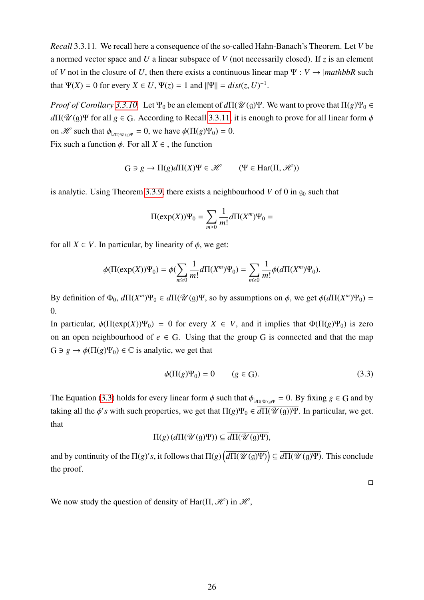<span id="page-26-0"></span>*Recall* 3.3.11*.* We recall here a consequence of the so-called Hahn-Banach's Theorem. Let *V* be a normed vector space and *U* a linear subspace of *V* (not necessarily closed). If *z* is an element of *V* not in the closure of *U*, then there exists a continuous linear map  $\Psi : V \rightarrow |mathbb{R}$  such that  $\Psi(X) = 0$  for every  $X \in U$ ,  $\Psi(z) = 1$  and  $||\Psi|| = dist(z, U)^{-1}$ .

*Proof of Corollary* [3.3.10.](#page-25-0) Let  $\Psi_0$  be an element of  $d\Pi(\mathcal{U}(\mathfrak{g})\Psi)$ . We want to prove that  $\Pi(g)\Psi_0 \in$  $\overline{d\Pi(\mathcal{U}(\mathfrak{g})\Psi}$  for all  $g \in G$ . According to Recall [3.3.11,](#page-26-0) it is enough to prove for all linear form  $\phi$ on  $\mathscr{H}$  such that  $\phi_{|d\Pi(\mathscr{U}(\mathfrak{g})\Psi)} = 0$ , we have  $\phi(\Pi(g)\Psi_0) = 0$ .

Fix such a function  $\phi$ . For all  $X \in$ , the function

$$
G \ni g \to \Pi(g)d\Pi(X)\Psi \in \mathcal{H} \qquad (\Psi \in Har(\Pi, \mathcal{H}))
$$

is analytic. Using Theorem [3.3.9,](#page-25-1) there exists a neighbourhood  $V$  of 0 in  $g_0$  such that

$$
\Pi(\exp(X))\Psi_0 = \sum_{m\geq 0} \frac{1}{m!} d\Pi(X^m)\Psi_0 =
$$

for all  $X \in V$ . In particular, by linearity of  $\phi$ , we get:

$$
\phi(\Pi(\exp(X))\Psi_0) = \phi(\sum_{m\geq 0} \frac{1}{m!} d\Pi(X^m)\Psi_0) = \sum_{m\geq 0} \frac{1}{m!} \phi(d\Pi(X^m)\Psi_0).
$$

By definition of  $\Phi_0$ ,  $d\Pi(X^m)\Psi_0 \in d\Pi(\mathcal{U}(\mathfrak{g})\Psi)$ , so by assumptions on φ, we get  $\phi(d\Pi(X^m)\Psi_0) =$ 0.

In particular,  $\phi(\Pi(\exp(X))\Psi_0) = 0$  for every  $X \in V$ , and it implies that  $\Phi(\Pi(g)\Psi_0)$  is zero on an open neighbourhood of  $e \in G$ . Using that the group G is connected and that the map  $G \ni g \to \phi(\Pi(g)\Psi_0) \in \mathbb{C}$  is analytic, we get that

<span id="page-26-1"></span>
$$
\phi(\Pi(g)\Psi_0) = 0 \qquad (g \in \mathcal{G}).\tag{3.3}
$$

The Equation [\(3.3\)](#page-26-1) holds for every linear form  $\phi$  such that  $\phi_{|d\Pi(\mathscr{U}_0)\Psi} = 0$ . By fixing  $g \in G$  and by taking all the  $\phi$ 's with such properties, we get that  $\Pi(g)\Psi_0 \in \overline{d\Pi(\mathcal{U}(\mathfrak{g}))\Psi}$ . In particular, we get. that

$$
\Pi(g)\left(d\Pi(\mathscr{U}(\mathfrak{g})\Psi)\right)\subseteq\overline{d\Pi(\mathscr{U}(\mathfrak{g})\Psi)},
$$

and by continuity of the  $\Pi(g)'s$ , it follows that  $\Pi(g)\left(\overline{d\Pi(\mathscr{U}(\mathfrak{g})\Psi)}\right) \subseteq \overline{d\Pi(\mathscr{U}(\mathfrak{g})\Psi)}$ . This conclude the proof.

 $\Box$ 

We now study the question of density of Har( $\Pi$ ,  $\mathcal{H}$ ) in  $\mathcal{H}$ ,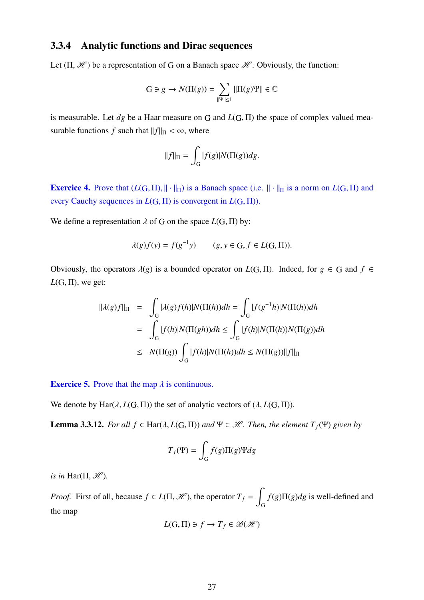### <span id="page-27-0"></span>3.3.4 Analytic functions and Dirac sequences

Let  $(\Pi, \mathcal{H})$  be a representation of G on a Banach space  $\mathcal{H}$ . Obviously, the function:

$$
\mathbf{G} \ni g \to N(\Pi(g)) = \sum_{\|\Psi\| \le 1} \|\Pi(g)\Psi\| \in \mathbb{C}
$$

is measurable. Let *dg* be a Haar measure on <sup>G</sup> and *<sup>L</sup>*(G, <sup>Π</sup>) the space of complex valued measurable functions *f* such that  $||f||_{\Pi} < \infty$ , where

$$
||f||_{\Pi} = \int_{G} |f(g)| N(\Pi(g)) dg.
$$

**Exercice 4.** Prove that  $(L(G, \Pi), || \cdot ||_{\Pi})$  is a Banach space (i.e.  $|| \cdot ||_{\Pi}$  is a norm on  $L(G, \Pi)$  and every Cauchy sequences in *<sup>L</sup>*(G, <sup>Π</sup>) is convergent in *<sup>L</sup>*(G, <sup>Π</sup>)).

We define a representation  $\lambda$  of G on the space  $L(G, \Pi)$  by:

$$
\lambda(g)f(y) = f(g^{-1}y) \qquad (g, y \in \mathcal{G}, f \in L(\mathcal{G}, \Pi)).
$$

Obviously, the operators  $\lambda(g)$  is a bounded operator on  $L(G, \Pi)$ . Indeed, for  $g \in G$  and  $f \in$  $L(G, \Pi)$ , we get:

$$
\begin{aligned} ||\lambda(g)f||_{\Pi} &= \int_{G} |\lambda(g)f(h)|N(\Pi(h))dh = \int_{G} |f(g^{-1}h)|N(\Pi(h))dh \\ &= \int_{G} |f(h)|N(\Pi(gh))dh \le \int_{G} |f(h)|N(\Pi(h))N(\Pi(g))dh \\ &\le N(\Pi(g)) \int_{G} |f(h)|N(\Pi(h))dh \le N(\Pi(g))||f||_{\Pi} \end{aligned}
$$

**Exercice 5.** Prove that the map  $\lambda$  is continuous.

We denote by  $\text{Har}(\lambda, L(G, \Pi))$  the set of analytic vectors of  $(\lambda, L(G, \Pi))$ .

**Lemma 3.3.12.** *For all f*  $\in$  Har( $\lambda$ ,  $L(G, \Pi)$ ) *and*  $\Psi \in \mathcal{H}$ *. Then, the element*  $T_f(\Psi)$  *given by* 

$$
T_f(\Psi) = \int_G f(g) \Pi(g) \Psi dg
$$

*is in* Har( $\Pi$ ,  $\mathcal{H}$ ).

*Proof.* First of all, because  $f \in L(\Pi, \mathcal{H})$ , the operator  $T_f = \int$ G *f*(*g*)Π(*g*)*dg* is well-defined and the map

$$
L(\mathbf{G}, \Pi) \ni f \to T_f \in \mathcal{B}(\mathcal{H})
$$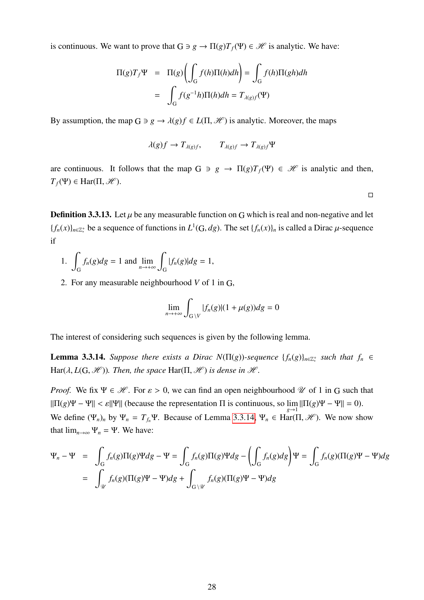is continuous. We want to prove that  $G \ni g \to \Pi(g)T_f(\Psi) \in \mathcal{H}$  is analytic. We have:

$$
\Pi(g)T_f\Psi = \Pi(g)\left(\int_G f(h)\Pi(h)dh\right) = \int_G f(h)\Pi(gh)dh
$$

$$
= \int_G f(g^{-1}h)\Pi(h)dh = T_{\lambda(g)f}(\Psi)
$$

By assumption, the map  $G \ni g \to \lambda(g)f \in L(\Pi, \mathcal{H})$  is analytic. Moreover, the maps

$$
\lambda(g)f \to T_{\lambda(g)f}, \qquad T_{\lambda(g)f} \to T_{\lambda(g)f} \Psi
$$

are continuous. It follows that the map  $G \ni g \to \Pi(g)T_f(\Psi) \in \mathcal{H}$  is analytic and then,  $T_f(\Psi) \in \text{Har}(\Pi, \mathcal{H}).$ 

 $\Box$ 

**Definition 3.3.13.** Let  $\mu$  be any measurable function on G which is real and non-negative and let  ${f_n(x)}_{n \in \mathbb{Z}_*^+}$  be a sequence of functions in *L*<sup>1</sup>(*G*, *dg*). The set  ${f_n(x)}_n$  is called a Dirac *μ*-sequence if

- $1.$ G  $f_n(g)dg = 1$  and  $\lim_{n \to +\infty}$  $\overline{\phantom{a}}$ G  $|f_n(g)|$ *dg* = 1,
- 2. For any measurable neighbourhood *V* of 1 in G,

$$
\lim_{n \to +\infty} \int_{G \setminus V} |f_n(g)|(1 + \mu(g)) dg = 0
$$

The interest of considering such sequences is given by the following lemma.

<span id="page-28-0"></span>**Lemma 3.3.14.** *Suppose there exists a Dirac N*( $\Pi(g)$ )-sequence  $\{f_n(g)\}_{n\in\mathbb{Z}_{*}^+}$  *such that*  $f_n \in$  $\text{Har}(\lambda, L(G, \mathcal{H}))$ *. Then, the space*  $\text{Har}(\Pi, \mathcal{H})$  *is dense in*  $\mathcal{H}$ *.* 

*Proof.* We fix  $\Psi \in \mathcal{H}$ . For  $\varepsilon > 0$ , we can find an open neighbourhood  $\mathcal{U}$  of 1 in G such that  $||\Pi(g)\Psi - \Psi|| < \varepsilon ||\Psi||$  (because the representation  $\Pi$  is continuous, so  $\lim_{g \to 1} ||\Pi(g)\Psi - \Psi|| = 0$ ). *g*→1 We define  $(\Psi_n)_n$  by  $\Psi_n = T_{f_n}\Psi$ . Because of Lemma [3.3.14,](#page-28-0)  $\Psi_n \in Har(\Pi, \mathcal{H})$ . We now show that  $\lim_{n\to\infty} \Psi_n = \Psi$ . We have:

$$
\Psi_n - \Psi = \int_G f_n(g) \Pi(g) \Psi dg - \Psi = \int_G f_n(g) \Pi(g) \Psi dg - \left( \int_G f_n(g) dg \right) \Psi = \int_G f_n(g) (\Pi(g) \Psi - \Psi) dg
$$
  
= 
$$
\int_{\mathcal{U}} f_n(g) (\Pi(g) \Psi - \Psi) dg + \int_{G \setminus \mathcal{U}} f_n(g) (\Pi(g) \Psi - \Psi) dg
$$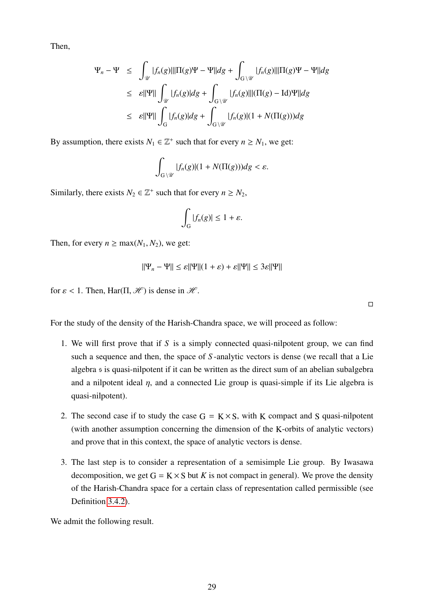Then,

$$
\Psi_n - \Psi \le \int_{\mathcal{U}} |f_n(g)| \|\Pi(g)\Psi - \Psi\| dg + \int_{G \setminus \mathcal{U}} |f_n(g)| \|\Pi(g)\Psi - \Psi\| dg
$$
  
\n
$$
\le \varepsilon \|\Psi\| \int_{\mathcal{U}} |f_n(g)| dg + \int_{G \setminus \mathcal{U}} |f_n(g)| \|(\Pi(g) - \text{Id})\Psi\| dg
$$
  
\n
$$
\le \varepsilon \|\Psi\| \int_G |f_n(g)| dg + \int_{G \setminus \mathcal{U}} |f_n(g)| (1 + N(\Pi(g))) dg
$$

By assumption, there exists  $N_1 \in \mathbb{Z}^+$  such that for every  $n \geq N_1$ , we get:

$$
\int_{G\setminus\mathcal{U}}|f_n(g)|(1+N(\Pi(g)))dg<\varepsilon.
$$

Similarly, there exists  $N_2 \in \mathbb{Z}^+$  such that for every  $n \ge N_2$ ,

$$
\int_G |f_n(g)| \leq 1 + \varepsilon.
$$

Then, for every  $n \ge \max(N_1, N_2)$ , we get:

$$
\|\Psi_n - \Psi\| \le \varepsilon \|\Psi\|(1 + \varepsilon) + \varepsilon \|\Psi\| \le 3\varepsilon \|\Psi\|
$$

for  $\varepsilon$  < 1. Then, Har( $\Pi$ ,  $\mathcal{H}$ ) is dense in  $\mathcal{H}$ .

 $\Box$ 

For the study of the density of the Harish-Chandra space, we will proceed as follow:

- 1. We will first prove that if *S* is a simply connected quasi-nilpotent group, we can find such a sequence and then, the space of *S* -analytic vectors is dense (we recall that a Lie algebra s is quasi-nilpotent if it can be written as the direct sum of an abelian subalgebra and a nilpotent ideal  $\eta$ , and a connected Lie group is quasi-simple if its Lie algebra is quasi-nilpotent).
- 2. The second case if to study the case  $G = K \times S$ , with K compact and S quasi-nilpotent (with another assumption concerning the dimension of the K-orbits of analytic vectors) and prove that in this context, the space of analytic vectors is dense.
- 3. The last step is to consider a representation of a semisimple Lie group. By Iwasawa decomposition, we get  $G = K \times S$  but *K* is not compact in general). We prove the density of the Harish-Chandra space for a certain class of representation called permissible (see Definition [3.4.2\)](#page-32-0).

We admit the following result.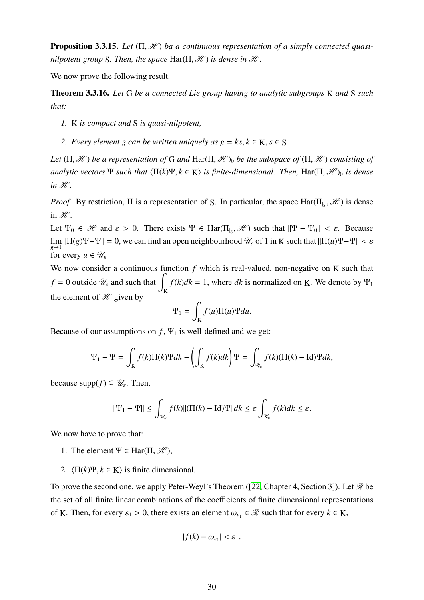<span id="page-30-1"></span>**Proposition 3.3.15.** Let (Π, *H*) ba a continuous representation of a simply connected quasi*nilpotent group S. Then, the space*  $\text{Har}(\Pi, \mathcal{H})$  *is dense in*  $\mathcal{H}$ *.* 

We now prove the following result.

Theorem 3.3.16. *Let* G *be a connected Lie group having to analytic subgroups* K *and* S *such that:*

- *1.* K *is compact and* S *is quasi-nilpotent,*
- <span id="page-30-0"></span>*2. Every element g can be written uniquely as*  $g = ks, k \in K, s \in S$ *.*

*Let*  $(\Pi, \mathcal{H})$  *be a representation of* G *and* Har $(\Pi, \mathcal{H})_0$  *be the subspace of*  $(\Pi, \mathcal{H})$  *consisting of analytic vectors* Ψ *such that*  $\langle \Pi(k)\Psi, k \in K \rangle$  *is finite-dimensional. Then,* Har $(\Pi, \mathcal{H})_0$  *is dense*  $in \mathcal{H}$ *.* 

*Proof.* By restriction,  $\Pi$  is a representation of S. In particular, the space  $\text{Har}(\Pi_{\vert_S}, \mathcal{H})$  is dense in  $\mathscr{H}$ .

Let  $\Psi_0 \in \mathcal{H}$  and  $\varepsilon > 0$ . There exists  $\Psi \in Har(\Pi_{\vert_S}, \mathcal{H})$  such that  $\|\Psi - \Psi_0\| < \varepsilon$ . Because  $\lim_{g \to 1} ||\Pi(g)\Psi - \Psi|| = 0$ , we can find an open neighbourhood  $\mathcal{U}_{\varepsilon}$  of 1 in K such that  $||\Pi(u)\Psi - \Psi|| < \varepsilon$ for every  $u \in \mathscr{U}_{\varepsilon}$ 

We now consider a continuous function *f* which is real-valued, non-negative on K such that  $f = 0$  outside  $\mathcal{U}_{\varepsilon}$  and such that  $\int_{K}$  $f(k)dk = 1$ , where *dk* is normalized on K. We denote by  $\Psi_1$ the element of  $\mathscr H$  given by

$$
\Psi_1 = \int_K f(u) \Pi(u) \Psi du.
$$

Because of our assumptions on  $f$ ,  $\Psi_1$  is well-defined and we get:

$$
\Psi_1 - \Psi = \int_K f(k) \Pi(k) \Psi dk - \left( \int_K f(k) dk \right) \Psi = \int_{\mathcal{U}_{\varepsilon}} f(k) (\Pi(k) - \text{Id}) \Psi dk,
$$

because supp $(f) \subseteq \mathscr{U}_{\varepsilon}$ . Then,

$$
\|\Psi_1 - \Psi\| \le \int_{\mathcal{U}_{\varepsilon}} f(k) \|(\Pi(k) - \text{Id})\Psi\| dk \le \varepsilon \int_{\mathcal{U}_{\varepsilon}} f(k) dk \le \varepsilon.
$$

We now have to prove that:

- 1. The element  $\Psi \in Har(\Pi, \mathcal{H}),$
- 2.  $\langle \Pi(k)\Psi, k \in \mathbb{K} \rangle$  is finite dimensional.

To prove the second one, we apply Peter-Weyl's Theorem ([\[22,](#page-98-1) Chapter 4, Section 3]). Let  $\mathcal{R}$  be the set of all finite linear combinations of the coefficients of finite dimensional representations of K. Then, for every  $\varepsilon_1 > 0$ , there exists an element  $\omega_{\varepsilon_1} \in \mathcal{R}$  such that for every  $k \in K$ ,

$$
|f(k)-\omega_{\varepsilon_1}|<\varepsilon_1.
$$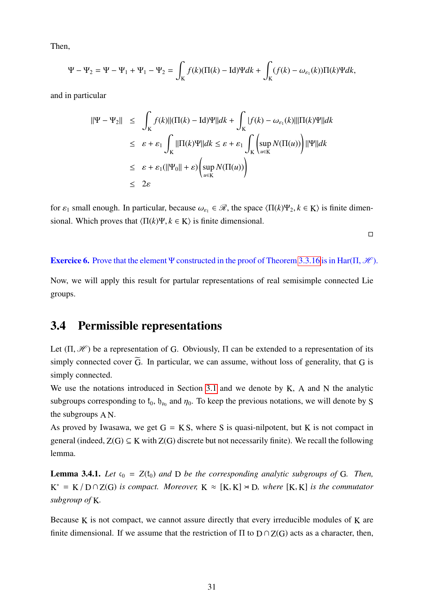Then,

$$
\Psi - \Psi_2 = \Psi - \Psi_1 + \Psi_1 - \Psi_2 = \int_K f(k) (\Pi(k) - \text{Id}) \Psi dk + \int_K (f(k) - \omega_{\varepsilon_1}(k)) \Pi(k) \Psi dk,
$$

and in particular

$$
\|\Psi - \Psi_2\| \leq \int_K f(k) \|(\Pi(k) - \text{Id})\Psi\| dk + \int_K |f(k) - \omega_{\varepsilon_1}(k)\| \Pi(k)\Psi\| dk
$$
  
\n
$$
\leq \varepsilon + \varepsilon_1 \int_K \|\Pi(k)\Psi\| dk \leq \varepsilon + \varepsilon_1 \int_K \left(\sup_{u \in K} N(\Pi(u))\right) \|\Psi\| dk
$$
  
\n
$$
\leq \varepsilon + \varepsilon_1 (\|\Psi_0\| + \varepsilon) \left(\sup_{u \in K} N(\Pi(u))\right)
$$
  
\n
$$
\leq 2\varepsilon
$$

for  $\varepsilon_1$  small enough. In particular, because  $\omega_{\varepsilon_1} \in \mathcal{R}$ , the space  $\langle \Pi(k)\Psi_2, k \in \mathbb{K} \rangle$  is finite dimensional. Which proves that  $\langle \Pi(k)\Psi, k \in \mathbf{K} \rangle$  is finite dimensional.

 $\Box$ 

**Exercice 6.** Prove that the element Ψ constructed in the proof of Theorem [3.3.16](#page-30-0) is in Har( $\Pi$ ,  $\mathcal{H}$ ).

Now, we will apply this result for partular representations of real semisimple connected Lie groups.

## <span id="page-31-0"></span>3.4 Permissible representations

Let  $(\Pi, \mathcal{H})$  be a representation of G. Obviously,  $\Pi$  can be extended to a representation of its simply connected cover  $\tilde{G}$ . In particular, we can assume, without loss of generality, that G is simply connected.

We use the notations introduced in Section [3.1](#page-20-1) and we denote by  $K$ ,  $A$  and  $N$  the analytic subgroups corresponding to  $t_0$ ,  $b_{p_0}$  and  $\eta_0$ . To keep the previous notations, we will denote by S the subgroups A N.

As proved by Iwasawa, we get  $G = KS$ , where S is quasi-nilpotent, but K is not compact in general (indeed,  $Z(G) \subseteq K$  with  $Z(G)$  discrete but not necessarily finite). We recall the following lemma.

<span id="page-31-1"></span>**Lemma 3.4.1.** Let  $c_0 = Z(f_0)$  and D be the corresponding analytic subgroups of G. Then,  $K^* = K/D \cap Z(G)$  *is compact. Moreover,*  $K \approx [K, K] \rtimes D$ *, where*  $[K, K]$  *is the commutator subgroup of* K*.*

Because K is not compact, we cannot assure directly that every irreducible modules of K are finite dimensional. If we assume that the restriction of  $\Pi$  to  $D \cap Z(G)$  acts as a character, then,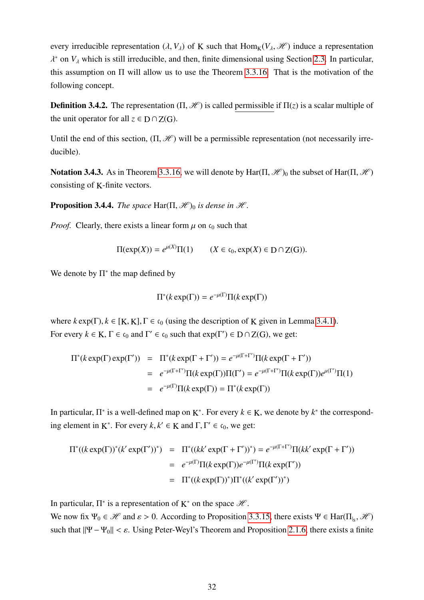every irreducible representation  $(\lambda, V_{\lambda})$  of K such that  $\text{Hom}_{K}(V_{\lambda}, \mathcal{H})$  induce a representation λ  $\lambda^*$  on  $V_\lambda$  which is still irreducible, and then, finite dimensional using Section [2.3.](#page-17-0) In particular, this assumption on  $\Pi$  will allow us to use the Theorem [3.3.16.](#page-30-0) That is the motivation of the following concept.

<span id="page-32-0"></span>**Definition 3.4.2.** The representation  $(\Pi, \mathcal{H})$  is called permissible if  $\Pi(z)$  is a scalar multiple of the unit operator for all  $z \in D \cap Z(G)$ .

Until the end of this section,  $(\Pi, \mathcal{H})$  will be a permissible representation (not necessarily irreducible).

**Notation 3.4.3.** As in Theorem [3.3.16,](#page-30-0) we will denote by Har( $\Pi$ ,  $\mathcal{H}$ )<sub>0</sub> the subset of Har( $\Pi$ ,  $\mathcal{H}$ ) consisting of K-finite vectors.

**Proposition 3.4.4.** *The space*  $\text{Har}(\Pi, \mathcal{H})_0$  *is dense in*  $\mathcal{H}$ *.* 

*Proof.* Clearly, there exists a linear form  $\mu$  on  $\mathfrak{c}_0$  such that

$$
\Pi(\exp(X)) = e^{\mu(X)}\Pi(1) \qquad (X \in \mathfrak{c}_0, \exp(X) \in D \cap Z(G)).
$$

We denote by  $\Pi^*$  the map defined by

$$
\Pi^*(k \exp(\Gamma)) = e^{-\mu(\Gamma)} \Pi(k \exp(\Gamma))
$$

where  $k \exp(\Gamma)$ ,  $k \in [K, K]$ ,  $\Gamma \in \mathfrak{c}_0$  (using the description of K given in Lemma [3.4.1\)](#page-31-1). For every  $k \in K$ ,  $\Gamma \in \mathfrak{c}_0$  and  $\Gamma' \in \mathfrak{c}_0$  such that  $exp(\Gamma') \in D \cap Z(G)$ , we get:

$$
\Pi^*(k \exp(\Gamma) \exp(\Gamma')) = \Pi^*(k \exp(\Gamma + \Gamma')) = e^{-\mu(\Gamma + \Gamma')} \Pi(k \exp(\Gamma + \Gamma'))
$$
  
\n
$$
= e^{-\mu(\Gamma + \Gamma')} \Pi(k \exp(\Gamma)) \Pi(\Gamma') = e^{-\mu(\Gamma + \Gamma')} \Pi(k \exp(\Gamma)) e^{\mu(\Gamma')} \Pi(1)
$$
  
\n
$$
= e^{-\mu(\Gamma)} \Pi(k \exp(\Gamma)) = \Pi^*(k \exp(\Gamma))
$$

In particular,  $\Pi^*$  is a well-defined map on K<sup>\*</sup>. For every  $k \in K$ , we denote by  $k^*$  the corresponding element in K<sup>\*</sup>. For every  $k, k' \in K$  and  $\Gamma, \Gamma' \in \mathfrak{c}_0$ , we get:

$$
\Pi^*((k \exp(\Gamma))^*(k' \exp(\Gamma'))^*) = \Pi^*((kk' \exp(\Gamma + \Gamma'))^*) = e^{-\mu(\Gamma + \Gamma')} \Pi(kk' \exp(\Gamma + \Gamma'))
$$
  
=  $e^{-\mu(\Gamma)} \Pi(k \exp(\Gamma))e^{-\mu(\Gamma')} \Pi(k \exp(\Gamma'))$   
=  $\Pi^*((k \exp(\Gamma))^*) \Pi^*((k' \exp(\Gamma'))^*)$ 

In particular,  $\Pi^*$  is a representation of  $K^*$  on the space  $\mathcal{H}$ .

We now fix  $\Psi_0 \in \mathcal{H}$  and  $\varepsilon > 0$ . According to Proposition [3.3.15,](#page-30-1) there exists  $\Psi \in Har(\Pi_{\vert_S}, \mathcal{H})$ such that  $||\Psi - \Psi_0|| < \varepsilon$ . Using Peter-Weyl's Theorem and Proposition [2.1.6,](#page-9-1) there exists a finite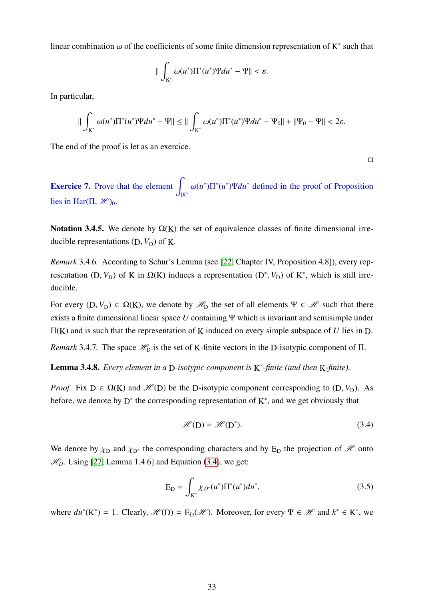linear combination  $\omega$  of the coefficients of some finite dimension representation of  $K^*$  such that

$$
\|\int_{K^*}\omega(u^*)\Pi^*(u^*)\Psi du^*-\Psi\|<\varepsilon.
$$

In particular,

$$
\|\int_{K^*}\omega(u^*)\Pi^*(u^*)\Psi du^* - \Psi\| \le \|\int_{K^*}\omega(u^*)\Pi^*(u^*)\Psi du^* - \Psi_0\| + \|\Psi_0 - \Psi\| < 2\varepsilon.
$$

The end of the proof is let as an exercice.

 $\Box$ 

**Exercice 7.** Prove that the element  $\int_{|K^*} \omega(u^*) \Pi^*(u^*) \Psi du^*$  defined in the proof of Proposition lies in Har( $\Pi$ ,  $\mathcal{H}$ )<sub>0</sub>.

Notation 3.4.5. We denote by  $\Omega(K)$  the set of equivalence classes of finite dimensional irreducible representations  $(D, V_D)$  of K.

*Remark* 3.4.6*.* According to Schur's Lemma (see [\[22,](#page-98-1) Chapter IV, Proposition 4.8]), every representation (D,  $V_D$ ) of K in  $\Omega(K)$  induces a representation (D<sup>\*</sup>,  $V_D$ ) of K<sup>\*</sup>, which is still irreducible.

For every  $(D, V_D) \in \Omega(K)$ , we denote by  $\mathcal{H}_D$  the set of all elements  $\Psi \in \mathcal{H}$  such that there exists a finite dimensional linear space *U* containing Ψ which is invariant and semisimple under Π(K) and is such that the representation of K induced on every simple subspace of *U* lies in D.

*Remark* 3.4.7. The space  $\mathcal{H}_{\text{D}}$  is the set of K-finite vectors in the D-isotypic component of  $\Pi$ .

Lemma 3.4.8. *Every element in a* D*-isotypic component is* K ∗ *-finite (and then* K*-finite).*

*Proof.* Fix  $D \in \Omega(K)$  and  $\mathcal{H}(D)$  be the D-isotypic component corresponding to  $(D, V_D)$ . As before, we denote by  $D^*$  the corresponding representation of  $K^*$ , and we get obviously that

<span id="page-33-0"></span>
$$
\mathcal{H}(D) = \mathcal{H}(D^*). \tag{3.4}
$$

We denote by  $\chi_{\text{D}}$  and  $\chi_{\text{D}^*}$  the corresponding characters and by E<sub>D</sub> the projection of  $\mathcal{H}$  onto  $\mathcal{H}_D$ . Using [\[27,](#page-99-0) Lemma 1.4.6] and Equation [\(3.4\)](#page-33-0), we get:

$$
E_D = \int_{K^*} \chi_{D^*}(u^*) \Pi^*(u^*) du^*,
$$
\n(3.5)

where  $du^*(K^*) = 1$ . Clearly,  $\mathcal{H}(D) = E_D(\mathcal{H})$ . Moreover, for every  $\Psi \in \mathcal{H}$  and  $k^* \in K^*$ , we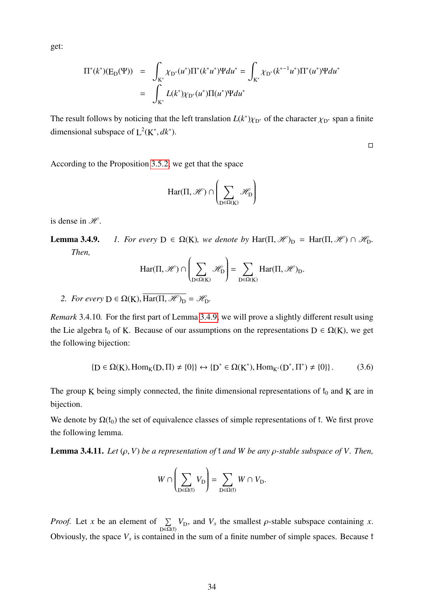get:

$$
\Pi^*(k^*)(E_D(\Psi)) = \int_{K^*} \chi_{D^*}(u^*) \Pi^*(k^*u^*) \Psi du^* = \int_{K^*} \chi_{D^*}(k^{*-1}u^*) \Pi^*(u^*) \Psi du^* \n= \int_{K^*} L(k^*) \chi_{D^*}(u^*) \Pi(u^*) \Psi du^*
$$

The result follows by noticing that the left translation  $L(k^*)\chi_{D^*}$  of the character  $\chi_{D^*}$  span a finite dimensional subspace of  $L^2(K^*, dk^*)$ .

 $\Box$ 

According to the Proposition [3.5.2,](#page-36-0) we get that the space

$$
Har(\Pi, \mathscr{H}) \cap \left( \sum_{D \in \Omega(K)} \mathscr{H}_D \right)
$$

is dense in  $H$ .

**Lemma 3.4.9.** *1. For every*  $D \in \Omega(K)$ *, we denote by* Har( $\Pi$ ,  $\mathcal{H}_{D}$  = Har( $\Pi$ ,  $\mathcal{H}_{D} \cap \mathcal{H}_{D}$ *. Then,*

$$
Har(\Pi, \mathscr{H}) \cap \left(\sum_{D \in \Omega(K)} \mathscr{H}_D\right) = \sum_{D \in \Omega(K)} Har(\Pi, \mathscr{H})_D.
$$

<span id="page-34-0"></span>*2. For every*  $D \in \Omega(K)$ ,  $\overline{\text{Har}(\Pi, \mathcal{H})_D} = \mathcal{H}_D$ .

*Remark* 3.4.10*.* For the first part of Lemma [3.4.9,](#page-34-0) we will prove a slightly different result using the Lie algebra  $t_0$  of K. Because of our assumptions on the representations  $D \in \Omega(K)$ , we get the following bijection:

<span id="page-34-1"></span>
$$
\{D \in \Omega(K), \text{Hom}_{K}(D, \Pi) \neq \{0\}\} \leftrightarrow \{D^* \in \Omega(K^*), \text{Hom}_{K^*}(D^*, \Pi^*) \neq \{0\}\}.
$$
 (3.6)

The group K being simply connected, the finite dimensional representations of  $t_0$  and K are in bijection.

We denote by  $\Omega(f_0)$  the set of equivalence classes of simple representations of f. We first prove the following lemma.

**Lemma 3.4.11.** *Let*  $(\rho, V)$  *be a representation of*  $\mathfrak{k}$  *and*  $W$  *be any*  $\rho$ -stable subspace of  $V$ . Then,

$$
W\cap\left(\sum_{\mathrm{D}\in\Omega(\mathrm{f})}V_\mathrm{D}\right)=\sum_{\mathrm{D}\in\Omega(\mathrm{f})}W\cap V_\mathrm{D}.
$$

*Proof.* Let *x* be an element of  $\Sigma$  $\sum_{D \in \Omega(t)} V_D$ , and  $V_x$  the smallest  $\rho$ -stable subspace containing *x*. Obviously, the space  $V_x$  is contained in the sum of a finite number of simple spaces. Because  $\mathfrak k$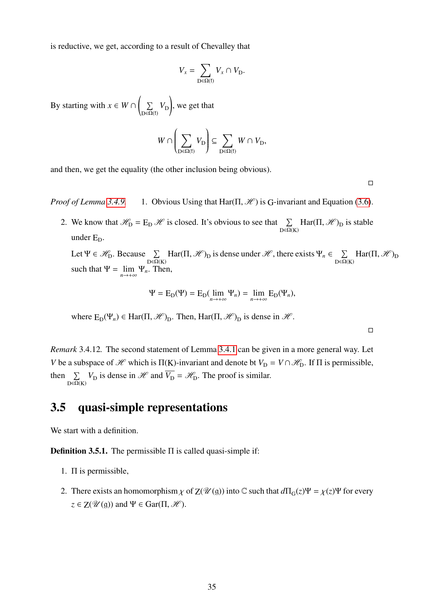is reductive, we get, according to a result of Chevalley that

$$
V_x = \sum_{\mathbf{D} \in \Omega(\mathfrak{f})} V_x \cap V_{\mathbf{D}}.
$$

By starting with  $x \in W \cap Y$  $\sqrt{2}$  $\sum$  $\sum\limits_{\mathrm{D}\in \Omega(\mathrm{f})}V_{\mathrm{D}}$ ! , we get that

$$
W\cap \left(\sum_{{\rm D}\in \Omega({\rm f})} V_{\rm D}\right) \subseteq \sum_{{\rm D}\in \Omega({\rm f})} W\cap V_{\rm D},
$$

and then, we get the equality (the other inclusion being obvious).

 $\Box$ 

 $\Box$ 

*Proof of Lemma* [3.4.9.](#page-34-0) 1. Obvious Using that  $\text{Har}(\Pi, \mathcal{H})$  is G-invariant and Equation [\(3.6\)](#page-34-1).

2. We know that  $\mathcal{H}_D = E_D \mathcal{H}$  is closed. It's obvious to see that  $\sum_{D \in \Omega(K)} Har(\Pi, \mathcal{H})_D$  is stable under  $E_D$ .

Let  $\Psi \in \mathscr{H}_{D}$ . Because  $\sum_{D \in \Omega(K)} \text{Har}(\Pi, \mathscr{H})_{D}$  is dense under  $\mathscr{H}$ , there exists  $\Psi_{n} \in \sum_{D \in \Omega(K)} \Pi(\Pi, \mathscr{H})_{D}$  $\sum_{D \in \Omega(K)} \text{Har}(\Pi, \mathcal{H})_D$ such that  $\Psi = \lim_{n \to +\infty} \Psi_n$ . Then,

$$
\Psi = \mathcal{E}_{\mathcal{D}}(\Psi) = \mathcal{E}_{\mathcal{D}}(\lim_{n \to +\infty} \Psi_n) = \lim_{n \to +\infty} \mathcal{E}_{\mathcal{D}}(\Psi_n),
$$

where  $E_D(\Psi_n) \in Har(\Pi, \mathcal{H})_D$ . Then,  $Har(\Pi, \mathcal{H})_D$  is dense in  $\mathcal{H}$ .

*Remark* 3.4.12*.* The second statement of Lemma [3.4.1](#page-31-1) can be given in a more general way. Let *V* be a subspace of  $\mathcal{H}$  which is  $\Pi(K)$ -invariant and denote bt  $V_D = V \cap \mathcal{H}_D$ . If  $\Pi$  is permissible, then  $\sum V_{\text{D}}$  is dense in  $\mathcal{H}$  and  $V_{\text{D}} = \mathcal{H}_{\text{D}}$ . The proof is similar.  $D \in \overline{\Omega}(K)$ 

## <span id="page-35-0"></span>3.5 quasi-simple representations

We start with a definition.

**Definition 3.5.1.** The permissible  $\Pi$  is called quasi-simple if:

- 1. Π is permissible,
- 2. There exists an homomorphism  $\chi$  of  $Z(\mathcal{U}(\mathfrak{g}))$  into C such that  $d\Pi_G(z)\Psi = \chi(z)\Psi$  for every  $z \in Z(\mathcal{U}(\mathfrak{g}))$  and  $\Psi \in \text{Gar}(\Pi, \mathcal{H})$ .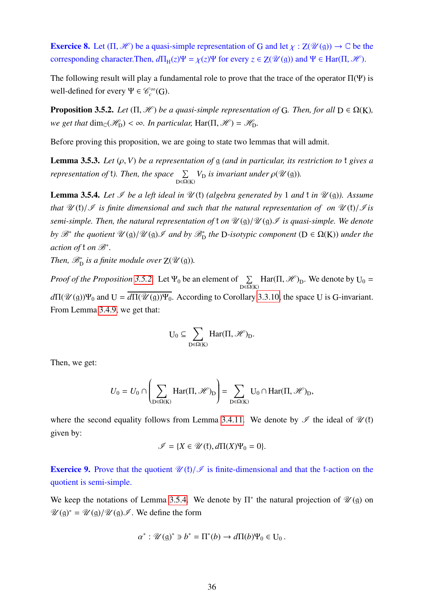**Exercice 8.** Let  $(\Pi, \mathcal{H})$  be a quasi-simple representation of G and let  $\chi : \mathbb{Z}(\mathcal{U}(\mathfrak{g})) \to \mathbb{C}$  be the corresponding character.Then,  $d\Pi_H(z)\Psi = \chi(z)\Psi$  for every  $z \in Z(\mathcal{U}(\mathfrak{g}))$  and  $\Psi \in \text{Har}(\Pi, \mathcal{H})$ .

The following result will play a fundamental role to prove that the trace of the operator  $\Pi(\Psi)$  is well-defined for every  $\Psi \in \mathcal{C}_c^{\infty}(G)$ .

<span id="page-36-0"></span>**Proposition 3.5.2.** *Let*  $(\Pi, \mathcal{H})$  *be a quasi-simple representation of* G. *Then, for all*  $D \in \Omega(K)$ *, we get that*  $\dim_{\mathbb{C}}(\mathcal{H}_D) < \infty$ *. In particular, Har(* $\Pi, \mathcal{H}$ *) =*  $\mathcal{H}_D$ *.* 

Before proving this proposition, we are going to state two lemmas that will admit.

**Lemma 3.5.3.** *Let*  $(\rho, V)$  *be a representation of* g *(and in particular, its restriction to*  $\mathfrak{k}$  *gives a representation of t*). Then, the space  $\Sigma$  $\sum_{D \in \Omega(K)} V_D$  *is invariant under*  $\rho(\mathcal{U}(\mathfrak{g}))$ *.* 

<span id="page-36-1"></span>**Lemma 3.5.4.** Let  $\mathcal{I}$  be a left ideal in  $\mathcal{U}$  (f) (algebra generated by 1 and f in  $\mathcal{U}(\mathfrak{g})$ ). Assume *that*  $\mathcal{U}(\mathfrak{f})/\mathcal{I}$  *is finite dimensional and such that the natural representation of on*  $\mathcal{U}(\mathfrak{f})/\mathcal{I}$ *is semi-simple. Then, the natural representation of*  $\mathfrak{t}$  *on*  $\mathcal{U}(\mathfrak{g})/\mathcal{U}(\mathfrak{g})\mathcal{I}$  *is quasi-simple. We denote by*  $\mathscr{B}^*$  *the quotient*  $\mathscr{U}(\mathfrak{g})/\mathscr{U}(\mathfrak{g})\mathscr{I}$  *and by*  $\mathscr{B}^*_{D}$  *the* D-*isotypic component* ( $D \in \Omega(K)$ *) under the action of* ₹ *on*  $\mathscr{B}^*$ *.* 

*Then,*  $\mathscr{B}_{D}^{*}$  *is a finite module over*  $Z(\mathscr{U}(\mathfrak{g}))$ *.* 

*Proof of the Proposition* [3.5.2.](#page-36-0) Let  $\Psi_0$  be an element of  $\Sigma$  $\sum_{D \in \Omega(K)} \text{Har}(\Pi, \mathcal{H})_D$ . We denote by  $U_0 =$  $d\Pi(\mathcal{U}(\mathfrak{g}))\Psi_0$  and  $U = \overline{d\Pi(\mathcal{U}(\mathfrak{g}))\Psi_0}$ . According to Corollary [3.3.10,](#page-25-0) the space U is G-invariant. From Lemma [3.4.9,](#page-34-0) we get that:

$$
U_0\subseteq \sum_{D\in \Omega(K)} Har(\Pi,\mathscr{H})_D.
$$

Then, we get:

$$
U_0 = U_0 \cap \left(\sum_{D \in \Omega(K)} \text{Har}(\Pi, \mathcal{H})_D\right) = \sum_{D \in \Omega(K)} U_0 \cap \text{Har}(\Pi, \mathcal{H})_D,
$$

where the second equality follows from Lemma [3.4.11.](#page-34-1) We denote by  $\mathscr I$  the ideal of  $\mathscr U(\mathfrak k)$ given by:

$$
\mathscr{I} = \{ X \in \mathscr{U}(\mathfrak{k}), d\Pi(X)\Psi_0 = 0 \}.
$$

**Exercice 9.** Prove that the quotient  $\mathcal{U}(t)/\mathcal{I}$  is finite-dimensional and that the f-action on the quotient is semi-simple.

We keep the notations of Lemma [3.5.4.](#page-36-1) We denote by  $\Pi^*$  the natural projection of  $\mathcal{U}(\mathfrak{g})$  on  $\mathscr{U}(\mathfrak{g})^* = \mathscr{U}(\mathfrak{g})/\mathscr{U}(\mathfrak{g})\mathscr{I}$ . We define the form

$$
\alpha^* : \mathscr{U}(\mathfrak{g})^* \ni b^* = \Pi^*(b) \to d\Pi(b)\Psi_0 \in U_0.
$$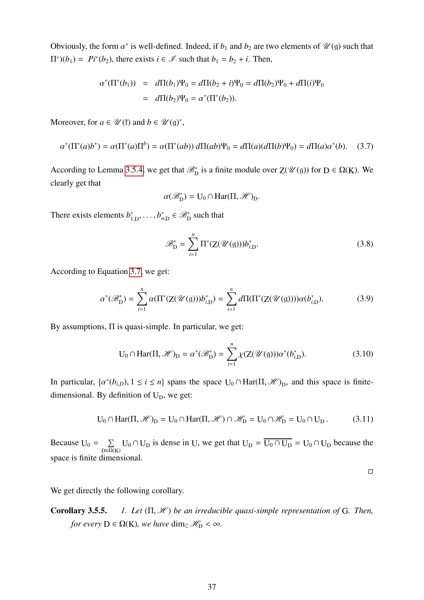Obviously, the form  $\alpha^*$  is well-defined. Indeed, if  $b_1$  and  $b_2$  are two elements of  $\mathcal{U}(\mathfrak{g})$  such that  $\Pi^*(b_1) = Pi^*(b_2)$ , there exists  $i \in \mathcal{I}$  such that  $b_1 = b_2 + i$ . Then,

$$
\alpha^*(\Pi^*(b_1)) = d\Pi(b_1)\Psi_0 = d\Pi(b_2 + i)\Psi_0 = d\Pi(b_2)\Psi_0 + d\Pi(i)\Psi_0
$$
  
=  $d\Pi(b_2)\Psi_0 = \alpha^*(\Pi^*(b_2)).$ 

Moreover, for  $a \in \mathcal{U}(\mathfrak{k})$  and  $b \in \mathcal{U}(\mathfrak{g})^*$ ,

<span id="page-37-0"></span>
$$
\alpha^*(\Pi^*(a)b^*) = \alpha(\Pi^*(a)\Pi^b) = \alpha(\Pi^*(ab)) \, d\Pi(ab)\Psi_0 = d\Pi(a)(d\Pi(b)\Psi_0) = d\Pi(a)\alpha^*(b). \tag{3.7}
$$

According to Lemma [3.5.4,](#page-36-1) we get that  $\mathcal{B}_{D}^{*}$  is a finite module over  $Z(\mathcal{U}(\mathfrak{g}))$  for  $D \in \Omega(K)$ . We clearly get that

$$
\alpha(\mathscr{B}_D^*) = U_0 \cap \text{Har}(\Pi, \mathscr{H})_D.
$$

There exists elements  $b_1^*$  $i_{1,D}^*, \ldots, b_{n,D}^* \in \mathcal{B}_D^*$  such that

$$
\mathcal{B}_{\mathcal{D}}^* = \sum_{i=1}^n \Pi^*(\mathcal{Z}(\mathcal{U}(\mathfrak{g}))) b_{i,\mathcal{D}}^*.
$$
 (3.8)

According to Equation [3.7,](#page-37-0) we get:

$$
\alpha^*(\mathcal{B}_D^*) = \sum_{i=1}^n \alpha(\Pi^*(Z(\mathcal{U}(g)))b_{i,D}^*) = \sum_{i=1}^n d\Pi(\Pi^*(Z(\mathcal{U}(g))))\alpha(b_{i,D}^*).
$$
(3.9)

By assumptions, Π is quasi-simple. In particular, we get:

$$
U_0 \cap Har(\Pi, \mathcal{H})_D = \alpha^*(\mathcal{B}_D^*) = \sum_{i=1}^n \chi(Z(\mathcal{U}(g)))\alpha^*(b_{i,D}^*).
$$
 (3.10)

In particular,  $\{\alpha^*(b_{i,D}), 1 \le i \le n\}$  spans the space  $U_0 \cap Har(\Pi, \mathcal{H})_D$ , and this space is finiteα dimensional. By definition of  $U_D$ , we get:

$$
U_0 \cap Har(\Pi, \mathscr{H})_D = U_0 \cap Har(\Pi, \mathscr{H}) \cap \mathscr{H}_D = U_0 \cap \mathscr{H}_D = U_0 \cap U_D.
$$
 (3.11)

Because  $U_0 = \sum$  $\sum_{D \in \Omega(K)} U_0 \cap U_D$  is dense in U, we get that  $U_D = \overline{U_0 \cap U_D} = U_0 \cap U_D$  because the space is finite dimensional.

 $\Box$ 

We get directly the following corollary.

Corollary 3.5.5. *1. Let* (Π, <sup>H</sup> ) *be an irreducible quasi-simple representation of* <sup>G</sup>*. Then, for every*  $D \in \Omega(K)$ *, we have* dim<sub>C</sub>  $\mathcal{H}_D < \infty$ *.*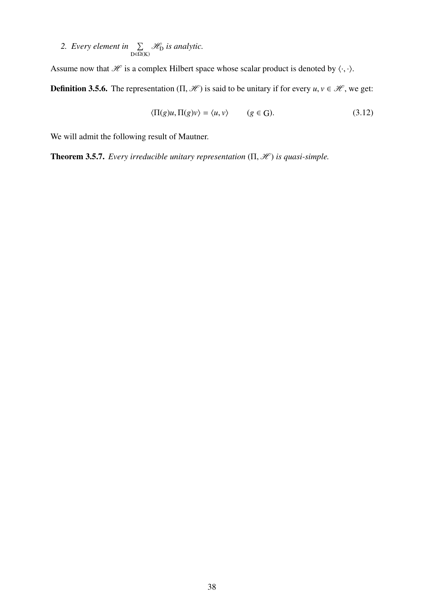<span id="page-38-0"></span>2. *Every element in*  $\Sigma$  $\sum_{D \in \Omega(K)}$ *H*<sub>D</sub> is analytic.

Assume now that  $\mathcal H$  is a complex Hilbert space whose scalar product is denoted by  $\langle \cdot, \cdot \rangle$ .

**Definition 3.5.6.** The representation  $(\Pi, \mathcal{H})$  is said to be unitary if for every  $u, v \in \mathcal{H}$ , we get:

$$
\langle \Pi(g)u, \Pi(g)v \rangle = \langle u, v \rangle \qquad (g \in G). \tag{3.12}
$$

We will admit the following result of Mautner.

**Theorem 3.5.7.** *Every irreducible unitary representation*  $(\Pi, \mathcal{H})$  *is quasi-simple.*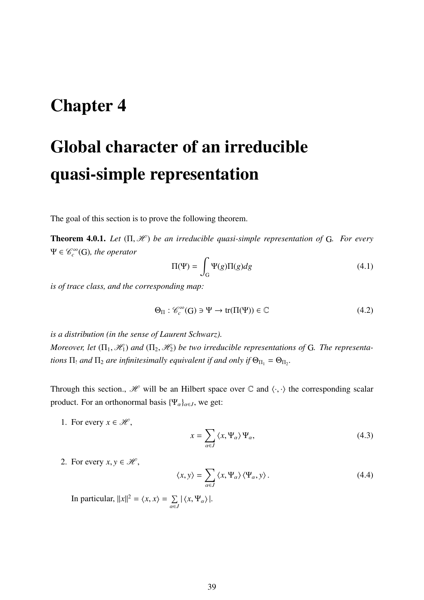## Chapter 4

# Global character of an irreducible quasi-simple representation

The goal of this section is to prove the following theorem.

**Theorem 4.0.1.** *Let* (Π, *H*) *be an irreducible quasi-simple representation of* G. *For every*  $\Psi \in \mathcal{C}_c^{\infty}(G)$ *, the operator* 

$$
\Pi(\Psi) = \int_{G} \Psi(g)\Pi(g)dg
$$
\n(4.1)

*is of trace class, and the corresponding map:*

$$
\Theta_{\Pi} : \mathcal{C}_c^{\infty}(\mathbf{G}) \ni \Psi \to \text{tr}(\Pi(\Psi)) \in \mathbb{C}
$$
\n(4.2)

*is a distribution (in the sense of Laurent Schwarz). Moreover, let*  $(\Pi_1, \mathcal{H}_1)$  *and*  $(\Pi_2, \mathcal{H}_2)$  *be two irreducible representations of* G. *The representations*  $\Pi_!$  and  $\Pi_2$  are infinitesimally equivalent if and only if  $\Theta_{\Pi_1} = \Theta_{\Pi_2}$ .

Through this section.,  $\mathcal{H}$  will be an Hilbert space over  $\mathbb{C}$  and  $\langle \cdot, \cdot \rangle$  the corresponding scalar product. For an orthonormal basis  $\{\Psi_{\alpha}\}_{{\alpha}\in J}$ , we get:

1. For every  $x \in \mathcal{H}$ ,

$$
x = \sum_{\alpha \in J} \langle x, \Psi_{\alpha} \rangle \Psi_{\alpha}, \tag{4.3}
$$

2. For every  $x, y \in \mathcal{H}$ ,

<span id="page-39-0"></span>
$$
\langle x, y \rangle = \sum_{\alpha \in J} \langle x, \Psi_{\alpha} \rangle \langle \Psi_{\alpha}, y \rangle.
$$
 (4.4)

In particular,  $||x||^2 = \langle x, x \rangle = \sum_{\alpha \in \mathcal{A}}$  $\sum_{\alpha\in J} |\langle x, \Psi_{\alpha} \rangle|.$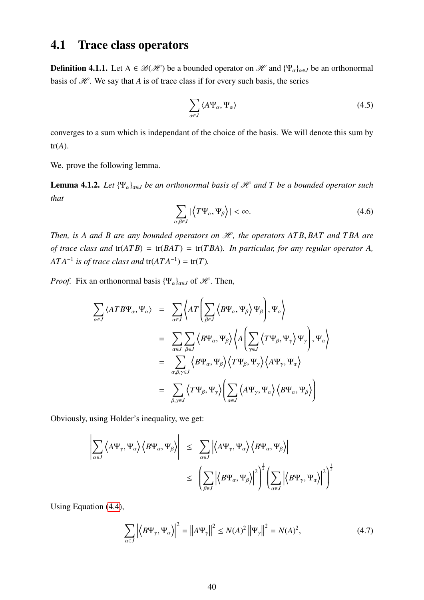## 4.1 Trace class operators

**Definition 4.1.1.** Let  $A \in \mathcal{B}(\mathcal{H})$  be a bounded operator on  $\mathcal{H}$  and  $\{\Psi_{\alpha}\}_{{\alpha} \in J}$  be an orthonormal basis of  $H$ . We say that *A* is of trace class if for every such basis, the series

$$
\sum_{\alpha \in J} \langle A \Psi_{\alpha}, \Psi_{\alpha} \rangle \tag{4.5}
$$

converges to a sum which is independant of the choice of the basis. We will denote this sum by  $tr(A)$ .

We. prove the following lemma.

**Lemma 4.1.2.** Let  $\{\Psi_{\alpha}\}_{{\alpha}\in I}$  be an orthonormal basis of  $\mathcal{H}$  and T be a bounded operator such *that*

<span id="page-40-0"></span>
$$
\sum_{\alpha,\beta \in J} |\langle T\Psi_{\alpha}, \Psi_{\beta} \rangle| < \infty. \tag{4.6}
$$

*Then, is A and B are any bounded operators on*  $H$ *, the operators ATB, BAT and TBA are of trace class and* tr(*AT B*) = tr(*BAT*) = tr(*T BA*)*. In particular, for any regular operator A,*  $ATA^{-1}$  *is of trace class and* tr $(ATA^{-1}) = \text{tr}(T)$ *.* 

*Proof.* Fix an orthonormal basis  $\{\Psi_{\alpha}\}_{{\alpha}\in J}$  of  $\mathcal{H}$ . Then,

$$
\sum_{\alpha \in J} \langle ATB\Psi_{\alpha}, \Psi_{\alpha} \rangle = \sum_{\alpha \in J} \langle AT \left( \sum_{\beta \in J} \langle B\Psi_{\alpha}, \Psi_{\beta} \rangle \Psi_{\beta} \right), \Psi_{\alpha} \rangle
$$
  
\n
$$
= \sum_{\alpha \in J} \sum_{\beta \in J} \langle B\Psi_{\alpha}, \Psi_{\beta} \rangle \langle A \left( \sum_{\gamma \in J} \langle T\Psi_{\beta}, \Psi_{\gamma} \rangle \Psi_{\gamma} \right), \Psi_{\alpha} \rangle
$$
  
\n
$$
= \sum_{\alpha, \beta, \gamma \in J} \langle B\Psi_{\alpha}, \Psi_{\beta} \rangle \langle T\Psi_{\beta}, \Psi_{\gamma} \rangle \langle A\Psi_{\gamma}, \Psi_{\alpha} \rangle
$$
  
\n
$$
= \sum_{\beta, \gamma \in J} \langle T\Psi_{\beta}, \Psi_{\gamma} \rangle \left( \sum_{\alpha \in J} \langle A\Psi_{\gamma}, \Psi_{\alpha} \rangle \langle B\Psi_{\alpha}, \Psi_{\beta} \rangle \right)
$$

Obviously, using Holder's inequality, we get:

$$
\left| \sum_{\alpha \in J} \left\langle A\Psi_{\gamma}, \Psi_{\alpha} \right\rangle \left\langle B\Psi_{\alpha}, \Psi_{\beta} \right\rangle \right| \leq \sum_{\alpha \in J} \left| \left\langle A\Psi_{\gamma}, \Psi_{\alpha} \right\rangle \left\langle B\Psi_{\alpha}, \Psi_{\beta} \right\rangle \right|
$$
  

$$
\leq \left( \sum_{\beta \in J} \left| \left\langle B\Psi_{\alpha}, \Psi_{\beta} \right\rangle \right|^{2} \right)^{\frac{1}{2}} \left( \sum_{\alpha \in J} \left| \left\langle B\Psi_{\gamma}, \Psi_{\alpha} \right\rangle \right|^{2} \right)^{\frac{1}{2}}
$$

Using Equation [\(4.4\)](#page-39-0),

$$
\sum_{\alpha \in J} \left| \left\langle B\Psi_{\gamma}, \Psi_{\alpha} \right\rangle \right|^2 = \left\| A\Psi_{\gamma} \right\|^2 \le N(A)^2 \left\| \Psi_{\gamma} \right\|^2 = N(A)^2,\tag{4.7}
$$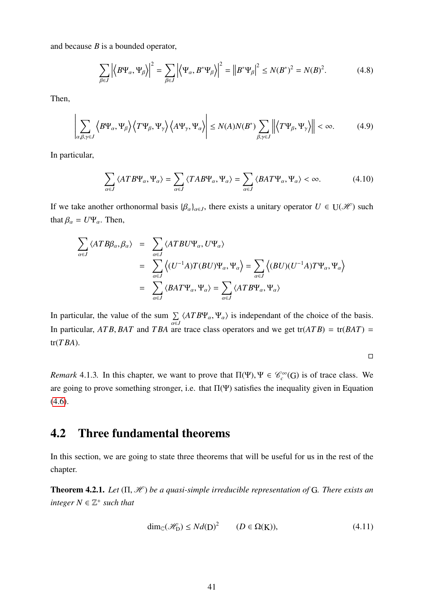and because *B* is a bounded operator,

$$
\sum_{\beta \in J} \left| \left\langle B\Psi_{\alpha}, \Psi_{\beta} \right\rangle \right|^2 = \sum_{\beta \in J} \left| \left\langle \Psi_{\alpha}, B^* \Psi_{\beta} \right\rangle \right|^2 = \left| \left| B^* \Psi_{\beta} \right|^2 \le N (B^*)^2 = N (B)^2. \tag{4.8}
$$

Then,

$$
\left| \sum_{\alpha,\beta,\gamma \in J} \left\langle B\Psi_{\alpha}, \Psi_{\beta} \right\rangle \left\langle T\Psi_{\beta}, \Psi_{\gamma} \right\rangle \left\langle A\Psi_{\gamma}, \Psi_{\alpha} \right\rangle \right| \leq N(A)N(B^*) \sum_{\beta,\gamma \in J} \left\| \left\langle T\Psi_{\beta}, \Psi_{\gamma} \right\rangle \right\| < \infty. \tag{4.9}
$$

In particular,

$$
\sum_{\alpha \in J} \langle ATB\Psi_{\alpha}, \Psi_{\alpha} \rangle = \sum_{\alpha \in J} \langle TAB\Psi_{\alpha}, \Psi_{\alpha} \rangle = \sum_{\alpha \in J} \langle BAT\Psi_{\alpha}, \Psi_{\alpha} \rangle < \infty.
$$
 (4.10)

If we take another orthonormal basis  $\{\beta_{\alpha}\}_{{\alpha} \in J}$ , there exists a unitary operator  $U \in U(\mathcal{H})$  such that  $\beta_{\alpha} = U \Psi_{\alpha}$ . Then,

$$
\sum_{\alpha \in J} \langle ATB\beta_{\alpha}, \beta_{\alpha} \rangle = \sum_{\alpha \in J} \langle ATBU\Psi_{\alpha}, U\Psi_{\alpha} \rangle
$$
  
\n
$$
= \sum_{\alpha \in J} \langle (U^{-1}A)T(BU)\Psi_{\alpha}, \Psi_{\alpha} \rangle = \sum_{\alpha \in J} \langle (BU)(U^{-1}A)T\Psi_{\alpha}, \Psi_{\alpha} \rangle
$$
  
\n
$$
= \sum_{\alpha \in J} \langle BAT\Psi_{\alpha}, \Psi_{\alpha} \rangle = \sum_{\alpha \in J} \langle ATB\Psi_{\alpha}, \Psi_{\alpha} \rangle
$$

In particular, the value of the sum  $\Sigma$  $\sum_{\alpha \in J} \langle ATB\Psi_{\alpha}, \Psi_{\alpha} \rangle$  is independant of the choice of the basis.<br>are trace class operators and we get tr( $ATB$ ) – tr( $BAT$ ) – In particular, *AT B*, *BAT* and *T BA* are trace class operators and we get tr(*AT B*) = tr(*BAT*) = tr(*T BA*).

 $\Box$ 

*Remark* 4.1.3. In this chapter, we want to prove that  $\Pi(\Psi)$ ,  $\Psi \in \mathcal{C}_c^{\infty}(G)$  is of trace class. We are going to prove something stronger, i.e. that  $\Pi(\Psi)$  satisfies the inequality given in Equation  $(4.6).$  $(4.6).$ 

### 4.2 Three fundamental theorems

In this section, we are going to state three theorems that will be useful for us in the rest of the chapter.

**Theorem 4.2.1.** *Let* (Π, *H*) *be a quasi-simple irreducible representation of G. There exists an*  $integer N \in \mathbb{Z}^+$  *such that* 

$$
\dim_{\mathbb{C}}(\mathcal{H}_D) \le N d(D)^2 \qquad (D \in \Omega(K)),\tag{4.11}
$$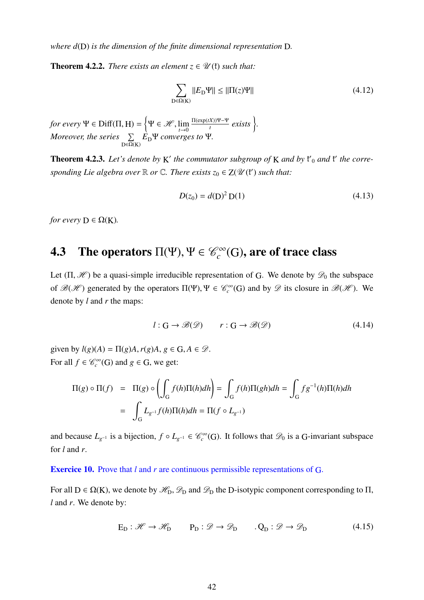*where d*(D) *is the dimension of the finite dimensional representation* D*.*

**Theorem 4.2.2.** *There exists an element*  $z \in \mathcal{U}(\mathfrak{k})$  *such that:* 

$$
\sum_{\mathcal{D}\in\Omega(\mathcal{K})}||E_{\mathcal{D}}\Psi|| \le ||\Pi(z)\Psi||\tag{4.12}
$$

*for every*  $\Psi \in \text{Diff}(\Pi, H) = \left\{\Psi \in \mathcal{H}, \lim_{t \to 0} \right\}$ Π(exp(*tX*))Ψ−Ψ  $\frac{(X)}{(t)}$  *exists*  $\}$ . *Moreover, the series*  $\Sigma$  $\sum_{D \in \Omega(K)} E_D \Psi$  *converges to* Ψ*.* 

Theorem 4.2.3. Let's denote by K' the commutator subgroup of K and by  $f_0$  and  $f_1$  the corresponding Lie algebra over  $\mathbb R$  or  $\mathbb C$ . There exists  $z_0 \in Z(\mathcal U(\mathfrak k')$  such that:

<span id="page-42-0"></span>
$$
D(z_0) = d(D)^2 D(1)
$$
 (4.13)

*for every*  $D \in \Omega(K)$ *.* 

### **4.3** The operators  $\Pi(\Psi)$ ,  $\Psi \in \mathscr{C}_c^{\infty}$  $\mathcal{C}^\infty_G(\mathrm{G})$ , are of trace class

Let  $(\Pi, \mathcal{H})$  be a quasi-simple irreducible representation of G. We denote by  $\mathcal{D}_0$  the subspace of  $\mathcal{B}(\mathcal{H})$  generated by the operators  $\Pi(\Psi)$ ,  $\Psi \in \mathcal{C}_c^{\infty}(G)$  and by  $\mathcal{D}$  its closure in  $\mathcal{B}(\mathcal{H})$ . We denote by *l* and *r* the maps:

$$
l: G \to \mathcal{B}(\mathcal{D}) \qquad r: G \to \mathcal{B}(\mathcal{D}) \tag{4.14}
$$

given by  $l(g)(A) = \Pi(g)A, r(g)A, g \in G, A \in \mathcal{D}$ . For all  $f \in \mathcal{C}_c^{\infty}(G)$  and  $g \in G$ , we get:

$$
\Pi(g) \circ \Pi(f) = \Pi(g) \circ \left( \int_G f(h) \Pi(h) dh \right) = \int_G f(h) \Pi(gh) dh = \int_G f g^{-1}(h) \Pi(h) dh
$$

$$
= \int_G L_{g^{-1}} f(h) \Pi(h) dh = \Pi(f \circ L_{g^{-1}})
$$

and because  $L_{g^{-1}}$  is a bijection,  $f \circ L_{g^{-1}} \in \mathcal{C}^{\infty}_c(G)$ . It follows that  $\mathcal{D}_0$  is a G-invariant subspace for *l* and *r*.

Exercice 10. Prove that *l* and *r* are continuous permissible representations of G.

For all  $D \in \Omega(K)$ , we denote by  $\mathcal{H}_D$ ,  $\mathcal{D}_D$  and  $\mathcal{D}_D$  the D-isotypic component corresponding to  $\Pi$ , *l* and *r*. We denote by:

$$
E_D: \mathcal{H} \to \mathcal{H}_D \qquad P_D: \mathcal{D} \to \mathcal{D}_D \qquad Q_D: \mathcal{D} \to \mathcal{D}_D \tag{4.15}
$$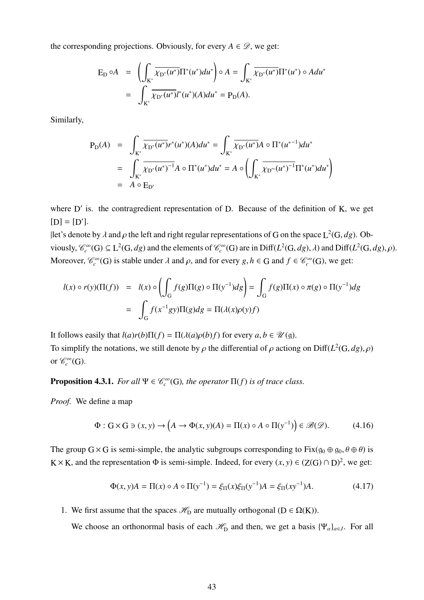the corresponding projections. Obviously, for every  $A \in \mathcal{D}$ , we get:

$$
E_D \circ A = \left( \int_{K^*} \overline{\chi_{D^*}(u^*)} \Pi^*(u^*) du^* \right) \circ A = \int_{K^*} \overline{\chi_{D^*}(u^*)} \Pi^*(u^*) \circ A du^*
$$
  
= 
$$
\int_{K^*} \overline{\chi_{D^*}(u^*)} l^*(u^*) (A) du^* = P_D(A).
$$

Similarly,

$$
P_{D}(A) = \int_{K^*} \overline{\chi_{D^*}(u^*)} r^*(u^*)(A) du^* = \int_{K^*} \overline{\chi_{D^*}(u^*)} A \circ \Pi^*(u^{*-1}) du^*
$$
  
= 
$$
\int_{K^*} \overline{\chi_{D^*}(u^*)}^{-1} A \circ \Pi^*(u^*) du^* = A \circ \left( \int_{K^*} \overline{\chi_{D'^*}(u^*)}^{-1} \Pi^*(u^*) du^* \right)
$$
  
= 
$$
A \circ E_{D'}
$$

where  $D'$  is. the contragredient representation of  $D$ . Because of the definition of  $K$ , we get  $[D] = [D'].$ 

|let's denote by  $\lambda$  and  $\rho$  the left and right regular representations of G on the space  $L^2(G, dg)$ . Obviously,  $\mathcal{C}_c^{\infty}(G) \subseteq L^2(G, dg)$  and the elements of  $\mathcal{C}_c^{\infty}(G)$  are in Diff( $L^2(G, dg), \lambda$ ) and Diff( $L^2(G, dg), \rho$ ). Moreover,  $\mathcal{C}_c^{\infty}(G)$  is stable under  $\lambda$  and  $\rho$ , and for every  $g, h \in G$  and  $f \in \mathcal{C}_c^{\infty}(G)$ , we get:

$$
l(x) \circ r(y)(\Pi(f)) = l(x) \circ \left(\int_G f(g)\Pi(g) \circ \Pi(y^{-1})dg\right) = \int_G f(g)\Pi(x) \circ \pi(g) \circ \Pi(y^{-1})dg
$$

$$
= \int_G f(x^{-1}gy)\Pi(g)dg = \Pi(\lambda(x)\rho(y)f)
$$

It follows easily that  $l(a)r(b)\Pi(f) = \Pi(\lambda(a)\rho(b)f)$  for every  $a, b \in \mathcal{U}(\mathfrak{g})$ .

To simplify the notations, we still denote by  $\rho$  the differential of  $\rho$  actiong on Diff( $L^2(G, dg), \rho$ ) or  $\mathscr{C}_c^{\infty}(G)$ .

<span id="page-43-0"></span>**Proposition 4.3.1.** *For all*  $\Psi \in \mathcal{C}_c^{\infty}(G)$ *, the operator*  $\Pi(f)$  *is of trace class.* 

*Proof.* We define a map

$$
\Phi: G \times G \ni (x, y) \to \left(A \to \Phi(x, y)(A) = \Pi(x) \circ A \circ \Pi(y^{-1})\right) \in \mathcal{B}(\mathcal{D}).\tag{4.16}
$$

The group  $G \times G$  is semi-simple, the analytic subgroups corresponding to  $Fix(q_0 \oplus q_0, \theta \oplus \theta)$  is K × K, and the representation  $\Phi$  is semi-simple. Indeed, for every  $(x, y) \in (Z(G) \cap D)^2$ , we get:

$$
\Phi(x, y)A = \Pi(x) \circ A \circ \Pi(y^{-1}) = \xi_{\Pi}(x)\xi_{\Pi}(y^{-1})A = \xi_{\Pi}(xy^{-1})A.
$$
 (4.17)

1. We first assume that the spaces  $\mathcal{H}_D$  are mutually orthogonal (D  $\in \Omega(K)$ ).

We choose an orthonormal basis of each  $\mathcal{H}_{\text{D}}$  and then, we get a basis { $\Psi_{\alpha}$ }<sub> $\alpha \in J$ </sub>. For all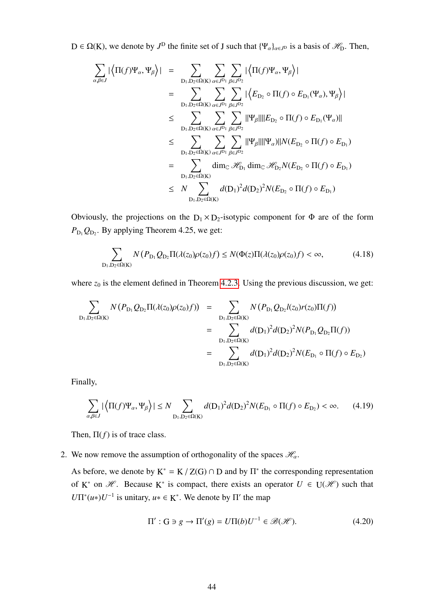$D \in \Omega(K)$ , we denote by  $J^D$  the finite set of J such that  $\{\Psi_\alpha\}_{\alpha \in J^D}$  is a basis of  $\mathscr{H}_D$ . Then,

$$
\sum_{\alpha,\beta\in J} |\langle \Pi(f)\Psi_{\alpha},\Psi_{\beta}\rangle| = \sum_{D_1,D_2\in\Omega(K)} \sum_{\alpha\in J^{D_1}} \sum_{\beta\in J^{D_2}} |\langle \Pi(f)\Psi_{\alpha},\Psi_{\beta}\rangle|
$$
\n
$$
= \sum_{D_1,D_2\in\Omega(K)} \sum_{\alpha\in J^{D_1}} \sum_{\beta\in J^{D_2}} |\langle E_{D_2} \circ \Pi(f) \circ E_{D_1}(\Psi_{\alpha}),\Psi_{\beta}\rangle|
$$
\n
$$
\leq \sum_{D_1,D_2\in\Omega(K)} \sum_{\alpha\in J^{D_1}} \sum_{\beta\in J^{D_2}} ||\Psi_{\beta}|| ||E_{D_2} \circ \Pi(f) \circ E_{D_1}(\Psi_{\alpha})||
$$
\n
$$
\leq \sum_{D_1,D_2\in\Omega(K)} \sum_{\alpha\in J^{D_1}} \sum_{\beta\in J^{D_2}} ||\Psi_{\beta}|| ||\Psi_{\alpha}\rangle ||N(E_{D_2} \circ \Pi(f) \circ E_{D_1})
$$
\n
$$
= \sum_{D_1,D_2\in\Omega(K)} \dim_{\mathbb{C}} \mathcal{H}_{D_1} \dim_{\mathbb{C}} \mathcal{H}_{D_2} N(E_{D_2} \circ \Pi(f) \circ E_{D_1})
$$
\n
$$
\leq N \sum_{D_1,D_2\in\Omega(K)} d(D_1)^2 d(D_2)^2 N(E_{D_2} \circ \Pi(f) \circ E_{D_1})
$$

Obviously, the projections on the  $D_1 \times D_2$ -isotypic component for  $\Phi$  are of the form  $P_{\text{D}_1} Q_{\text{D}_2}$ . By applying Theorem 4.25, we get:

$$
\sum_{D_1, D_2 \in \Omega(K)} N(P_{D_1} Q_{D_2} \Pi(\lambda(z_0) \rho(z_0) f) \le N(\Phi(z) \Pi(\lambda(z_0) \rho(z_0) f) < \infty,\tag{4.18}
$$

where  $z_0$  is the element defined in Theorem [4.2.3.](#page-42-0) Using the previous discussion, we get:

$$
\sum_{D_1, D_2 \in \Omega(K)} N(P_{D_1} Q_{D_2} \Pi(\lambda(z_0) \rho(z_0) f)) = \sum_{D_1, D_2 \in \Omega(K)} N(P_{D_1} Q_{D_2} l(z_0) r(z_0) \Pi(f))
$$
  
\n
$$
= \sum_{D_1, D_2 \in \Omega(K)} d(D_1)^2 d(D_2)^2 N(P_{D_1} Q_{D_2} \Pi(f))
$$
  
\n
$$
= \sum_{D_1, D_2 \in \Omega(K)} d(D_1)^2 d(D_2)^2 N(E_{D_1} \circ \Pi(f) \circ E_{D_2})
$$

Finally,

$$
\sum_{\alpha,\beta\in J} |\langle \Pi(f)\Psi_{\alpha}, \Psi_{\beta}\rangle| \le N \sum_{\mathcal{D}_1, \mathcal{D}_2\in\Omega(\mathcal{K})} d(\mathcal{D}_1)^2 d(\mathcal{D}_2)^2 N(E_{\mathcal{D}_1} \circ \Pi(f) \circ E_{\mathcal{D}_2}) < \infty.
$$
 (4.19)

Then,  $\Pi(f)$  is of trace class.

2. We now remove the assumption of orthogonality of the spaces  $\mathcal{H}_{\alpha}$ .

As before, we denote by  $K^* = K / Z(G) \cap D$  and by  $\Pi^*$  the corresponding representation of K<sup>\*</sup> on  $\mathcal{H}$ . Because K<sup>\*</sup> is compact, there exists an operator  $U \in U(\mathcal{H})$  such that *U*Π<sup>\*</sup>(*u*\*)*U*<sup>-1</sup> is unitary, *u*∗ ∈ **K**<sup>\*</sup>. We denote by Π' the map

$$
\Pi' : G \ni g \to \Pi'(g) = U\Pi(b)U^{-1} \in \mathcal{B}(\mathcal{H}).\tag{4.20}
$$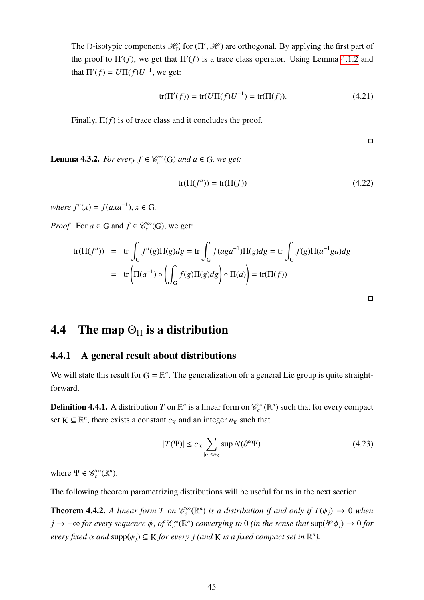The D-isotypic components  $\mathcal{H}_{D}^{\prime}$  for  $(\Pi', \mathcal{H})$  are orthogonal. By applying the first part of the proof to  $\Pi'(f)$ , we get that  $\Pi'(f)$  is a trace class operator. Using Lemma [4.1.2](#page-40-0) and that  $\Pi'(f) = U \Pi(f) U^{-1}$ , we get:

$$
tr(\Pi'(f)) = tr(U\Pi(f)U^{-1}) = tr(\Pi(f)).
$$
\n(4.21)

Finally,  $\Pi(f)$  is of trace class and it concludes the proof.

 $\hfill \square$ 

**Lemma 4.3.2.** *For every*  $f \in \mathcal{C}_c^{\infty}(G)$  *and*  $a \in G$ *, we get:* 

<span id="page-45-1"></span>
$$
tr(\Pi(f^a)) = tr(\Pi(f))
$$
\n(4.22)

 $where f<sup>a</sup>(x) = f(axa<sup>-1</sup>), x ∈ G.$ 

*Proof.* For  $a \in G$  and  $f \in \mathcal{C}_c^{\infty}(G)$ , we get:

$$
\text{tr}(\Pi(f^a)) = \text{tr} \int_G f^a(g) \Pi(g) dg = \text{tr} \int_G f(aga^{-1}) \Pi(g) dg = \text{tr} \int_G f(g) \Pi(a^{-1}ga) dg
$$

$$
= \text{tr} \left( \Pi(a^{-1}) \circ \left( \int_G f(g) \Pi(g) dg \right) \circ \Pi(a) \right) = \text{tr}(\Pi(f))
$$

 $\Box$ 

## 4.4 The map  $\Theta_{\Pi}$  is a distribution

#### 4.4.1 A general result about distributions

We will state this result for  $G = \mathbb{R}^n$ . The generalization ofr a general Lie group is quite straightforward.

**Definition 4.4.1.** A distribution *T* on  $\mathbb{R}^n$  is a linear form on  $\mathcal{C}_c^{\infty}(\mathbb{R}^n)$  such that for every compact set  $K \subseteq \mathbb{R}^n$ , there exists a constant  $c_K$  and an integer  $n_K$  such that

$$
|T(\Psi)| \le c_K \sum_{|\alpha| \le n_K} \sup N(\partial^{\alpha} \Psi) \tag{4.23}
$$

where  $\Psi \in \mathcal{C}_c^{\infty}(\mathbb{R}^n)$ .

The following theorem parametrizing distributions will be useful for us in the next section.

<span id="page-45-0"></span>**Theorem 4.4.2.** A linear form T on  $\mathcal{C}_c^{\infty}(\mathbb{R}^n)$  is a distribution if and only if  $T(\phi_j) \to 0$  when  $\phi_j \to +\infty$  *for every sequence*  $\phi_j$  *of*  $\mathcal{C}_c^{\infty}(\mathbb{R}^n)$  *converging to* 0 *(in the sense that*  $\sup(\partial^{\alpha}\phi_j) \to 0$  *for every fixed*  $\alpha$  *and*  $\text{supp}(\phi_j) \subseteq K$  *for every j (and*  $K$  *is a fixed compact set in*  $\mathbb{R}^n$ ).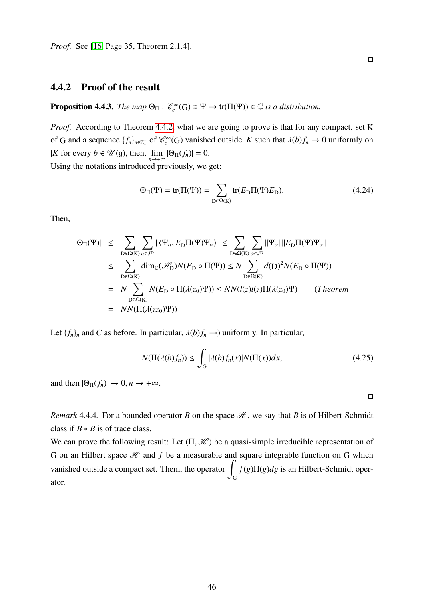*Proof.* See [\[16,](#page-98-0) Page 35, Theorem 2.1.4].

#### 4.4.2 Proof of the result

**Proposition 4.4.3.** *The map*  $\Theta_{\Pi}$  :  $\mathcal{C}_c^{\infty}(G) \ni \Psi \to \text{tr}(\Pi(\Psi)) \in \mathbb{C}$  *is a distribution.* 

*Proof.* According to Theorem [4.4.2,](#page-45-0) what we are going to prove is that for any compact. set K of G and a sequence  $\{f_n\}_{n\in\mathbb{Z}_{+}^+}$  of  $\mathcal{C}_c^{\infty}(G)$  vanished outside  $|K$  such that  $\lambda(b)f_n \to 0$  uniformly on K for every  $b \in \mathcal{U}(\mathfrak{g})$ , then,  $\lim_{n \to +\infty} |\Theta_{\Pi}(f_n)| = 0$ . Using the notations introduced previously, we get:

> $\Theta_{\Pi}(\Psi) = \text{tr}(\Pi(\Psi)) = \sum_{\Pi}$  $\sum_{D \in \Omega(K)} tr(E_D \Pi(\Psi) E_D).$  (4.24)

Then,

$$
|\Theta_{\Pi}(\Psi)| \leq \sum_{D \in \Omega(K)} \sum_{\alpha \in J^{D}} |\langle \Psi_{\alpha}, E_{D} \Pi(\Psi) \Psi_{\alpha} \rangle| \leq \sum_{D \in \Omega(K)} \sum_{\alpha \in J^{D}} ||\Psi_{\alpha}|| ||E_{D} \Pi(\Psi) \Psi_{\alpha}||
$$
  
\n
$$
\leq \sum_{D \in \Omega(K)} \dim_{\mathbb{C}}(\mathcal{H}_{D}^{\prime}) N(E_{D} \circ \Pi(\Psi)) \leq N \sum_{D \in \Omega(K)} d(D)^{2} N(E_{D} \circ \Pi(\Psi))
$$
  
\n
$$
= N \sum_{D \in \Omega(K)} N(E_{D} \circ \Pi(\lambda(z_{0})\Psi)) \leq NN(l(z)l(z)\Pi(\lambda(z_{0})\Psi) \qquad (Theorem
$$
  
\n
$$
= NN(\Pi(\lambda(z_{0})\Psi))
$$

Let  ${f_n}_n$  and *C* as before. In particular,  $\lambda(b)f_n \to$ ) uniformly. In particular,

$$
N(\Pi(\lambda(b)f_n)) \le \int_G |\lambda(b)f_n(x)| N(\Pi(x)) dx,\tag{4.25}
$$

and then  $|\Theta_{\Pi}(f_n)| \to 0, n \to +\infty$ .

 $\Box$ 

 $\Box$ 

*Remark* 4.4.4. For a bounded operator *B* on the space  $\mathcal{H}$ , we say that *B* is of Hilbert-Schmidt class if  $B * B$  is of trace class.

We can prove the following result: Let  $(\Pi, \mathcal{H})$  be a quasi-simple irreducible representation of G on an Hilbert space  $\mathcal H$  and  $f$  be a measurable and square integrable function on G which vanished outside a compact set. Them, the operator G *f*(*g*)Π(*g*)*dg* is an Hilbert-Schmidt operator.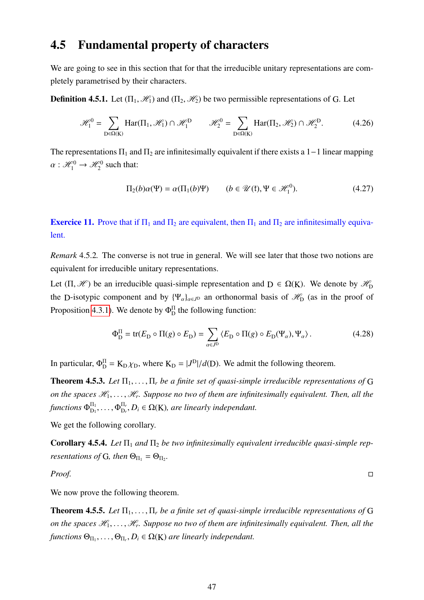## 4.5 Fundamental property of characters

We are going to see in this section that for that the irreducible unitary representations are completely parametrised by their characters.

**Definition 4.5.1.** Let  $(\Pi_1, \mathcal{H}_1)$  and  $(\Pi_2, \mathcal{H}_2)$  be two permissible representations of G. Let

$$
\mathcal{H}_1^0 = \sum_{D \in \Omega(K)} \text{Har}(\Pi_1, \mathcal{H}_1) \cap \mathcal{H}_1^D \qquad \mathcal{H}_2^0 = \sum_{D \in \Omega(K)} \text{Har}(\Pi_2, \mathcal{H}_2) \cap \mathcal{H}_2^D. \tag{4.26}
$$

The representations  $\Pi_1$  and  $\Pi_2$  are infinitesimally equivalent if there exists a 1–1 linear mapping  $\alpha : \mathcal{H}_1^0 \to \mathcal{H}_2^0$  such that:

<span id="page-47-3"></span>
$$
\Pi_2(b)\alpha(\Psi) = \alpha(\Pi_1(b)\Psi) \qquad (b \in \mathcal{U}(\mathfrak{k}), \Psi \in \mathcal{H}_1^0). \tag{4.27}
$$

**Exercice 11.** Prove that if  $\Pi_1$  and  $\Pi_2$  are equivalent, then  $\Pi_1$  and  $\Pi_2$  are infinitesimally equivalent.

*Remark* 4.5.2*.* The converse is not true in general. We will see later that those two notions are equivalent for irreducible unitary representations.

Let  $(\Pi, \mathcal{H})$  be an irreducible quasi-simple representation and  $D \in \Omega(K)$ . We denote by  $\mathcal{H}_{\Omega}$ the D-isotypic component and by  $\{\Psi_{\alpha}\}_{{\alpha\in J}^D}$  an orthonormal basis of  $\mathcal{H}_{D}$  (as in the proof of Proposition [4.3.1\)](#page-43-0). We denote by  $\Phi_{\text{D}}^{\text{II}}$  the following function:

$$
\Phi_{\mathcal{D}}^{\Pi} = \text{tr}(E_{\mathcal{D}} \circ \Pi(g) \circ E_{\mathcal{D}}) = \sum_{\alpha \in J^{\mathcal{D}}} \langle E_{\mathcal{D}} \circ \Pi(g) \circ E_{\mathcal{D}}(\Psi_{\alpha}), \Psi_{\alpha} \rangle. \tag{4.28}
$$

In particular,  $\Phi_{D}^{\Pi} = K_{D} \chi_{D}$ , where  $K_{D} = |J^{D}|/d(D)$ . We admit the following theorem.

<span id="page-47-0"></span>**Theorem 4.5.3.** Let  $\Pi_1, \ldots, \Pi_r$  be a finite set of quasi-simple irreducible representations of G *on the spaces*  $\mathcal{H}_1, \ldots, \mathcal{H}_r$ . Suppose no two of them are infinitesimally equivalent. Then, all the functions  $\Phi^{\Pi_1}_{\mathrm{D}_1}$  $\frac{\Pi_1}{D_1}, \ldots, \Phi_{D_n}^{\Pi_n}$  $D<sub>r</sub>$ , *D*<sub>*i*</sub> ∈ Ω(K), are linearly independant.

We get the following corollary.

<span id="page-47-1"></span>Corollary 4.5.4. Let  $\Pi_1$  and  $\Pi_2$  be two infinitesimally equivalent irreducible quasi-simple rep*resentations of* G, then  $\Theta_{\Pi_1} = \Theta_{\Pi_2}$ .

*Proof.*

We now prove the following theorem.

<span id="page-47-2"></span>Theorem 4.5.5. Let  $\Pi_1, \ldots, \Pi_r$  be a finite set of quasi-simple irreducible representations of G *on the spaces*  $\mathcal{H}_1, \ldots, \mathcal{H}_r$ . Suppose no two of them are infinitesimally equivalent. Then, all the  $\theta_{\Pi_1}, \ldots, \Theta_{\Pi_r}, D_i \in \Omega(K)$  *are linearly independant.*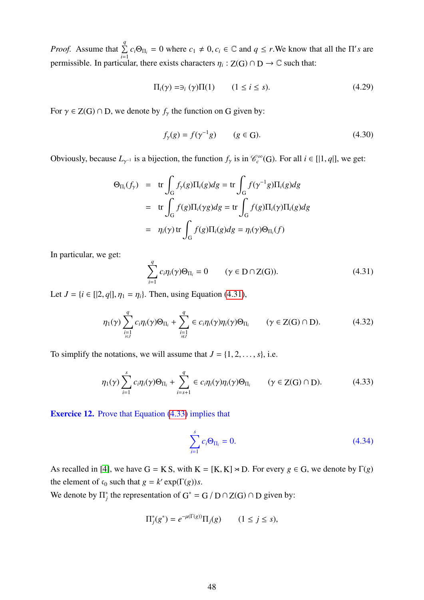*Proof.* Assume that  $\sum_{n=1}^{q}$  $\sum_{i=1}^{3} c_i \Theta_{\Pi_i} = 0$  where  $c_1 \neq 0, c_i \in \mathbb{C}$  and  $q \leq r$ . We know that all the  $\Pi's$  are permissible. In particular, there exists characters  $\eta_i : Z(G) \cap D \to \mathbb{C}$  such that:

$$
\Pi_i(\gamma) = \exists_i (\gamma) \Pi(1) \qquad (1 \le i \le s). \tag{4.29}
$$

For  $\gamma \in Z(G) \cap D$ , we denote by  $f_{\gamma}$  the function on G given by:

$$
f_{\gamma}(g) = f(\gamma^{-1}g)
$$
  $(g \in G).$  (4.30)

Obviously, because  $L_{\gamma^{-1}}$  is a bijection, the function  $f_{\gamma}$  is in  $\mathcal{C}_c^{\infty}(G)$ . For all  $i \in [1, q]$ , we get:

$$
\Theta_{\Pi_i}(f_\gamma) = \text{tr} \int_G f_\gamma(g) \Pi_i(g) dg = \text{tr} \int_G f(\gamma^{-1}g) \Pi_i(g) dg
$$
  
= 
$$
\text{tr} \int_G f(g) \Pi_i(\gamma g) dg = \text{tr} \int_G f(g) \Pi_i(\gamma) \Pi_i(g) dg
$$
  
= 
$$
\eta_i(\gamma) \text{tr} \int_G f(g) \Pi_i(g) dg = \eta_i(\gamma) \Theta_{\Pi_i}(f)
$$

In particular, we get:

<span id="page-48-0"></span>
$$
\sum_{i=1}^{q} c_i \eta_i(\gamma) \Theta_{\Pi_i} = 0 \qquad (\gamma \in D \cap Z(G)). \tag{4.31}
$$

Let  $J = \{i \in [2, q], \eta_1 = \eta_i\}$ . Then, using Equation [\(4.31\)](#page-48-0),

$$
\eta_1(\gamma) \sum_{\substack{i=1 \ i\in J}}^q c_i \eta_i(\gamma) \Theta_{\Pi_i} + \sum_{\substack{i=1 \ i\notin J}}^q \in c_i \eta_i(\gamma) \eta_i(\gamma) \Theta_{\Pi_i} \qquad (\gamma \in \mathbb{Z}(\mathbb{G}) \cap \mathbb{D}). \tag{4.32}
$$

To simplify the notations, we will assume that  $J = \{1, 2, \ldots, s\}$ , i.e.

<span id="page-48-1"></span>
$$
\eta_1(\gamma) \sum_{i=1}^s c_i \eta_i(\gamma) \Theta_{\Pi_i} + \sum_{i=s+1}^q \in c_i \eta_i(\gamma) \eta_i(\gamma) \Theta_{\Pi_i} \qquad (\gamma \in Z(G) \cap D). \tag{4.33}
$$

Exercice 12. Prove that Equation [\(4.33\)](#page-48-1) implies that

<span id="page-48-2"></span>
$$
\sum_{i=1}^{s} c_i \Theta_{\Pi_i} = 0.
$$
 (4.34)

As recalled in [\[4\]](#page-97-0), we have  $G = K S$ , with  $K = [K, K] \rtimes D$ . For every  $g \in G$ , we denote by  $\Gamma(g)$ the element of  $c_0$  such that  $g = k' \exp(\Gamma(g))s$ .

We denote by  $\Pi_i^*$ <sup>\*</sup>/<sub>j</sub> the representation of G<sup>\*</sup> = G / D ∩ Z(G) ∩ D given by:

$$
\Pi_j^*(g^*) = e^{-\mu(\Gamma(g))}\Pi_j(g) \qquad (1 \le j \le s),
$$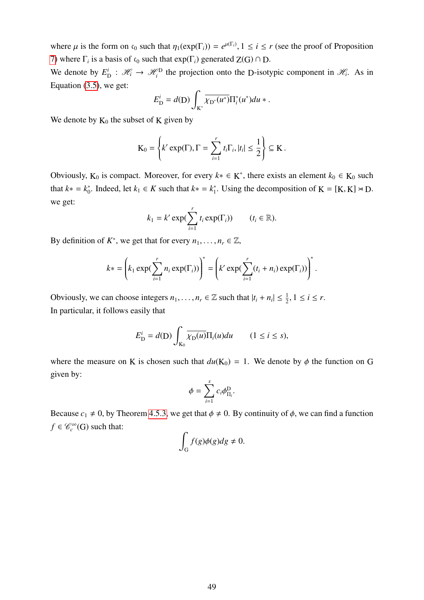where  $\mu$  is the form on c<sub>0</sub> such that  $\eta_1(\exp(\Gamma_i)) = e^{\mu(\Gamma_i)}$ ,  $1 \le i \le r$  (see the proof of Proposition [7\)](#page-33-0) where  $\Gamma_i$  is a basis of  $\mathfrak{c}_0$  such that  $exp(\Gamma_i)$  generated  $Z(G) \cap D$ .

We denote by *E i*  $\mathcal{H}_i : \mathcal{H}_i \to \mathcal{H}_i^D$  the projection onto the D-isotypic component in  $\mathcal{H}_i$ . As in Equation [\(3.5\)](#page-33-1), we get:

$$
E_{\rm D}^i = d({\rm D}) \int_{K^*} \overline{\chi_{{\rm D}^*}(u^*)} \Pi_i^*(u^*) du *.
$$

We denote by  $K_0$  the subset of K given by

$$
\mathrm{K}_0 = \left\{ k' \exp(\Gamma), \Gamma = \sum_{i=1}^r t_i \Gamma_i, |t_i| \leq \frac{1}{2} \right\} \subseteq \mathrm{K}.
$$

Obviously,  $K_0$  is compact. Moreover, for every  $k^* \in K^*$ , there exists an element  $k_0 \in K_0$  such that  $k$ <sup>\*</sup> =  $k_0^*$ <sup>\*</sup><sub>0</sub>. Indeed, let  $k_1 \in K$  such that  $k^* = k_1^*$ <sup>\*</sup><sub>1</sub>. Using the decomposition of K = [K, K]  $\times$  D. we get:

$$
k_1 = k' \exp(\sum_{i=1}^r t_i \exp(\Gamma_i)) \qquad (t_i \in \mathbb{R}).
$$

By definition of  $K^*$ , we get that for every  $n_1, \ldots, n_r \in \mathbb{Z}$ ,

$$
k* = \left(k_1 \exp(\sum_{i=1}^r n_i \exp(\Gamma_i))\right)^* = \left(k' \exp(\sum_{i=1}^r (t_i + n_i) \exp(\Gamma_i))\right)^*.
$$

Obviously, we can choose integers  $n_1, \ldots, n_r \in \mathbb{Z}$  such that  $|t_i + n_i| \leq \frac{1}{2}, 1 \leq i \leq r$ . In particular, it follows easily that

$$
E_{\rm D}^i = d({\rm D}) \int_{K_0} \overline{\chi_{\rm D}(u)} \Pi_i(u) du \qquad (1 \le i \le s),
$$

where the measure on K is chosen such that  $du(K_0) = 1$ . We denote by  $\phi$  the function on G given by:

$$
\phi = \sum_{i=1}^s c_i \phi^{\rm D}_{\Pi_i}
$$

Because  $c_1 \neq 0$ , by Theorem [4.5.3,](#page-47-0) we get that  $\phi \neq 0$ . By continuity of  $\phi$ , we can find a function  $f \in \mathcal{C}_c^{\infty}(\mathbb{G})$  such that:

$$
\int_G f(g)\phi(g)dg \neq 0.
$$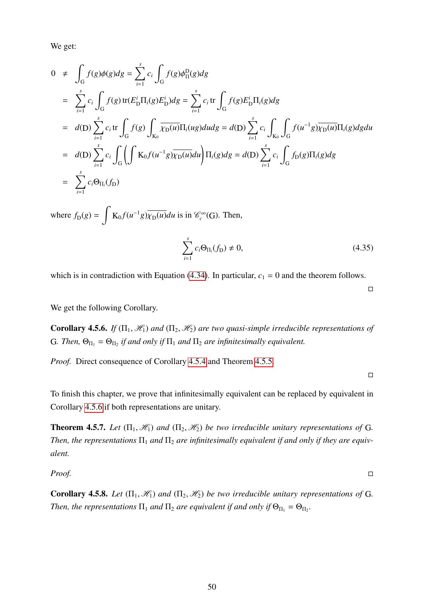We get:

$$
0 \neq \int_{G} f(g)\phi(g)dg = \sum_{i=1}^{s} c_{i} \int_{G} f(g)\phi_{\Pi}^{D}(g)dg
$$
  
\n
$$
= \sum_{i=1}^{s} c_{i} \int_{G} f(g) tr(E_{D}^{i} \Pi_{i}(g) E_{D}^{i})dg = \sum_{i=1}^{s} c_{i} tr \int_{G} f(g) E_{D}^{i} \Pi_{i}(g)dg
$$
  
\n
$$
= d(D) \sum_{i=1}^{s} c_{i} tr \int_{G} f(g) \int_{K_{D}} \overline{\chi_{D}(u)} \Pi_{i}(ug) du dg = d(D) \sum_{i=1}^{s} c_{i} \int_{K_{D}} f(u^{-1}g) \overline{\chi_{D}(u)} \Pi_{i}(g) dg du
$$
  
\n
$$
= d(D) \sum_{i=1}^{s} c_{i} \int_{G} \left( \int K_{0} f(u^{-1}g) \overline{\chi_{D}(u)} du \right) \Pi_{i}(g) dg = d(D) \sum_{i=1}^{s} c_{i} \int_{G} f_{D}(g) \Pi_{i}(g) dg
$$
  
\n
$$
= \sum_{i=1}^{s} c_{i} \Theta_{\Pi_{i}}(f_{D})
$$
  
\nwhere  $f_{D}(g) = \int K_{0} f(u^{-1}g) \overline{\chi_{D}(u)} du$  is in  $\mathcal{C}_{c}^{\infty}(G)$ . Then,

$$
\sum_{i=1}^{s} c_i \Theta_{\Pi_i}(f_D) \neq 0,
$$
\n(4.35)

which is in contradiction with Equation [\(4.34\)](#page-48-2). In particular,  $c_1 = 0$  and the theorem follows.

We get the following Corollary.

<span id="page-50-0"></span>**Corollary 4.5.6.** *If*  $(\Pi_1, \mathcal{H}_1)$  *and*  $(\Pi_2, \mathcal{H}_2)$  *are two quasi-simple irreducible representations of* G. Then,  $\Theta_{\Pi_1} = \Theta_{\Pi_2}$  *if and only if*  $\Pi_1$  *and*  $\Pi_2$  *are infinitesimally equivalent.* 

*Proof.* Direct consequence of Corollary [4.5.4](#page-47-1) and Theorem [4.5.5.](#page-47-2)

 $\Box$ 

 $\Box$ 

To finish this chapter, we prove that infinitesimally equivalent can be replaced by equivalent in Corollary [4.5.6](#page-50-0) if both representations are unitary.

<span id="page-50-1"></span>**Theorem 4.5.7.** *Let*  $(\Pi_1, \mathcal{H}_1)$  *and*  $(\Pi_2, \mathcal{H}_2)$  *be two irreducible unitary representations of* G. *Then, the representations*  $\Pi_1$  *and*  $\Pi_2$  *are infinitesimally equivalent if and only if they are equivalent.*

*Proof.*

**Corollary 4.5.8.** *Let*  $(\Pi_1, \mathcal{H}_1)$  *and*  $(\Pi_2, \mathcal{H}_2)$  *be two irreducible unitary representations of* G. *Then, the representations*  $\Pi_1$  *and*  $\Pi_2$  *are equivalent if and only if*  $\Theta_{\Pi_1} = \Theta_{\Pi_2}$ .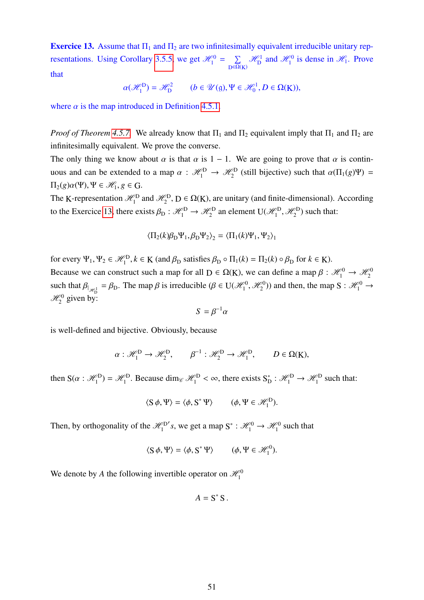<span id="page-51-0"></span>**Exercice 13.** Assume that  $\Pi_1$  and  $\Pi_2$  are two infinitesimally equivalent irreducible unitary rep-resentations. Using Corollary [3.5.5,](#page-38-0) we get  $\mathcal{H}_{1}^{0} = \sum_{n=0}^{\infty}$  $D \in \Omega(K)$  $\mathscr{H}_{D}^{1}$  and  $\mathscr{H}_{1}^{0}$  is dense in  $\mathscr{H}_{1}$ . Prove that

$$
\alpha(\mathcal{H}_1^D) = \mathcal{H}_D^2 \qquad (b \in \mathcal{U}(\mathfrak{g}), \Psi \in \mathcal{H}_0^1, D \in \Omega(\mathbf{K})),
$$

where  $\alpha$  is the map introduced in Definition [4.5.1.](#page-47-3)

*Proof of Theorem* [4.5.7.](#page-50-1) We already know that  $\Pi_1$  and  $\Pi_2$  equivalent imply that  $\Pi_1$  and  $\Pi_2$  are infinitesimally equivalent. We prove the converse.

The only thing we know about  $\alpha$  is that  $\alpha$  is 1 – 1. We are going to prove that  $\alpha$  is continuous and can be extended to a map  $\alpha$ :  $\mathcal{H}_1^D \to \mathcal{H}_2^D$  (still bijective) such that  $\alpha(\Pi_1(g)\Psi) =$  $\Pi_2(g)\alpha(\Psi), \Psi \in \mathcal{H}_1, g \in \mathbb{G}.$ 

The K-representation  $\mathcal{H}_1^D$  and  $\mathcal{H}_2^D$ ,  $D \in \Omega(K)$ , are unitary (and finite-dimensional). According to the Exercice [13,](#page-51-0) there exists  $\beta_D : \mathcal{H}_1^D \to \mathcal{H}_2^D$  an element  $U(\mathcal{H}_1^D, \mathcal{H}_2^D)$  such that:

$$
\langle \Pi_2(k)\beta_{\rm D}\Psi_1, \beta_{\rm D}\Psi_2 \rangle_2 = \langle \Pi_1(k)\Psi_1, \Psi_2 \rangle_1
$$

for every  $\Psi_1, \Psi_2 \in \mathcal{H}_1^D, k \in K$  (and  $\beta_D$  satisfies  $\beta_D \circ \Pi_1(k) = \Pi_2(k) \circ \beta_D$  for  $k \in K$ ). Because we can construct such a map for all  $D \in \Omega(K)$ , we can define a map  $\beta : \mathcal{H}_1^0 \to \mathcal{H}_2^0$ such that  $\beta_{\vert_{\mathcal{H}^1_{\mathbf{D}}}} = \beta_{\mathbf{D}}$ . The map  $\beta$  is irreducible  $(\beta \in \mathbb{U}(\mathcal{H}^0_1, \mathcal{H}^0_2))$  and then, the map  $\mathbf{S} : \mathcal{H}^0_1 \to$  $\mathcal{H}_2^0$  given by:

$$
S = \beta^{-1} \alpha
$$

is well-defined and bijective. Obviously, because

$$
\alpha: \mathcal{H}_1^D \to \mathcal{H}_2^D, \qquad \beta^{-1}: \mathcal{H}_2^D \to \mathcal{H}_1^D, \qquad D \in \Omega(K),
$$

then  $S(\alpha : \mathcal{H}_1^D) = \mathcal{H}_1^D$ . Because dim<sub> $\mathcal{C} \mathcal{H}_1^D < \infty$ , there exists  $S_{\Gamma}^*$ </sub>  $p_{\text{D}}^* : \mathcal{H}_1^{\text{D}} \to \mathcal{H}_1^{\text{D}}$  such that:

$$
\langle S \phi, \Psi \rangle = \langle \phi, S^* \Psi \rangle \qquad (\phi, \Psi \in \mathcal{H}_1^D).
$$

Then, by orthogonality of the  $\mathcal{H}_1^D$ 's, we get a map  $S^* : \mathcal{H}_1^0 \to \mathcal{H}_1^0$  such that

$$
\langle S \phi, \Psi \rangle = \langle \phi, S^* \Psi \rangle \qquad (\phi, \Psi \in \mathcal{H}_1^0).
$$

We denote by *A* the following invertible operator on  $\mathcal{H}_1^0$ 

$$
A=S^*S.
$$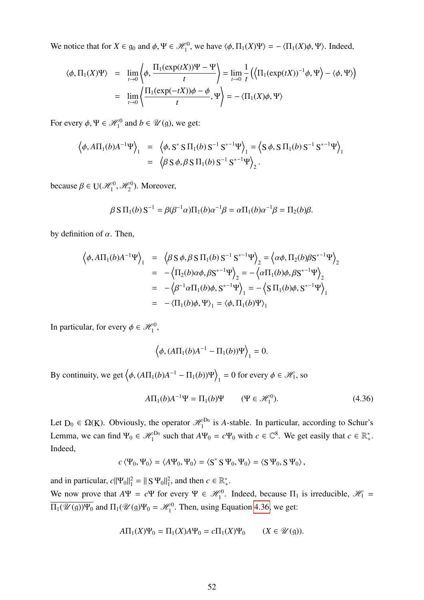We notice that for  $X \in \mathfrak{g}_0$  and  $\phi, \Psi \in \mathcal{H}_1^0$ , we have  $\langle \phi, \Pi_1(X)\Psi \rangle = -\langle \Pi_1(X)\phi, \Psi \rangle$ . Indeed,

$$
\langle \phi, \Pi_1(X)\Psi \rangle = \lim_{t \to 0} \left\langle \phi, \frac{\Pi_1(\exp(tX))\Psi - \Psi}{t} \right\rangle = \lim_{t \to 0} \frac{1}{t} \left( \left\langle \Pi_1(\exp(tX))^{-1} \phi, \Psi \right\rangle - \left\langle \phi, \Psi \right\rangle \right)
$$

$$
= \lim_{t \to 0} \left\langle \frac{\Pi_1(\exp(-tX))\phi - \phi}{t}, \Psi \right\rangle = -\left\langle \Pi_1(X)\phi, \Psi \right\rangle
$$

For every  $\phi$ ,  $\Psi \in \mathcal{H}_1^0$  and  $b \in \mathcal{U}(g)$ , we get:

$$
\langle \phi, A\Pi_1(b)A^{-1}\Psi \rangle_1 = \langle \phi, S^* S \Pi_1(b) S^{-1} S^{*-1}\Psi \rangle_1 = \langle S \phi, S \Pi_1(b) S^{-1} S^{*-1}\Psi \rangle_1
$$
  
=  $\langle \beta S \phi, \beta S \Pi_1(b) S^{-1} S^{*-1}\Psi \rangle_2$ .

because  $\beta \in U(\mathcal{H}_1^0, \mathcal{H}_2^0)$ . Moreover,

$$
\beta S \Pi_1(b) S^{-1} = \beta(\beta^{-1}\alpha) \Pi_1(b) \alpha^{-1} \beta = \alpha \Pi_1(b) \alpha^{-1} \beta = \Pi_2(b) \beta.
$$

by definition of  $\alpha$ . Then,

$$
\begin{array}{rcl}\n\left\langle \phi, A\Pi_1(b)A^{-1}\Psi \right\rangle_1 & = & \left\langle \beta \, S \, \phi, \beta \, S \, \Pi_1(b) \, S^{-1} \, S^{*-1}\Psi \right\rangle_2 = \left\langle \alpha \phi, \Pi_2(b) \beta S^{*-1}\Psi \right\rangle_2 \\
& = & - \left\langle \Pi_2(b) \alpha \phi, \beta S^{*-1}\Psi \right\rangle_2 = -\left\langle \alpha \Pi_1(b) \phi, \beta S^{*-1}\Psi \right\rangle_2 \\
& = & - \left\langle \beta^{-1} \alpha \Pi_1(b) \phi, S^{*-1}\Psi \right\rangle_1 = -\left\langle S \, \Pi_1(b) \phi, S^{*-1}\Psi \right\rangle_1 \\
& = & - \left\langle \Pi_1(b) \phi, \Psi \right\rangle_1 = \left\langle \phi, \Pi_1(b)\Psi \right\rangle_1\n\end{array}
$$

In particular, for every  $\phi \in \mathcal{H}_1^0$ ,

$$
\left\langle \phi, (A\Pi_1(b)A^{-1}-\Pi_1(b))\Psi \right\rangle_1 = 0.
$$

By continuity, we get  $\left\langle \phi, (A\Pi_1(b)A^{-1} - \Pi_1(b))\Psi \right\rangle$  $\psi_1 = 0$  for every  $\phi \in \mathcal{H}_1$ , so

<span id="page-52-0"></span>
$$
A\Pi_1(b)A^{-1}\Psi = \Pi_1(b)\Psi \qquad (\Psi \in \mathcal{H}_1^0). \tag{4.36}
$$

Let  $D_0 \in \Omega(K)$ . Obviously, the operator  $\mathcal{H}_1^{D_0}$  is *A*-stable. In particular, according to Schur's Lemma, we can find  $\Psi_0 \in \mathcal{H}_1^{\mathsf{D}_0}$  such that  $A\Psi_0 = c\Psi_0$  with  $c \in \mathbb{C}^8$ . We get easily that  $c \in \mathbb{R}_+^*$ . Indeed,

$$
c \langle \Psi_0, \Psi_0 \rangle = \langle A\Psi_0, \Psi_0 \rangle = \langle S^* S \Psi_0, \Psi_0 \rangle = \langle S \Psi_0, S \Psi_0 \rangle,
$$

and in particular,  $c||\Psi_0||_1^2 = ||S \Psi_0||_1^2$ , and then  $c \in \mathbb{R}_+^*$ .

We now prove that  $A\Psi = c\Psi$  for every  $\Psi \in \mathcal{H}_1^0$ . Indeed, because  $\Pi_1$  is irreducible,  $\mathcal{H}_1 =$  $\Pi_1(\mathscr{U}(\mathfrak{g}))\Psi_0$  and  $\Pi_1(\mathscr{U}(\mathfrak{g})\Psi_0 = \mathscr{H}_1^0$ . Then, using Equation [4.36,](#page-52-0) we get:

$$
A\Pi_1(X)\Psi_0 = \Pi_1(X)A\Psi_0 = c\Pi_1(X)\Psi_0 \qquad (X \in \mathcal{U}(\mathfrak{g})).
$$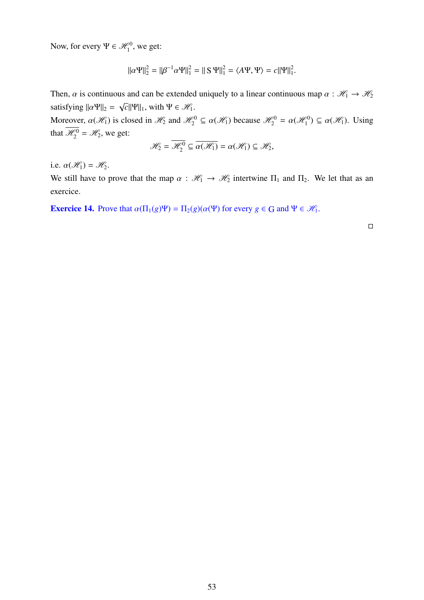Now, for every  $\Psi \in \mathcal{H}_1^0$ , we get:

$$
\|\alpha\Psi\|_2^2 = \|\beta^{-1}\alpha\Psi\|_1^2 = \|\mathbf{S}\,\Psi\|_1^2 = \langle A\Psi, \Psi \rangle = c \|\Psi\|_1^2.
$$

Then,  $\alpha$  is continuous and can be extended uniquely to a linear continuous map  $\alpha : \mathcal{H}_1 \to \mathcal{H}_2$ satisfying  $||\alpha \Psi||_2 =$ √  $\overline{c}$ ||Ψ||<sub>1</sub>, with Ψ ∈  $\mathcal{H}_1$ .

Moreover,  $\alpha(\mathcal{H}_1)$  is closed in  $\mathcal{H}_2$  and  $\mathcal{H}_2^0 \subseteq \alpha(\mathcal{H}_1)$  because  $\mathcal{H}_2^0 = \alpha(\mathcal{H}_1^0) \subseteq \alpha(\mathcal{H}_1)$ . Using that  $\mathcal{H}_2^0 = \mathcal{H}_2$ , we get:

$$
\mathscr{H}_2 = \overline{\mathscr{H}_2^0} \subseteq \overline{\alpha(\mathscr{H}_1)} = \alpha(\mathscr{H}_1) \subseteq \mathscr{H}_2,
$$

i.e.  $\alpha(\mathcal{H}_1) = \mathcal{H}_2$ .

We still have to prove that the map  $\alpha : \mathcal{H}_1 \to \mathcal{H}_2$  intertwine  $\Pi_1$  and  $\Pi_2$ . We let that as an exercice.

**Exercice 14.** Prove that  $\alpha(\Pi_1(g)\Psi) = \Pi_2(g)(\alpha(\Psi))$  for every  $g \in G$  and  $\Psi \in \mathcal{H}_1$ .

 $\Box$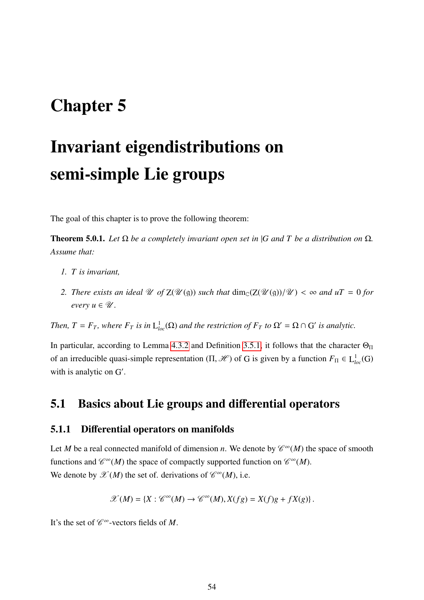## Chapter 5

# Invariant eigendistributions on semi-simple Lie groups

The goal of this chapter is to prove the following theorem:

**Theorem 5.0.1.** *Let*  $\Omega$  *be a completely invariant open set in* |*G and T be a distribution on*  $\Omega$ *. Assume that:*

- *1. T is invariant,*
- 2. *There exists an ideal*  $\mathcal U$  *of*  $Z(\mathcal U(\mathfrak{g}))$  *such that*  $\dim_{\mathbb C}(Z(\mathcal U(\mathfrak{g}))/\mathcal U) < \infty$  *and*  $uT = 0$  *for every*  $u \in \mathcal{U}$ .

*Then,*  $T = F_T$ *, where*  $F_T$  *is in*  $L_{loc}^1(\Omega)$  *and the restriction of*  $F_T$  *to*  $\Omega' = \Omega \cap G'$  *is analytic.* 

In particular, according to Lemma [4.3.2](#page-45-1) and Definition [3.5.1,](#page-35-0) it follows that the character  $\Theta_{\Pi}$ of an irreducible quasi-simple representation  $(\Pi, \mathcal{H})$  of G is given by a function  $F_{\Pi} \in L^{1}_{loc}(G)$ with is analytic on G'.

## 5.1 Basics about Lie groups and differential operators

#### 5.1.1 Differential operators on manifolds

Let *M* be a real connected manifold of dimension *n*. We denote by  $\mathcal{C}^{\infty}(M)$  the space of smooth functions and  $\mathcal{C}^{\infty}(M)$  the space of compactly supported function on  $\mathcal{C}^{\infty}(M)$ . We denote by  $\mathscr{X}(M)$  the set of. derivations of  $\mathscr{C}^{\infty}(M)$ , i.e.

$$
\mathscr{X}(M) = \{ X : \mathscr{C}^{\infty}(M) \to \mathscr{C}^{\infty}(M), X(fg) = X(f)g + fX(g) \}.
$$

It's the set of  $\mathscr{C}^{\infty}$ -vectors fields of *M*.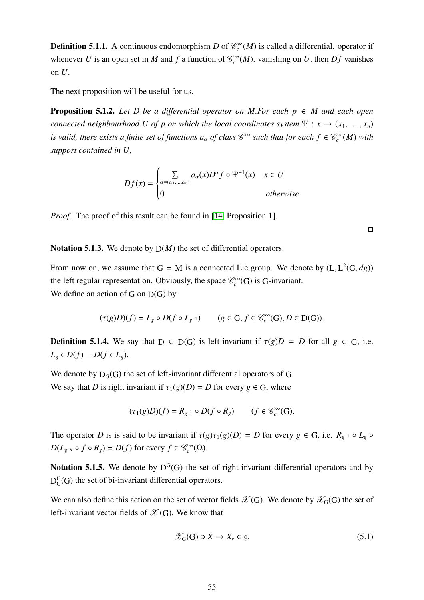**Definition 5.1.1.** A continuous endomorphism *D* of  $\mathcal{C}_c^{\infty}(M)$  is called a differential. operator if whenever *U* is an open set in *M* and *f* a function of  $\mathcal{C}_c^{\infty}(M)$ . vanishing on *U*, then *Df* vanishes on *U*.

The next proposition will be useful for us.

**Proposition 5.1.2.** Let D be a differential operator on M.For each  $p \in M$  and each open *connected neighbourhood U of p on which the local coordinates system*  $\Psi : x \to (x_1, \ldots, x_n)$ *is valid, there exists a finite set of functions*  $a_\alpha$  *of class*  $\mathscr{C}^\infty$  *such that for each*  $f \in \mathscr{C}_c^\infty(M)$  *with support contained in U,*

$$
Df(x) = \begin{cases} \sum_{\alpha = (\alpha_1, \dots, \alpha_n)} a_{\alpha}(x) D^{\alpha} f \circ \Psi^{-1}(x) & x \in U \\ 0 & \text{otherwise} \end{cases}
$$

*Proof.* The proof of this result can be found in [\[14,](#page-98-1) Proposition 1].

 $\Box$ 

Notation 5.1.3. We denote by  $D(M)$  the set of differential operators.

From now on, we assume that  $G = M$  is a connected Lie group. We denote by  $(L, L^2(G, dg))$ the left regular representation. Obviously, the space  $\mathcal{C}_c^{\infty}(G)$  is G-invariant. We define an action of G on  $D(G)$  by

$$
(\tau(g)D)(f) = L_g \circ D(f \circ L_{g^{-1}}) \qquad (g \in G, f \in \mathcal{C}_c^{\infty}(G), D \in D(G)).
$$

**Definition 5.1.4.** We say that  $D \in D(G)$  is left-invariant if  $\tau(g)D = D$  for all  $g \in G$ , i.e.  $L_g \circ D(f) = D(f \circ L_g).$ 

We denote by  $D_G(G)$  the set of left-invariant differential operators of G. We say that *D* is right invariant if  $\tau_1(g)(D) = D$  for every  $g \in G$ , where

$$
(\tau_1(g)D)(f) = R_{g^{-1}} \circ D(f \circ R_g) \qquad (f \in \mathcal{C}_c^{\infty}(G).
$$

The operator *D* is is said to be invariant if  $\tau(g)\tau_1(g)(D) = D$  for every  $g \in G$ , i.e.  $R_{g^{-1}} \circ L_g \circ D(f)$  $D(L_{g^{-q}} \circ f \circ R_g) = D(f)$  for every  $f \in \mathcal{C}_c^{\infty}(\Omega)$ .

**Notation 5.1.5.** We denote by  $D^{G}(G)$  the set of right-invariant differential operators and by  $\mathrm{D}^\mathrm{G}_\mathrm{G}$  $G<sub>G</sub>(G)$  the set of bi-invariant differential operators.

We can also define this action on the set of vector fields  $\mathscr{X}(G)$ . We denote by  $\mathscr{X}_G(G)$  the set of left-invariant vector fields of  $\mathscr{X}(G)$ . We know that

$$
\mathcal{X}_{G}(G) \ni X \to X_{e} \in \mathfrak{g},\tag{5.1}
$$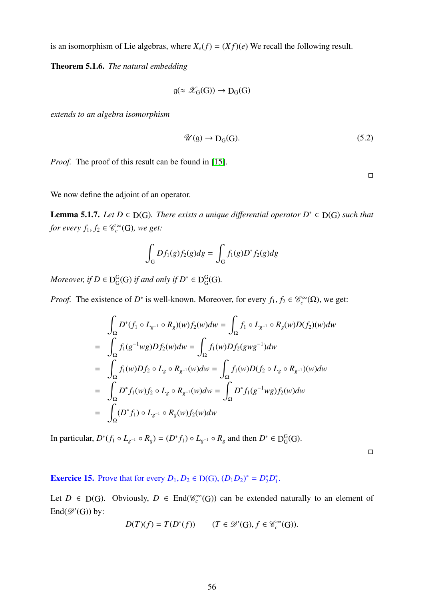is an isomorphism of Lie algebras, where  $X_e(f) = (Xf)(e)$  We recall the following result.

Theorem 5.1.6. *The natural embedding*

$$
\mathfrak{g}(\approx \mathscr{X}_G(G)) \to D_G(G)
$$

*extends to an algebra isomorphism*

<span id="page-56-0"></span>
$$
\mathscr{U}(\mathfrak{g}) \to D_{G}(G). \tag{5.2}
$$

*Proof.* The proof of this result can be found in [\[15\]](#page-98-2).

 $\Box$ 

We now define the adjoint of an operator.

<span id="page-56-1"></span>**Lemma 5.1.7.** *Let*  $D \in D(G)$ *. There exists a unique differential operator*  $D^* \in D(G)$  *such that for every*  $f_1, f_2 \in \mathcal{C}_c^{\infty}(\mathbb{G})$ *, we get:* 

$$
\int_G Df_1(g)f_2(g)dg = \int_G f_1(g)D^*f_2(g)dg
$$

*Moreover, if*  $D \in D^G_G$  $_G^G(G)$  *if and only if*  $D^* \in D_G^G$ G (G)*.*

*Proof.* The existence of *D*<sup>\*</sup> is well-known. Moreover, for every  $f_1, f_2 \in \mathcal{C}_c^{\infty}(\Omega)$ , we get:

$$
\int_{\Omega} D^*(f_1 \circ L_{g^{-1}} \circ R_g)(w) f_2(w) dw = \int_{\Omega} f_1 \circ L_{g^{-1}} \circ R_g(w) D(f_2)(w) dw
$$
  
\n
$$
= \int_{\Omega} f_1(g^{-1}wg) Df_2(w) dw = \int_{\Omega} f_1(w) Df_2(gwg^{-1}) dw
$$
  
\n
$$
= \int_{\Omega} f_1(w) Df_2 \circ L_g \circ R_{g^{-1}}(w) dw = \int_{\Omega} f_1(w) D(f_2 \circ L_g \circ R_{g^{-1}})(w) dw
$$
  
\n
$$
= \int_{\Omega} D^* f_1(w) f_2 \circ L_g \circ R_{g^{-1}}(w) dw = \int_{\Omega} D^* f_1(g^{-1}wg) f_2(w) dw
$$
  
\n
$$
= \int_{\Omega} (D^* f_1) \circ L_{g^{-1}} \circ R_g(w) f_2(w) dw
$$

In particular,  $D^*(f_1 \circ L_{g^{-1}} \circ R_g) = (D^*f_1) \circ L_{g^{-1}} \circ R_g$  and then  $D^* \in D_G^G$  $G^G(G)$ .

 $\Box$ 

**Exercice 15.** Prove that for every  $D_1, D_2 \in D(G), (D_1D_2)^* = D_2^*D_1^*$  $\frac{1}{1}$ .

Let  $D \in D(G)$ . Obviously,  $D \in End(\mathcal{C}^{\infty}_c(G))$  can be extended naturally to an element of  $\text{End}(\mathscr{D}'(G))$  by:

$$
D(T)(f) = T(D^*(f)) \qquad (T \in \mathscr{D}'(G), f \in \mathscr{C}_c^{\infty}(G)).
$$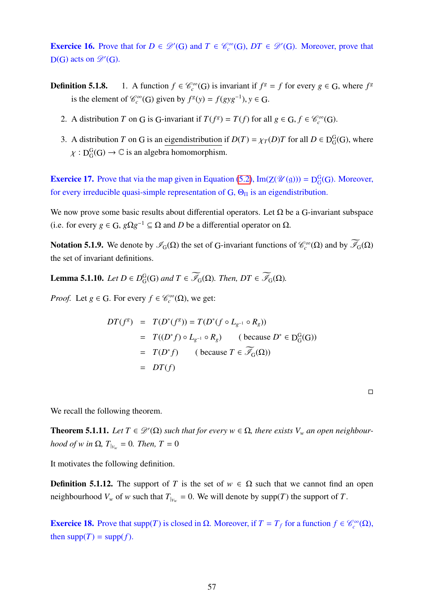**Exercice 16.** Prove that for  $D \in \mathcal{D}'(G)$  and  $T \in \mathcal{C}_c^{\infty}(G)$ ,  $DT \in \mathcal{D}'(G)$ . Moreover, prove that  $D(G)$  acts on  $\mathscr{D}'(G)$ .

- **Definition 5.1.8.** 1. A function  $f \in \mathcal{C}_c^{\infty}(G)$  is invariant if  $f^g = f$  for every  $g \in G$ , where  $f^g$ is the element of  $\mathcal{C}_c^{\infty}(G)$  given by  $f^g(y) = f(gyg^{-1}), y \in G$ .
	- 2. A distribution *T* on *G* is *G*-invariant if  $T(f^g) = T(f)$  for all  $g \in G, f \in \mathcal{C}_c^{\infty}(G)$ .
	- 3. A distribution *T* on G is an eigendistribution if  $D(T) = \chi_T(D)T$  for all  $D \in D_G^G$  $_G^G(G)$ , where  $\chi : D^G_G$  $_G^G(G) \to \mathbb{C}$  is an algebra homomorphism.

**Exercice 17.** Prove that via the map given in Equation [\(5.2\)](#page-56-0),  $Im(Z(\mathcal{U}(g))) = D_G^G$  $_G^G(G)$ . Moreover, for every irreducible quasi-simple representation of  $G$ ,  $\Theta_{\Pi}$  is an eigendistribution.

We now prove some basic results about differential operators. Let  $\Omega$  be a G-invariant subspace (i.e. for every  $g \in G$ ,  $g\Omega g^{-1} \subseteq \Omega$  and *D* be a differential operator on  $\Omega$ .

**Notation 5.1.9.** We denote by  $\mathscr{I}_G(\Omega)$  the set of G-invariant functions of  $\mathscr{C}_c^{\infty}(\Omega)$  and by  $\overline{\mathscr{I}}_G(\Omega)$ the set of invariant definitions.

Lemma 5.1.10. *Let D* ∈ *D* G  $_{G}^{G}(G)$  and  $T \in \mathscr{I}_{G}(\Omega)$ . Then,  $DT \in \mathscr{I}_{G}(\Omega)$ .

*Proof.* Let  $g \in G$ . For every  $f \in \mathcal{C}_c^{\infty}(\Omega)$ , we get:

$$
DT(f^g) = T(D^*(f^g)) = T(D^*(f \circ L_{g^{-1}} \circ R_g))
$$
  
=  $T((D^*f) \circ L_{g^{-1}} \circ R_g)$  ( because  $D^* \in D_G^G(G)$ )  
=  $T(D^*f)$  ( because  $T \in \overline{\mathcal{I}}_G(\Omega)$ )  
=  $DT(f)$ 

 $\Box$ 

We recall the following theorem.

**Theorem 5.1.11.** Let  $T \in \mathcal{D}'(\Omega)$  such that for every  $w \in \Omega$ , there exists  $V_w$  an open neighbour*hood of w in*  $\Omega$ *,*  $T_{|_{V_w}} = 0$ *. Then,*  $T = 0$ 

It motivates the following definition.

**Definition 5.1.12.** The support of *T* is the set of  $w \in \Omega$  such that we cannot find an open neighbourhood  $V_w$  of *w* such that  $T_{|V_w} = 0$ . We will denote by supp(*T*) the support of *T*.

**Exercice 18.** Prove that supp(*T*) is closed in  $\Omega$ . Moreover, if  $T = T_f$  for a function  $f \in \mathcal{C}_c^{\infty}(\Omega)$ , then  $supp(T) = supp(f)$ .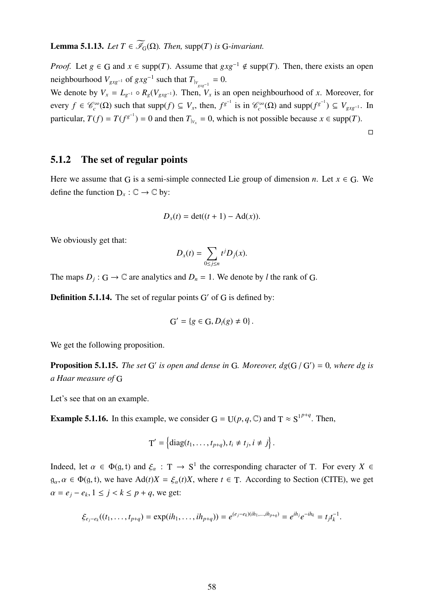**Lemma 5.1.13.** *Let*  $T \in \widetilde{\mathscr{I}}_{G}(\Omega)$ *. Then,* supp(*T*) *is* G-*invariant.* 

*Proof.* Let *g* ∈ G and *x* ∈ supp(*T*). Assume that  $gxg^{-1} \notin \text{supp}(T)$ . Then, there exists an open neighbourhood  $V_{gxg^{-1}}$  of  $gxg^{-1}$  such that  $T_{|_{V_{gxg^{-1}}}} = 0$ .

We denote by  $V_x = L_{g^{-1}} \circ R_g(V_{gxg^{-1}})$ . Then,  $V_x$  is an open neighbourhood of *x*. Moreover, for every  $f \in \mathcal{C}_c^{\infty}(\Omega)$  such that supp $(f) \subseteq V_x$ , then,  $f^{g^{-1}}$  is in  $\mathcal{C}_c^{\infty}(\Omega)$  and supp $(f^{g^{-1}}) \subseteq V_{gxg^{-1}}$ . In particular,  $T(f) = T(f^{g^{-1}}) = 0$  and then  $T_{|_{V_x}} = 0$ , which is not possible because  $x \in \text{supp}(T)$ .

 $\Box$ 

#### 5.1.2 The set of regular points

Here we assume that G is a semi-simple connected Lie group of dimension *n*. Let  $x \in G$ . We define the function  $D_x : \mathbb{C} \to \mathbb{C}$  by:

$$
D_x(t) = \det((t+1) - \mathrm{Ad}(x)).
$$

We obviously get that:

$$
D_x(t) = \sum_{0 \le j \le n} t^j D_j(x).
$$

The maps  $D_j$ :  $G \to \mathbb{C}$  are analytics and  $D_n = 1$ . We denote by *l* the rank of G.

**Definition 5.1.14.** The set of regular points  $G'$  of  $G$  is defined by:

$$
G' = \{g \in G, D_l(g) \neq 0\}.
$$

We get the following proposition.

**Proposition 5.1.15.** *The set* G' *is open and dense in* G. *Moreover,*  $dg(G/G') = 0$ *, where dg is a Haar measure of* G

Let's see that on an example.

**Example 5.1.16.** In this example, we consider  $G = U(p, q, \mathbb{C})$  and  $T \approx S^{1^{p+q}}$ . Then,

$$
\mathrm{T}'=\left\{\mathrm{diag}(t_1,\ldots,t_{p+q}), t_i\neq t_j, i\neq j\right\}.
$$

Indeed, let  $\alpha \in \Phi(g, t)$  and  $\xi_{\alpha} : T \to S^1$  the corresponding character of T. For every  $X \in$  $g_{\alpha}, \alpha \in \Phi(g, t)$ , we have  $\text{Ad}(t)X = \xi_{\alpha}(t)X$ , where  $t \in \text{T}$ . According to Section (CITE), we get  $\alpha = e_j - e_k, 1 \le j < k \le p + q$ , we get:

$$
\xi_{e_j-e_k}((t_1,\ldots,t_{p+q})=\exp(ih_1,\ldots,ih_{p+q}))=e^{(e_j-e_k)(ih_1,\ldots,ih_{p+q})}=e^{ih_j}e^{-ih_k}=t_jt_k^{-1}.
$$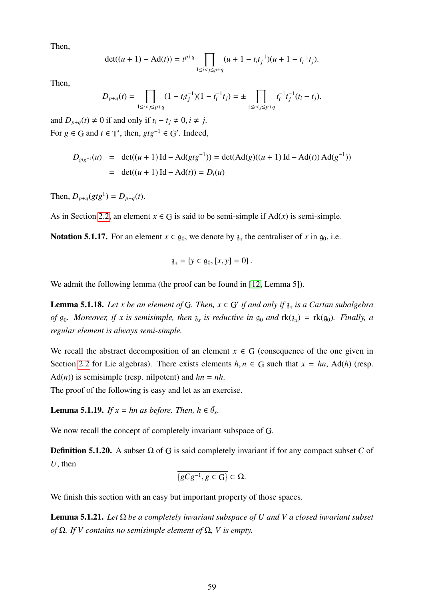Then,

$$
\det((u+1) - \mathrm{Ad}(t)) = t^{p+q} \prod_{1 \le i < j \le p+q} (u+1 - t_i t_j^{-1})(u+1 - t_i^{-1} t_j).
$$

Then,

$$
D_{p+q}(t) = \prod_{1 \leq i < j \leq p+q} (1 - t_i t_j^{-1})(1 - t_i^{-1} t_j) = \pm \prod_{1 \leq i < j \leq p+q} t_i^{-1} t_j^{-1} (t_i - t_j).
$$

and  $D_{p+q}(t) \neq 0$  if and only if  $t_i - t_j \neq 0, i \neq j$ . For  $g \in G$  and  $t \in T'$ , then,  $gtg^{-1} \in G'$ . Indeed,

$$
D_{gtg^{-1}}(u) = \det((u+1)\operatorname{Id} - \operatorname{Ad}(gtg^{-1})) = \det(\operatorname{Ad}(g)((u+1)\operatorname{Id} - \operatorname{Ad}(t))\operatorname{Ad}(g^{-1}))
$$
  
= \det((u+1)\operatorname{Id} - \operatorname{Ad}(t)) = D\_t(u)

Then,  $D_{p+q}(gtg^1) = D_{p+q}(t)$ .

As in Section [2.2,](#page-10-0) an element  $x \in G$  is said to be semi-simple if  $Ad(x)$  is semi-simple.

Notation 5.1.17. For an element  $x \in g_0$ , we denote by  $\delta_x$  the centraliser of x in  $g_0$ , i.e.

$$
\mathfrak{z}_x = \{ y \in \mathfrak{g}_0, [x, y] = 0 \} \, .
$$

We admit the following lemma (the proof can be found in [\[12,](#page-97-1) Lemma 5]).

<span id="page-59-1"></span>**Lemma 5.1.18.** Let x be an element of G. Then,  $x \in G'$  if and only if  $\mathfrak{z}_x$  is a Cartan subalgebra *of*  $g_0$ *. Moreover, if x is semisimple, then*  $g_x$  *is reductive in*  $g_0$  *and*  $rk(g_x) = rk(g_0)$ *. Finally, a regular element is always semi-simple.*

We recall the abstract decomposition of an element  $x \in G$  (consequence of the one given in Section [2.2](#page-10-0) for Lie algebras). There exists elements  $h, n \in G$  such that  $x = hn$ , Ad(*h*) (resp.  $Ad(n)$ ) is semisimple (resp. nilpotent) and  $hn = nh$ .

The proof of the following is easy and let as an exercise.

<span id="page-59-0"></span>**Lemma 5.1.19.** *If*  $x = hn$  *as before. Then,*  $h \in \bar{\theta}_x$ .

We now recall the concept of completely invariant subspace of G.

**Definition 5.1.20.** A subset  $\Omega$  of G is said completely invariant if for any compact subset C of *U*, then

$$
\overline{\{gCg^{-1}, g\in G\}}\subset\Omega.
$$

We finish this section with an easy but important property of those spaces.

Lemma 5.1.21. *Let* Ω *be a completely invariant subspace of U and V a closed invariant subset of* Ω*. If V contains no semisimple element of* Ω*, V is empty.*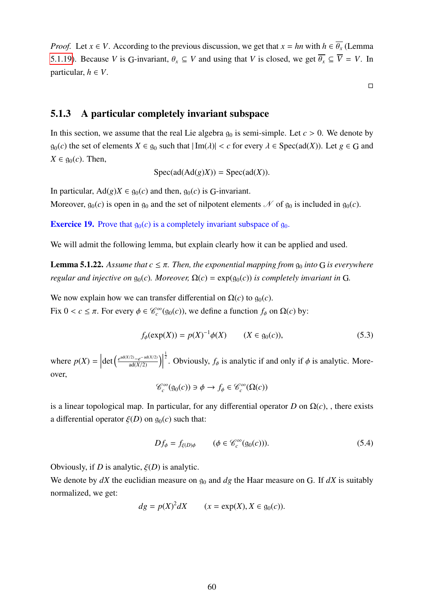*Proof.* Let  $x \in V$ . According to the previous discussion, we get that  $x = hn$  with  $h \in \overline{\theta_x}$  (Lemma [5.1.19\)](#page-59-0). Because *V* is G-invariant,  $\theta_x \subseteq V$  and using that *V* is closed, we get  $\overline{\theta_x} \subseteq \overline{V} = V$ . In particular,  $h \in V$ .

 $\Box$ 

#### 5.1.3 A particular completely invariant subspace

In this section, we assume that the real Lie algebra  $g_0$  is semi-simple. Let  $c > 0$ . We denote by  $g_0(c)$  the set of elements  $X \in g_0$  such that  $|\text{Im}(\lambda)| < c$  for every  $\lambda \in \text{Spec}(ad(X))$ . Let  $g \in G$  and  $X \in \mathfrak{g}_0(c)$ . Then,

$$
Spec(ad(Ad(g)X)) = Spec(ad(X)).
$$

In particular,  $Ad(g)X \in q_0(c)$  and then,  $q_0(c)$  is G-invariant.

Moreover,  $g_0(c)$  is open in  $g_0$  and the set of nilpotent elements  $\mathcal N$  of  $g_0$  is included in  $g_0(c)$ .

**Exercice 19.** Prove that  $g_0(c)$  is a completely invariant subspace of  $g_0$ .

We will admit the following lemma, but explain clearly how it can be applied and used.

**Lemma 5.1.22.** Assume that  $c \leq \pi$ . Then, the exponential mapping from  $g_0$  *into* G *is everywhere regular and injective on*  $g_0(c)$ *. Moreover,*  $\Omega(c) = \exp(g_0(c))$  *is completely invariant in* G.

We now explain how we can transfer differential on  $\Omega(c)$  to  $g_0(c)$ . Fix 0 < *c* ≤ π. For every  $φ ∈ C<sup>∞</sup><sub>c</sub>(g<sub>0</sub>(c))$ , we define a function  $f<sub>φ</sub>$  on Ω(*c*) by:

$$
f_{\phi}(\exp(X)) = p(X)^{-1}\phi(X) \qquad (X \in g_0(c)),
$$
\n(5.3)

where  $p(X) =$  $\det\left(\frac{e^{\operatorname{ad}(X/2)}-e^{-\operatorname{ad}(X/2)}}{\operatorname{ad}(X/2)}\right)$ <sup> $\frac{1}{2}$ </sup>. Obviously,  $f_{\phi}$  is analytic if and only if  $\phi$  is analytic. Moreover,

$$
\mathcal{C}_c^{\infty}(\mathfrak{g}_0(c)) \ni \phi \to f_{\phi} \in \mathcal{C}_c^{\infty}(\Omega(c))
$$

is a linear topological map. In particular, for any differential operator *D* on Ω(*c*), , there exists a differential operator  $\xi(D)$  on  $g_0(c)$  such that:

$$
Df_{\phi} = f_{\xi(D)\phi} \qquad (\phi \in \mathcal{C}_c^{\infty}(\mathfrak{g}_0(c))). \qquad (5.4)
$$

Obviously, if *D* is analytic,  $\xi(D)$  is analytic.

We denote by  $dX$  the euclidian measure on  $g_0$  and  $dg$  the Haar measure on G. If  $dX$  is suitably normalized, we get:

$$
dg = p(X)^2 dX \qquad (x = \exp(X), X \in \mathfrak{g}_0(c)).
$$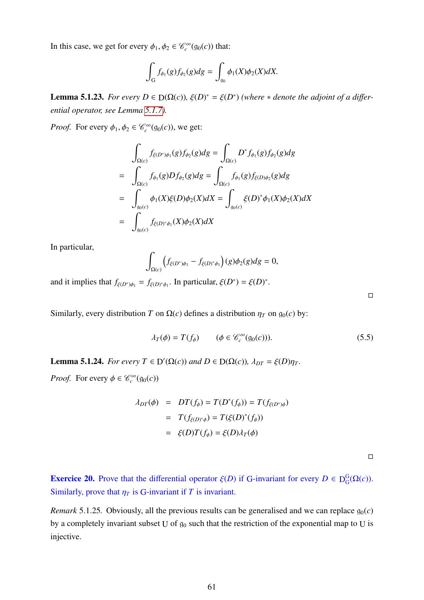In this case, we get for every  $\phi_1, \phi_2 \in \mathcal{C}_c^{\infty}(\mathfrak{g}_0(c))$  that:

$$
\int_G f_{\phi_1}(g) f_{\phi_2}(g) dg = \int_{g_0} \phi_1(X) \phi_2(X) dX.
$$

**Lemma 5.1.23.** *For every D*  $\in$  D( $\Omega$ (*c*)),  $\xi$ (*D*)<sup>\*</sup> =  $\xi$ (*D*<sup>\*</sup>) (where \* *denote the adjoint of a differential operator, see Lemma [5.1.7\)](#page-56-1).*

*Proof.* For every  $\phi_1, \phi_2 \in \mathcal{C}_c^{\infty}(\mathfrak{g}_0(c))$ , we get:

$$
\int_{\Omega(c)} f_{\xi(D^*)\phi_1}(g) f_{\phi_2}(g) dg = \int_{\Omega(c)} D^* f_{\phi_1}(g) f_{\phi_2}(g) dg
$$
\n
$$
= \int_{\Omega(c)} f_{\phi_1}(g) D f_{\phi_2}(g) dg = \int_{\Omega(c)} f_{\phi_1}(g) f_{\xi(D)\phi_2}(g) dg
$$
\n
$$
= \int_{\Omega(c)} \phi_1(X) \xi(D) \phi_2(X) dX = \int_{\Omega(c)} \xi(D)^* \phi_1(X) \phi_2(X) dX
$$
\n
$$
= \int_{\Omega(c)} f_{\xi(D)^* \phi_1}(X) \phi_2(X) dX
$$

In particular,

$$
\int_{\Omega(c)}\left(f_{\xi(D^*)\phi_1}-f_{\xi(D)^*\phi_1}\right)(g)\phi_2(g)dg=0,
$$

and it implies that  $f_{\xi(D^*)\phi_1} = f_{\xi(D)^*\phi_1}$ . In particular,  $\xi(D^*) = \xi(D)^*$ .

Similarly, every distribution *T* on  $\Omega(c)$  defines a distribution  $\eta_T$  on  $g_0(c)$  by:

$$
\lambda_T(\phi) = T(f_{\phi}) \qquad (\phi \in \mathcal{C}_c^{\infty}(\mathfrak{g}_0(c))). \qquad (5.5)
$$

**Lemma 5.1.24.** *For every*  $T \in D'(\Omega(c))$  *and*  $D \in D(\Omega(c))$ *,*  $\lambda_{DT} = \xi(D)\eta_T$ *.* 

*Proof.* For every  $\phi \in \mathcal{C}_c^{\infty}(g_0(c))$ 

$$
\lambda_{DT}(\phi) = DT(f_{\phi}) = T(D^*(f_{\phi})) = T(f_{\xi(D^*)\phi})
$$

$$
= T(f_{\xi(D)^*\phi}) = T(\xi(D)^*(f_{\phi}))
$$

$$
= \xi(D)T(f_{\phi}) = \xi(D)\lambda_T(\phi)
$$

 $\Box$ 

**Exercice 20.** Prove that the differential operator  $\xi(D)$  if G-invariant for every  $D \in D_G^G$  $_{\mathrm{G}}^{\mathrm{G}}(\Omega(c)).$ Similarly, prove that  $\eta_T$  is G-invariant if *T* is invariant.

*Remark* 5.1.25*.* Obviously, all the previous results can be generalised and we can replace  $g_0(c)$ by a completely invariant subset U of  $g_0$  such that the restriction of the exponential map to U is injective.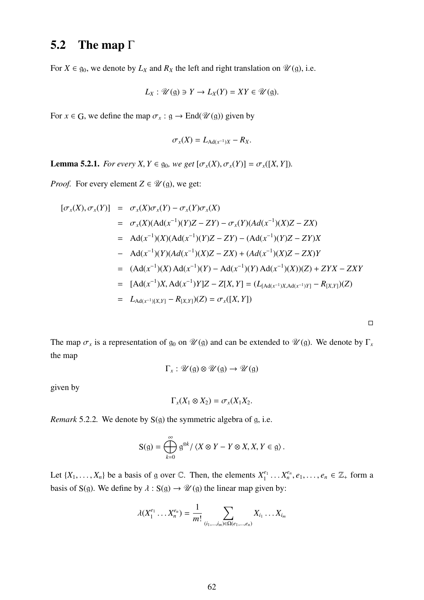## 5.2 The map Γ

For  $X \in \mathfrak{g}_0$ , we denote by  $L_X$  and  $R_X$  the left and right translation on  $\mathcal{U}(\mathfrak{g})$ , i.e.

$$
L_X: \mathscr{U}(\mathfrak{g}) \ni Y \to L_X(Y) = XY \in \mathscr{U}(\mathfrak{g}).
$$

For  $x \in G$ , we define the map  $\sigma_x : g \to \text{End}(\mathcal{U}(g))$  given by

$$
\sigma_x(X) = L_{\text{Ad}(x^{-1})X} - R_X.
$$

**Lemma 5.2.1.** *For every X, Y*  $\in$  g<sub>0</sub>*, we get*  $[\sigma_x(X), \sigma_x(Y)] = \sigma_x([X, Y])$ *.* 

*Proof.* For every element  $Z \in \mathcal{U}(\mathfrak{g})$ , we get:

$$
[\sigma_x(X), \sigma_x(Y)] = \sigma_x(X)\sigma_x(Y) - \sigma_x(Y)\sigma_x(X)
$$
  
\n
$$
= \sigma_x(X)(Ad(x^{-1})(Y)Z - ZY) - \sigma_x(Y)(Ad(x^{-1})(X)Z - ZX)
$$
  
\n
$$
= Ad(x^{-1})(X)(Ad(x^{-1})(Y)Z - ZY) - (Ad(x^{-1})(Y)Z - ZY)X
$$
  
\n
$$
- Ad(x^{-1})(Y)(Ad(x^{-1})(X)Z - ZX) + (Ad(x^{-1})(X)Z - ZX)Y
$$
  
\n
$$
= (Ad(x^{-1})(X)Ad(x^{-1})(Y) - Ad(x^{-1})(Y)Ad(x^{-1})(X))(Z) + ZYX - ZXY
$$
  
\n
$$
= [Ad(x^{-1})X, Ad(x^{-1})Y]Z - Z[X, Y] = (L_{[Ad(x^{-1})X, Ad(x^{-1})Y]} - R_{[X,Y]})(Z)
$$
  
\n
$$
= L_{Ad(x^{-1})[X,Y]} - R_{[X,Y]})(Z) = \sigma_x([X, Y])
$$

 $\Box$ 

The map  $\sigma_x$  is a representation of  $g_0$  on  $\mathcal{U}(g)$  and can be extended to  $\mathcal{U}(g)$ . We denote by  $\Gamma_x$ the map

$$
\Gamma_x: \mathscr{U}(\mathfrak{g}) \otimes \mathscr{U}(\mathfrak{g}) \to \mathscr{U}(\mathfrak{g})
$$

given by

$$
\Gamma_x(X_1\otimes X_2)=\sigma_x(X_1X_2).
$$

*Remark* 5.2.2*.* We denote by S(g) the symmetric algebra of g, i.e.

$$
S(g) = \bigoplus_{k=0}^{\infty} g^{\otimes k} / \langle X \otimes Y - Y \otimes X, X, Y \in g \rangle.
$$

Let  $\{X_1, \ldots, X_n\}$  be a basis of g over  $\mathbb{C}$ . Then, the elements  $X_1^{e_1}$  $X_1^{e_1} \ldots X_n^{e_n}, e_1, \ldots, e_n \in \mathbb{Z}_+ \text{ form a}$ basis of S(g). We define by  $\lambda : S(g) \to \mathcal{U}(g)$  the linear map given by:

$$
\lambda(X_1^{e_1} \dots X_n^{e_n}) = \frac{1}{m!} \sum_{(i_1, \dots, i_m) \in \Omega(e_1, \dots, e_n)} X_{i_1} \dots X_{i_m}
$$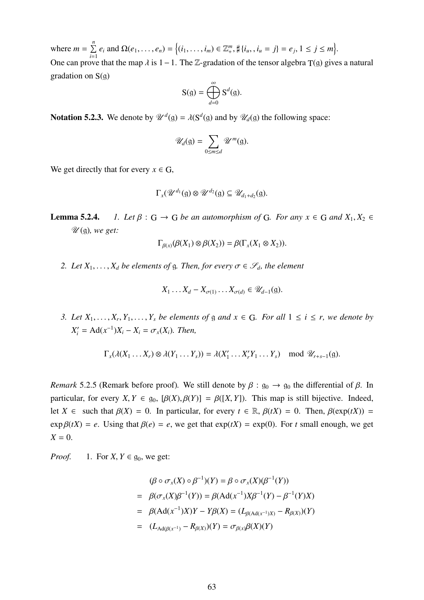where  $m = \sum_{n=1}^{n}$  $\sum_{i=1}^{n} e_i$  and  $\Omega(e_1, ..., e_n) = \{(i_1, ..., i_m) \in \mathbb{Z}_+^m, \sharp \{i_u, , i_u = j\} = e_j, 1 \le j \le m\}.$ One can prove that the map  $\lambda$  is 1 – 1. The Z-gradation of the tensor algebra T(g) gives a natural gradation on  $S(g)$ 

$$
S(g) = \bigoplus_{d=0}^{\infty} S^d(g).
$$

**Notation 5.2.3.** We denote by  $\mathcal{U}^d(g) = \lambda(S^d(g))$  and by  $\mathcal{U}_d(g)$  the following space:

$$
\mathscr{U}_d(\mathfrak{g})=\sum_{0\leq m\leq d}\mathscr{U}^m(\mathfrak{g}).
$$

We get directly that for every  $x \in G$ ,

$$
\Gamma_{x}(\mathscr{U}^{d_1}(\mathfrak{g})\otimes \mathscr{U}^{d_2}(\mathfrak{g})\subseteq \mathscr{U}_{d_1+d_2}(\mathfrak{g}).
$$

**Lemma 5.2.4.** *1. Let*  $\beta$  :  $G \rightarrow G$  *be an automorphism of* G*. For any*  $x \in G$  *and*  $X_1, X_2 \in G$ U (g)*, we get:*

$$
\Gamma_{\beta(x)}(\beta(X_1)\otimes \beta(X_2))=\beta(\Gamma_x(X_1\otimes X_2)).
$$

*2. Let*  $X_1, \ldots, X_d$  *be elements of* g*. Then, for every*  $\sigma \in \mathcal{S}_d$ *, the element* 

$$
X_1 \ldots X_d - X_{\sigma(1)} \ldots X_{\sigma(d)} \in \mathscr{U}_{d-1}(\mathfrak{g}).
$$

*3. Let*  $X_1, \ldots, X_r, Y_1, \ldots, Y_s$  *be elements of*  $g$  *and*  $x \in G$ *. For all*  $1 \le i \le r$ *, we denote by*  $X'_{i} = \text{Ad}(x^{-1})X_{i} - X_{i} = \sigma_{x}(X_{i})$ *. Then,* 

$$
\Gamma_x(\lambda(X_1 \ldots X_r) \otimes \lambda(Y_1 \ldots Y_s)) = \lambda(X'_1 \ldots X'_r Y_1 \ldots Y_s) \mod \mathscr{U}_{r+s-1}(\mathfrak{g}).
$$

*Remark* 5.2.5 (Remark before proof). We still denote by  $\beta : g_0 \to g_0$  the differential of  $\beta$ . In particular, for every *X*,  $Y \in g_0$ ,  $[\beta(X), \beta(Y)] = \beta([X, Y])$ . This map is still bijective. Indeed, let *X* ∈ such that  $\beta(X) = 0$ . In particular, for every  $t \in \mathbb{R}$ ,  $\beta(tX) = 0$ . Then,  $\beta(\exp(tX)) = 0$  $\exp \beta(tX) = e$ . Using that  $\beta(e) = e$ , we get that  $\exp(tX) = \exp(0)$ . For *t* small enough, we get  $X = 0$ .

*Proof.* 1. For  $X, Y \in \mathfrak{g}_0$ , we get:

$$
(\beta \circ \sigma_x(X) \circ \beta^{-1})(Y) = \beta \circ \sigma_x(X)(\beta^{-1}(Y))
$$
  
=  $\beta(\sigma_x(X)\beta^{-1}(Y)) = \beta(\text{Ad}(x^{-1})X\beta^{-1}(Y) - \beta^{-1}(Y)X)$   
=  $\beta(\text{Ad}(x^{-1})X)Y - Y\beta(X) = (L_{\beta(\text{Ad}(x^{-1})X)} - R_{\beta(X)})(Y)$   
=  $(L_{\text{Ad}(\beta(x^{-1})} - R_{\beta(X)})(Y) = \sigma_{\beta(x)}\beta(X)(Y)$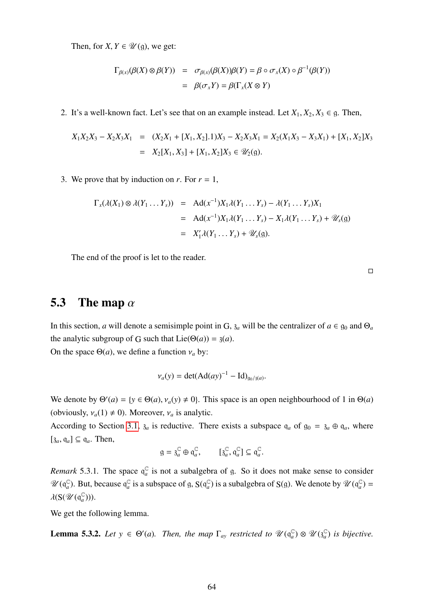Then, for *X*,  $Y \in \mathcal{U}(\mathfrak{g})$ , we get:

$$
\Gamma_{\beta(x)}(\beta(X)\otimes\beta(Y)) = \sigma_{\beta(x)}(\beta(X))\beta(Y) = \beta \circ \sigma_x(X) \circ \beta^{-1}(\beta(Y))
$$

$$
= \beta(\sigma_x Y) = \beta(\Gamma_x(X \otimes Y))
$$

2. It's a well-known fact. Let's see that on an example instead. Let  $X_1, X_2, X_3 \in \mathfrak{g}$ . Then,

$$
X_1X_2X_3 - X_2X_3X_1 = (X_2X_1 + [X_1, X_2].1)X_3 - X_2X_3X_1 = X_2(X_1X_3 - X_3X_1) + [X_1, X_2]X_3
$$
  
=  $X_2[X_1, X_3] + [X_1, X_2]X_3 \in \mathcal{U}_2(\mathfrak{g}).$ 

3. We prove that by induction on *r*. For  $r = 1$ ,

$$
\Gamma_x(\lambda(X_1) \otimes \lambda(Y_1 \dots Y_s)) = \text{Ad}(x^{-1})X_1\lambda(Y_1 \dots Y_s) - \lambda(Y_1 \dots Y_s)X_1
$$
  
= 
$$
\text{Ad}(x^{-1})X_1\lambda(Y_1 \dots Y_s) - X_1\lambda(Y_1 \dots Y_s) + \mathscr{U}_s(\mathfrak{g})
$$
  
= 
$$
X'_1\lambda(Y_1 \dots Y_s) + \mathscr{U}_s(\mathfrak{g}).
$$

The end of the proof is let to the reader.

 $\Box$ 

## 5.3 The map  $\alpha$

In this section, *a* will denote a semisimple point in G,  $\mathfrak{z}_a$  will be the centralizer of  $a \in \mathfrak{g}_0$  and  $\Theta_a$ the analytic subgroup of G such that  $Lie(\Theta(a)) = \mathfrak{z}(a)$ . On the space  $\Theta(a)$ , we define a function  $v_a$  by:

$$
v_a(y) = \det(Ad(ay)^{-1} - Id)_{g_0/3(a)}
$$
.

We denote by  $\Theta'(a) = \{y \in \Theta(a), v_a(y) \neq 0\}$ . This space is an open neighbourhood of 1 in  $\Theta(a)$ (obviously,  $v_a(1) \neq 0$ ). Moreover,  $v_a$  is analytic.

According to Section [3.1,](#page-20-0)  $\delta_a$  is reductive. There exists a subspace  $q_a$  of  $g_0 = \delta_a \oplus q_a$ , where  $[\mathfrak{z}_a, \mathfrak{q}_a] \subseteq \mathfrak{q}_a$ . Then,

$$
\mathfrak{g} = \mathfrak{z}_a^{\mathbb{C}} \oplus \mathfrak{q}_a^{\mathbb{C}}, \qquad [\mathfrak{z}_a^{\mathbb{C}}, \mathfrak{q}_a^{\mathbb{C}}] \subseteq \mathfrak{q}_a^{\mathbb{C}}.
$$

*Remark* 5.3.1. The space  $q_a^C$  $a_a^{\mathbb{C}}$  is not a subalgebra of g. So it does not make sense to consider  $\mathscr{U}(\mathfrak{q}_a^\mathbb{C}$  $_a^{\mathbb{C}}$ ). But, because  $\mathfrak{q}_a^{\mathbb{C}}$  $\int_a^{\mathbb{C}}$  is a subspace of g,  $S(q_a^{\mathbb{C}})$  $_{a}^{\mathbb{C}}$ ) is a subalgebra of S(g). We denote by  $\mathscr{U}(\mathfrak{q}_{a}^{\mathbb{C}})$  $_{a}^{\mathbb{C}}$ ) =  $\lambda(\mathrm{S}(\mathscr{U}(\mathfrak{q}_a^\mathbb{C}$  $_{a}^{\mathbb{C}}$ ))).

We get the following lemma.

**Lemma 5.3.2.** Let  $y \in \Theta'(a)$ . Then, the map  $\Gamma_{ay}$  restricted to  $\mathcal{U}(\mathfrak{q}_a^{\mathbb{C}})$  $a^{\mathbb{C}}$ <sub>a</sub>  $\otimes \mathcal{U}$  ( $\mathfrak{z}_a^{\mathbb{C}}$ *a* ) *is bijective.*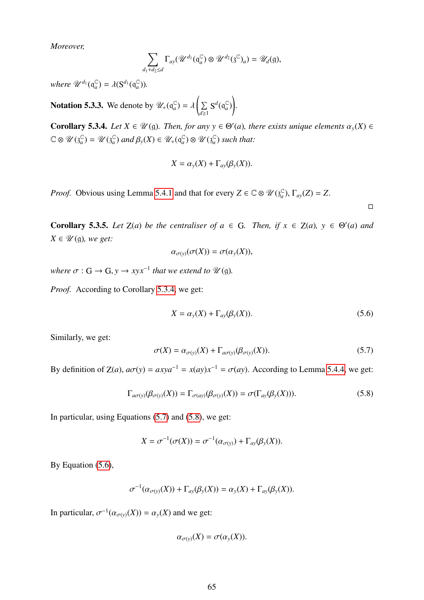*Moreover,*

$$
\sum_{d_1+d_2\leq d}\Gamma_{ay}(\mathscr{U}^{d_1}(\mathfrak{q}_a^{\mathbb{C}})\otimes\mathscr{U}^{d_2}(\mathfrak{z}^{\mathbb{C}})_a)=\mathscr{U}_d(\mathfrak{g}),
$$

where  $\mathscr{U}^{d_1}(\mathfrak{q}_a^\mathbb{C})$  $a^{\mathbb{C}}$ ) =  $\lambda(\mathbf{S}^{d_1}(\mathfrak{q}_a^{\mathbb{C}}))$  $_{a}^{\mathbb{C}}$ )).

**Notation 5.3.3.** We denote by  $\mathscr{U}_+(\mathfrak{q}_a^{\mathbb{C}})$  $_{a}^{\mathbb{C}}$ ) =  $\lambda$  $\sqrt{2}$  $\sum$  $\sum_{d\geq 1}$  **S**<sup>d</sup>( $q_a^C$ *a* ) ! .

<span id="page-65-0"></span>**Corollary 5.3.4.** *Let*  $X \in \mathcal{U}(\mathfrak{g})$ *. Then, for any*  $y \in \Theta'(a)$ *, there exists unique elements*  $\alpha_y(X) \in \mathcal{U}(\mathfrak{g})$ *. At*  $(\mathfrak{g})$ *. At*  $(\mathfrak{g})$ *. At*  $(\mathfrak{g})$ *. At*  $(\mathfrak{g})$ *. At*  $(\mathfrak{g})$ *. At*  $(\mathfrak{g})$  $\mathbb{C} \otimes \mathscr{U}(\mathfrak{z}_a^\mathbb{C})$  $_{a}^{\mathbb{C}}$ ) = U ( $_{a}^{\mathbb{C}}$  $_{a}^{\mathbb{C}}$ ) *and*  $\beta_{y}(X) \in \mathscr{U}_{+}(\mathfrak{q}_{a}^{\mathbb{C}})$  $_{a}^{\mathbb{C}}$ ) ⊗ U ( $_{a}^{\mathbb{C}}$ *a* ) *such that:*

$$
X = \alpha_{y}(X) + \Gamma_{\alpha y}(\beta_{y}(X)).
$$

*Proof.* Obvious using Lemma [5.4.1](#page-66-0) and that for every  $Z \in \mathbb{C} \otimes \mathcal{U}(\mathfrak{z}_a^{\mathbb{C}})$  $_{a}^{\mathbb{C}}$ ),  $\Gamma_{ay}(Z) = Z$ .

 $\Box$ 

<span id="page-65-4"></span>**Corollary 5.3.5.** *Let*  $Z(a)$  *be the centraliser of*  $a \in G$ *. Then, if*  $x \in Z(a)$ *,*  $y \in \Theta'(a)$  *and*  $X \in \mathscr{U}(\mathfrak{g})$ *, we get:* 

$$
\alpha_{\sigma(y)}(\sigma(X)) = \sigma(\alpha_{y}(X)),
$$

*where*  $\sigma$  :  $G \rightarrow G$ ,  $y \rightarrow xyx^{-1}$  *that we extend to*  $\mathcal{U}(\mathfrak{g})$ *.* 

*Proof.* According to Corollary [5.3.4,](#page-65-0) we get:

<span id="page-65-3"></span>
$$
X = \alpha_{y}(X) + \Gamma_{\alpha y}(\beta_{y}(X)).
$$
\n(5.6)

Similarly, we get:

<span id="page-65-1"></span>
$$
\sigma(X) = \alpha_{\sigma(y)}(X) + \Gamma_{a\sigma(y)}(\beta_{\sigma(y)}(X)).
$$
\n(5.7)

By definition of  $Z(a)$ ,  $a\sigma(y) = axya^{-1} = x(ay)x^{-1} = \sigma(ay)$ . According to Lemma [5.4.4,](#page-66-1) we get:

<span id="page-65-2"></span>
$$
\Gamma_{a\sigma(y)}(\beta_{\sigma(y)}(X)) = \Gamma_{\sigma(a\circ)}(\beta_{\sigma(y)}(X)) = \sigma(\Gamma_{a\circ}(\beta_{y}(X))).
$$
\n(5.8)

In particular, using Equations [\(5.7\)](#page-65-1) and [\(5.8\)](#page-65-2), we get:

$$
X = \sigma^{-1}(\sigma(X)) = \sigma^{-1}(\alpha_{\sigma(y)}) + \Gamma_{\alpha y}(\beta_y(X)).
$$

By Equation  $(5.6)$ ,

$$
\sigma^{-1}(\alpha_{\sigma(y)}(X)) + \Gamma_{\alpha y}(\beta_y(X)) = \alpha_y(X) + \Gamma_{\alpha y}(\beta_y(X)).
$$

In particular,  $\sigma^{-1}(\alpha_{\sigma(y)}(X)) = \alpha_y(X)$  and we get:

$$
\alpha_{\sigma(y)}(X)=\sigma(\alpha_y(X)).
$$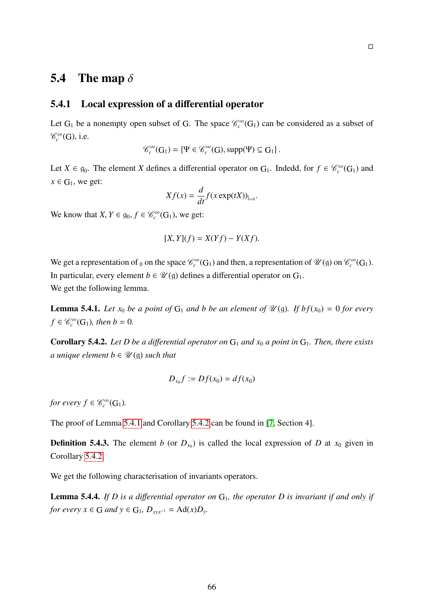## 5.4 The map  $\delta$

#### 5.4.1 Local expression of a differential operator

Let  $G_1$  be a nonempty open subset of G. The space  $\mathcal{C}_c^{\infty}(G_1)$  can be considered as a subset of  $\mathscr{C}_c^{\infty}(G)$ , i.e.

$$
\mathscr{C}_c^{\infty}(G_1) = \{ \Psi \in \mathscr{C}_c^{\infty}(G), \text{supp}(\Psi) \subseteq G_1 \}.
$$

Let  $X \in \mathfrak{g}_0$ . The element *X* defines a differential operator on  $G_1$ . Indedd, for  $f \in \mathcal{C}_c^{\infty}(G_1)$  and  $x \in G_1$ , we get:

$$
Xf(x) = \frac{d}{dt}f(x \exp(tX))_{|_{t=0}}.
$$

We know that  $X, Y \in \mathfrak{g}_0, f \in \mathcal{C}_c^{\infty}(G_1)$ , we get:

$$
[X,Y](f) = X(Yf) - Y(Xf).
$$

We get a representation of <sub>0</sub> on the space  $\mathcal{C}_c^{\infty}(G_1)$  and then, a representation of  $\mathcal{U}(\mathfrak{g})$  on  $\mathcal{C}_c^{\infty}(G_1)$ . In particular, every element  $b \in \mathcal{U}(\mathfrak{g})$  defines a differential operator on  $G_1$ . We get the following lemma.

<span id="page-66-0"></span>**Lemma 5.4.1.** Let  $x_0$  be a point of  $G_1$  and b be an element of  $\mathcal{U}(\mathfrak{g})$ . If  $bf(x_0) = 0$  for every  $f \in \mathscr{C}_c^{\infty}(\mathbb{G}_1)$ *, then*  $b = 0$ *.* 

<span id="page-66-2"></span>**Corollary 5.4.2.** Let D be a differential operator on  $G_1$  and  $x_0$  a point in  $G_1$ . Then, there exists *a unique element b*  $\in \mathcal{U}(\mathfrak{g})$  *such that* 

$$
D_{x_0}f := Df(x_0) = df(x_0)
$$

*for every*  $f \in \mathcal{C}_c^{\infty}(\mathbb{G}_1)$ *.* 

The proof of Lemma [5.4.1](#page-66-0) and Corollary [5.4.2](#page-66-2) can be found in [\[7,](#page-97-2) Section 4].

**Definition 5.4.3.** The element *b* (or  $D_{x_0}$ ) is called the local expression of *D* at  $x_0$  given in Corollary [5.4.2.](#page-66-2)

We get the following characterisation of invariants operators.

<span id="page-66-1"></span>Lemma 5.4.4. *If D is a differential operator on*  $G<sub>1</sub>$ *, the operator D is invariant if and only if for every*  $x \in G$  *and*  $y \in G_1$ ,  $D_{xyx^{-1}} = Ad(x)D_y$ .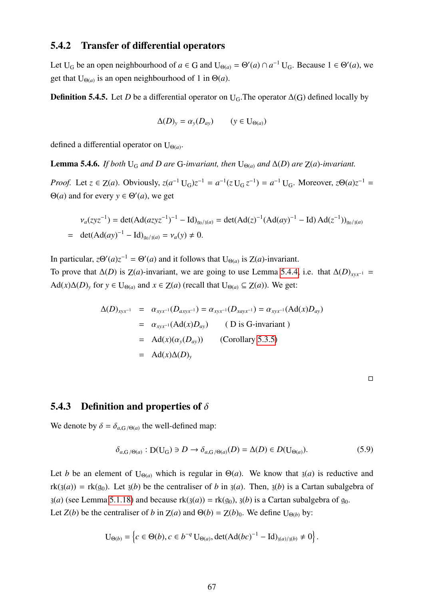#### 5.4.2 Transfer of differential operators

Let U<sub>G</sub> be an open neighbourhood of  $a \in G$  and  $U_{\Theta(a)} = \Theta'(a) \cap a^{-1} U_G$ . Because  $1 \in \Theta'(a)$ , we get that  $U_{\Theta(a)}$  is an open neighbourhood of 1 in  $\Theta(a)$ .

**Definition 5.4.5.** Let *D* be a differential operator on U<sub>G</sub>. The operator  $\Delta(G)$  defined locally by

$$
\Delta(D)_y = \alpha_y(D_{ay}) \qquad (y \in U_{\Theta(a)})
$$

defined a differential operator on  $U_{\Theta(a)}$ .

**Lemma 5.4.6.** *If both* U<sub>G</sub> *and D* are G-invariant, then U<sub> $Theta(a)$ </sub> and  $\Delta(D)$  are Z(*a*)-invariant.

*Proof.* Let  $z \in Z(a)$ . Obviously,  $z(a^{-1}U_{G})z^{-1} = a^{-1}(zU_{G}z^{-1}) = a^{-1}U_{G}$ . Moreover,  $z\Theta(a)z^{-1} =$  $\Theta(a)$  and for every  $y \in \Theta'(a)$ , we get

$$
\begin{aligned} v_a(zyz^{-1}) &= \det(\text{Ad}(azyz^{-1})^{-1} - \text{Id})_{g_0/3(a)} = \det(\text{Ad}(z)^{-1}(\text{Ad}(ay)^{-1} - \text{Id})\text{Ad}(z^{-1}))_{g_0/3(a)} \\ &= \det(\text{Ad}(ay)^{-1} - \text{Id})_{g_0/3(a)} = v_a(y) \neq 0. \end{aligned}
$$

In particular,  $z\Theta'(a)z^{-1} = \Theta'(a)$  and it follows that  $U_{\Theta(a)}$  is  $Z(a)$ -invariant.

To prove that  $\Delta(D)$  is  $Z(a)$ -invariant, we are going to use Lemma [5.4.4,](#page-66-1) i.e. that  $\Delta(D)_{xyx^{-1}} =$  $Ad(x)\Delta(D)_y$  for  $y \in U_{\Theta(a)}$  and  $x \in Z(a)$  (recall that  $U_{\Theta(a)} \subseteq Z(a)$ ). We get:

$$
\Delta(D)_{xyx^{-1}} = \alpha_{xyx^{-1}}(D_{axyx^{-1}}) = \alpha_{xyx^{-1}}(D_{xayx^{-1}}) = \alpha_{xyx^{-1}}(Ad(x)D_{ay})
$$
  
\n
$$
= \alpha_{xyx^{-1}}(Ad(x)D_{ay}) \qquad (D \text{ is } G\text{-invariant})
$$
  
\n
$$
= Ad(x)(\alpha_y(D_{ay})) \qquad \text{(Corollary 5.3.5)}
$$
  
\n
$$
= Ad(x)\Delta(D)_y
$$

#### 5.4.3 Definition and properties of  $\delta$

We denote by  $\delta = \delta_{a,G/(\Theta(a))}$  the well-defined map:

$$
\delta_{a,G/\Theta(a)}: D(U_G) \ni D \to \delta_{a,G/\Theta(a)}(D) = \Delta(D) \in D(U_{\Theta(a)}). \tag{5.9}
$$

Let *b* be an element of  $U_{\Theta(a)}$  which is regular in  $\Theta(a)$ . We know that  $\mathfrak{z}(a)$  is reductive and  $rk(3(a)) = rk(g_0)$ . Let  $3(b)$  be the centraliser of *b* in  $3(a)$ . Then,  $3(b)$  is a Cartan subalgebra of  $z(a)$  (see Lemma [5.1.18\)](#page-59-1) and because  $rk(z(a)) = rk(q_0), z(b)$  is a Cartan subalgebra of  $q_0$ . Let *Z*(*b*) be the centraliser of *b* in *Z*(*a*) and  $\Theta$ (*b*) = *Z*(*b*)<sub>0</sub>. We define U<sub> $\Theta$ (*b*)</sub> by:

$$
U_{\Theta(b)} = \left\{ c \in \Theta(b), c \in b^{-q} U_{\Theta(a)}, \det(Ad(bc)^{-1} - Id)_{\mathfrak{z}(a)/\mathfrak{z}(b)} \neq 0 \right\}.
$$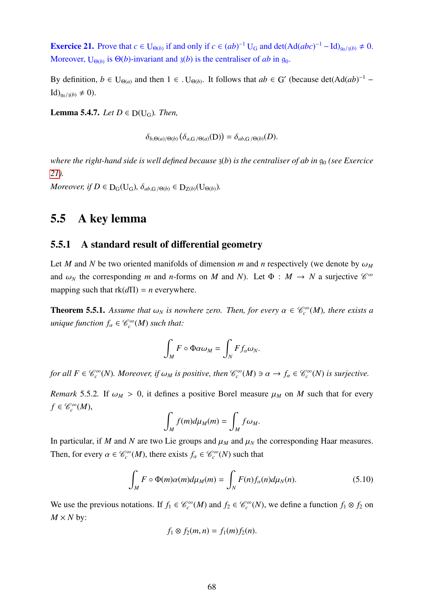<span id="page-68-0"></span>**Exercice 21.** Prove that  $c \in U_{\Theta(b)}$  if and only if  $c \in (ab)^{-1}U_G$  and  $\det(\text{Ad}(abc)^{-1} - \text{Id})_{\mathfrak{g}_0/\mathfrak{z}(b)} \neq 0$ . Moreover,  $U_{\Theta(b)}$  is  $\Theta(b)$ -invariant and  $\mathfrak{z}(b)$  is the centraliser of *ab* in  $\mathfrak{g}_0$ .

By definition,  $b \in U_{\Theta(a)}$  and then  $1 \in U_{\Theta(b)}$ . It follows that  $ab \in G'$  (because  $\det(\text{Ad}(ab)^{-1} {\rm Id})_{\mathfrak{a}_0/3(b)} \neq 0$ .

**Lemma 5.4.7.** *Let*  $D \in D(U_G)$ *. Then,* 

 $\delta_{b,\Theta(a)/\Theta(b)}(\delta_{a,G/\Theta(a)}(D)) = \delta_{ab,G/\Theta(b)}(D).$ 

*where the right-hand side is well defined because*  $\chi(b)$  *is the centraliser of ab in*  $\mathfrak{g}_0$  *(see Exercice [21\)](#page-68-0).*

*Moreover, if*  $D \in D_G(U_G)$ ,  $\delta_{ab,G/\Theta(b)} \in D_{Z(b)}(U_{\Theta(b)})$ .

## 5.5 A key lemma

#### 5.5.1 A standard result of differential geometry

Let *M* and *N* be two oriented manifolds of dimension *m* and *n* respectively (we denote by  $\omega_M$ and  $\omega_N$  the corresponding *m* and *n*-forms on *M* and *N*). Let  $\Phi : M \to N$  a surjective  $\mathcal{C}^{\infty}$ mapping such that  $rk(d\Pi) = n$  everywhere.

<span id="page-68-1"></span>**Theorem 5.5.1.** Assume that  $\omega_N$  is nowhere zero. Then, for every  $\alpha \in \mathcal{C}_c^{\infty}(M)$ , there exists a  $u$ nique function  $f_\alpha \in \mathscr{C}_c^\infty(M)$  such that:

$$
\int_M F \circ \Phi \alpha \omega_M = \int_N F f_\alpha \omega_N.
$$

*for all*  $F \in \mathcal{C}_c^{\infty}(N)$ . Moreover, if  $\omega_M$  is positive, then  $\mathcal{C}_c^{\infty}(M) \ni \alpha \to f_\alpha \in \mathcal{C}_c^{\infty}(N)$  is surjective.

*Remark* 5.5.2*.* If  $\omega_M > 0$ , it defines a positive Borel measure  $\mu_M$  on *M* such that for every  $f \in \mathscr{C}_c^\infty(M)$ ,

$$
\int_M f(m) d\mu_M(m) = \int_M f\omega_M.
$$

In particular, if *M* and *N* are two Lie groups and  $\mu_M$  and  $\mu_N$  the corresponding Haar measures. Then, for every  $\alpha \in \mathcal{C}_c^{\infty}(M)$ , there exists  $f_{\alpha} \in \mathcal{C}_c^{\infty}(N)$  such that

$$
\int_{M} F \circ \Phi(m)\alpha(m)d\mu_{M}(m) = \int_{N} F(n)f_{\alpha}(n)d\mu_{N}(n). \tag{5.10}
$$

We use the previous notations. If  $f_1 \in \mathcal{C}_c^{\infty}(M)$  and  $f_2 \in \mathcal{C}_c^{\infty}(N)$ , we define a function  $f_1 \otimes f_2$  on  $M \times N$  by:

$$
f_1\otimes f_2(m,n)=f_1(m)f_2(n).
$$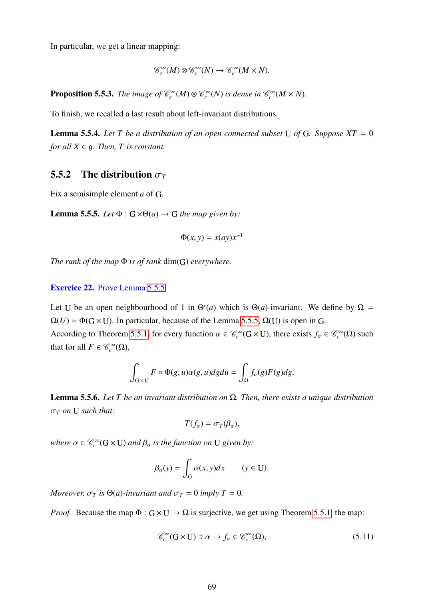In particular, we get a linear mapping:

$$
\mathcal{C}_c^{\infty}(M) \otimes \mathcal{C}_c^{\infty}(N) \to \mathcal{C}_c^{\infty}(M \times N).
$$

<span id="page-69-3"></span>**Proposition 5.5.3.** *The image of*  $\mathcal{C}_c^{\infty}(M) \otimes \mathcal{C}_c^{\infty}(N)$  *is dense in*  $\mathcal{C}_c^{\infty}(M \times N)$ *.* 

To finish, we recalled a last result about left-invariant distributions.

<span id="page-69-2"></span>**Lemma 5.5.4.** Let T be a distribution of an open connected subset U of G. Suppose  $XT = 0$ *for all*  $X \in \mathfrak{g}$ *. Then, T is constant.* 

#### 5.5.2 The distribution  $\sigma_T$

Fix a semisimple element *a* of G.

<span id="page-69-0"></span>**Lemma 5.5.5.** *Let*  $\Phi$  :  $G \times \Theta(a) \rightarrow G$  *the map given by:* 

$$
\Phi(x, y) = x(ay)x^{-1}
$$

*The rank of the map* Φ *is of rank* dim(G) *everywhere.*

#### Exercice 22. Prove Lemma [5.5.5.](#page-69-0)

Let U be an open neighbourhood of 1 in  $\Theta'(a)$  which is  $\Theta(a)$ -invariant. We define by  $\Omega =$  $\Omega(U) = \Phi(G \times U)$ . In particular, because of the Lemma [5.5.5,](#page-69-0)  $\Omega(U)$  is open in G. According to Theorem [5.5.1,](#page-68-1) for every function  $\alpha \in \mathcal{C}_c^\infty(G \times U)$ , there exists  $f_\alpha \in \mathcal{C}_c^\infty(\Omega)$  such

that for all  $F \in \mathscr{C}_c^\infty(\Omega)$ ,

$$
\int_{G\times U} F \circ \Phi(g, u)\alpha(g, u) dg du = \int_{\Omega} f_{\alpha}(g)F(g) dg.
$$

<span id="page-69-4"></span>Lemma 5.5.6. *Let T be an invariant distribution on* Ω*. Then, there exists a unique distribution* <sup>σ</sup>*<sup>T</sup> on* <sup>U</sup> *such that:*

$$
T(f_{\alpha})=\sigma_T(\beta_{\alpha}),
$$

*where*  $\alpha \in \mathcal{C}_c^{\infty}(G \times U)$  *and*  $\beta_{\alpha}$  *is the function on* U *given by:* 

$$
\beta_{\alpha}(y) = \int_{G} \alpha(x, y) dx \qquad (y \in U).
$$

*Moreover,*  $\sigma_T$  *is*  $\Theta(a)$ *-invariant and*  $\sigma_T = 0$  *imply*  $T = 0$ *.* 

*Proof.* Because the map  $\Phi: G \times U \rightarrow \Omega$  is surjective, we get using Theorem [5.5.1,](#page-68-1) the map:

<span id="page-69-1"></span>
$$
\mathcal{C}_c^{\infty}(\mathbf{G} \times \mathbf{U}) \ni \alpha \to f_{\alpha} \in \mathcal{C}_c^{\infty}(\Omega), \tag{5.11}
$$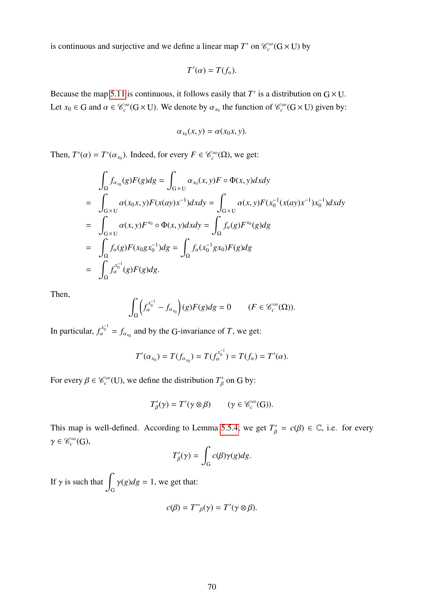is continuous and surjective and we define a linear map *T*' on  $\mathcal{C}_c^{\infty}(G \times U)$  by

$$
T'(\alpha)=T(f_{\alpha}).
$$

Because the map [5.11](#page-69-1) is continuous, it follows easily that  $T'$  is a distribution on  $G \times U$ . Let  $x_0 \in G$  and  $\alpha \in \mathcal{C}_c^{\infty}(G \times U)$ . We denote by  $\alpha_{x_0}$  the function of  $\mathcal{C}_c^{\infty}(G \times U)$  given by:

$$
\alpha_{x_0}(x, y) = \alpha(x_0 x, y).
$$

Then,  $T'(\alpha) = T'(\alpha_{x_0})$ . Indeed, for every  $F \in \mathcal{C}_c^{\infty}(\Omega)$ , we get:

$$
\int_{\Omega} f_{\alpha_{x_0}}(g)F(g)dg = \int_{G \times U} \alpha_{x_0}(x, y)F \circ \Phi(x, y)dxdy \n= \int_{G \times U} \alpha(x_0x, y)F(x(ay)x^{-1})dxdy = \int_{G \times U} \alpha(x, y)F(x_0^{-1}(x(ay)x^{-1})x_0^{-1})dxdy \n= \int_{G \times U} \alpha(x, y)F^{x_0} \circ \Phi(x, y)dxdy = \int_{\Omega} f_{\alpha}(g)F^{x_0}(g)dg \n= \int_{\Omega} f_{\alpha}(g)F(x_0gx_0^{-1})dg = \int_{\Omega} f_{\alpha}(x_0^{-1}gx_0)F(g)dg \n= \int_{\Omega} f_{\alpha}^{x_0^{-1}}(g)F(g)dg.
$$

Then,

$$
\int_{\Omega} \left( f_{\alpha}^{x_0^{-1}} - f_{\alpha_{x_0}} \right)(g) F(g) dg = 0 \qquad (F \in \mathscr{C}_c^{\infty}(\Omega)).
$$

In particular,  $f_{\alpha}^{x_0^{-1}} = f_{\alpha_{x_0}}$  and by the G-invariance of *T*, we get:

$$
T'(\alpha_{x_0})=T(f_{\alpha_{x_0}})=T(f_{\alpha}^{x_0^{-1}})=T(f_{\alpha})=T'(\alpha).
$$

For every  $\beta \in \mathcal{C}_c^{\infty}(U)$ , we define the distribution  $T'_\beta$  $\int_{\beta}^{\prime}$  on G by:

$$
T'_{\beta}(\gamma) = T'(\gamma \otimes \beta) \qquad (\gamma \in \mathcal{C}_c^{\infty}(G)).
$$

This map is well-defined. According to Lemma [5.5.4,](#page-69-2) we get  $T'_\beta = c(\beta) \in \mathbb{C}$ , i.e. for every  $\gamma \in \mathscr{C}_c^\infty(G)$ ,

$$
T'_{\beta}(\gamma) = \int_{G} c(\beta)\gamma(g)dg.
$$

If  $\gamma$  is such that  $\int_{G} \gamma(g) dg = 1$ , we get that:

$$
c(\beta) = T^{\prime\prime}{}_{\beta}(\gamma) = T'(\gamma \otimes \beta).
$$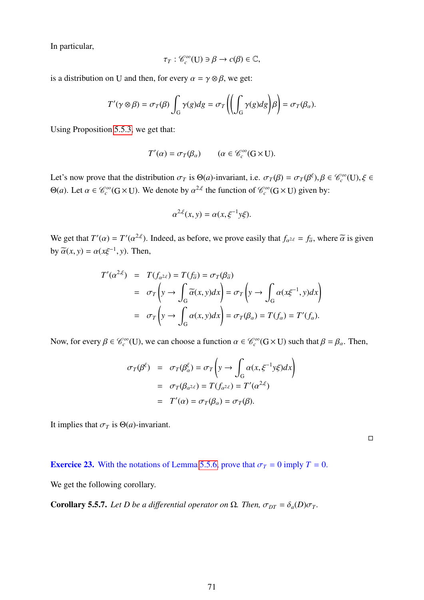In particular,

$$
\tau_T: \mathcal{C}_c^{\infty}(\mathbf{U}) \ni \beta \to c(\beta) \in \mathbb{C},
$$

is a distribution on U and then, for every  $\alpha = \gamma \otimes \beta$ , we get:

$$
T'(\gamma \otimes \beta) = \sigma_T(\beta) \int_G \gamma(g) dg = \sigma_T \left( \left( \int_G \gamma(g) dg \right) \beta \right) = \sigma_T(\beta_\alpha).
$$

Using Proposition [5.5.3,](#page-69-3) we get that:

$$
T'(\alpha) = \sigma_T(\beta_\alpha) \qquad (\alpha \in \mathscr{C}_c^\infty(\mathbf{G} \times \mathbf{U}).
$$

Let's now prove that the distribution  $\sigma_T$  is  $\Theta(a)$ -invariant, i.e.  $\sigma_T(\beta) = \sigma_T(\beta^{\xi}), \beta \in \mathcal{C}_c^{\infty}(U), \xi \in \Omega$ Θ(*a*). Let *α* ∈  $\mathcal{C}_c^\infty$  (G × U). We denote by *α*<sup>2,*ξ*</sup> the function of  $\mathcal{C}_c^\infty$  (G × U) given by:

$$
\alpha^{2,\xi}(x,y) = \alpha(x,\xi^{-1}y\xi).
$$

We get that  $T'(\alpha) = T'(\alpha^{2,\xi})$ . Indeed, as before, we prove easily that  $f_{\alpha^{2,\xi}} = f_{\alpha}$ , where  $\alpha$  is given by  $\widetilde{\alpha}(x, y) = \alpha(x\xi^{-1}, y)$ . Then,

$$
T'(\alpha^{2,\xi}) = T(f_{\alpha^{2,\xi}}) = T(f_{\overline{\alpha}}) = \sigma_T(\beta_{\overline{\alpha}})
$$
  
=  $\sigma_T \left( y \to \int_G \overline{\alpha}(x, y) dx \right) = \sigma_T \left( y \to \int_G \alpha(x\xi^{-1}, y) dx \right)$   
=  $\sigma_T \left( y \to \int_G \alpha(x, y) dx \right) = \sigma_T(\beta_{\alpha}) = T(f_{\alpha}) = T'(f_{\alpha}).$ 

Now, for every  $\beta \in \mathcal{C}_c^{\infty}(U)$ , we can choose a function  $\alpha \in \mathcal{C}_c^{\infty}(G \times U)$  such that  $\beta = \beta_\alpha$ . Then,

$$
\sigma_T(\beta^{\xi}) = \sigma_T(\beta^{\xi}_{\alpha}) = \sigma_T \left( y \to \int_G \alpha(x, \xi^{-1} y \xi) dx \right)
$$
  
=  $\sigma_T(\beta_{\alpha^{2,\xi}}) = T(f_{\alpha^{2,\xi}}) = T'(\alpha^{2,\xi})$   
=  $T'(\alpha) = \sigma_T(\beta_{\alpha}) = \sigma_T(\beta).$ 

It implies that  $\sigma_T$  is  $\Theta(a)$ -invariant.

 $\Box$ 

**Exercice 23.** With the notations of Lemma [5.5.6,](#page-69-4) prove that  $\sigma_T = 0$  imply  $T = 0$ .

We get the following corollary.

**Corollary 5.5.7.** *Let D be a differential operator on*  $\Omega$ *. Then,*  $\sigma_{DT} = \delta_a(D)\sigma_T$ *.*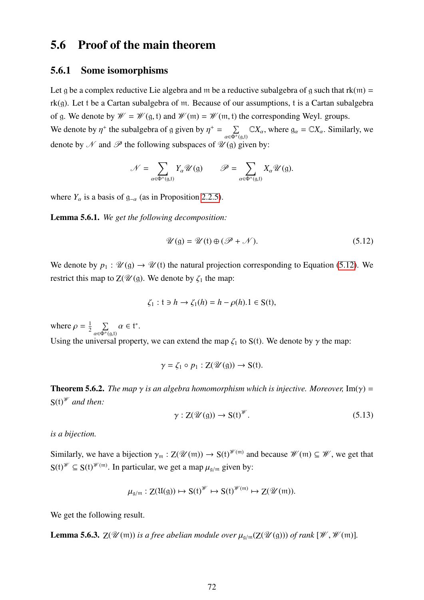## 5.6 Proof of the main theorem

#### 5.6.1 Some isomorphisms

Let g be a complex reductive Lie algebra and m be a reductive subalgebra of g such that  $rk(m)$  = rk(g). Let t be a Cartan subalgebra of m. Because of our assumptions, t is a Cartan subalgebra of g. We denote by  $\mathcal{W} = \mathcal{W}(\mathfrak{g}, \mathfrak{t})$  and  $\mathcal{W}(\mathfrak{m}) = \mathcal{W}(\mathfrak{m}, \mathfrak{t})$  the corresponding Weyl. groups. We denote by  $\eta^+$  the subalgebra of g given by  $\eta^+ = \sum_{\alpha \in \Phi^+}$  $\sum_{\alpha \in \Phi^+(g,t)} \mathbb{C}X_\alpha$ , where  $g_\alpha = \mathbb{C}X_\alpha$ . Similarly, we denote by  $\mathcal N$  and  $\mathcal P$  the following subspaces of  $\mathcal U(\mathfrak g)$  given by:

$$
\mathcal{N} = \sum_{\alpha \in \Phi^+(g,t)} Y_{\alpha} \mathcal{U}(g) \qquad \mathcal{P} = \sum_{\alpha \in \Phi^+(g,t)} X_{\alpha} \mathcal{U}(g).
$$

where  $Y_\alpha$  is a basis of  $g_{-\alpha}$  (as in Proposition [2.2.5\)](#page-13-0).

Lemma 5.6.1. *We get the following decomposition:*

<span id="page-72-0"></span>
$$
\mathscr{U}(\mathfrak{g}) = \mathscr{U}(\mathfrak{t}) \oplus (\mathscr{P} + \mathscr{N}). \tag{5.12}
$$

We denote by  $p_1 : \mathcal{U}(\mathfrak{g}) \to \mathcal{U}(\mathfrak{t})$  the natural projection corresponding to Equation [\(5.12\)](#page-72-0). We restrict this map to  $Z(\mathcal{U}(\mathfrak{g}))$ . We denote by  $\zeta_1$  the map:

$$
\zeta_1: t \ni h \to \zeta_1(h) = h - \rho(h).1 \in S(t),
$$

where  $\rho = \frac{1}{2}$  $rac{1}{2}$   $\sum$  $\sum_{\alpha \in \Phi^+(\mathfrak{g},\mathfrak{t})} \alpha \in \mathfrak{t}^*.$ Using the universal property, we can extend the map  $\zeta_1$  to S(t). We denote by  $\gamma$  the map:

$$
\gamma = \zeta_1 \circ p_1 : \mathbf{Z}(\mathscr{U}(\mathfrak{g})) \to \mathbf{S}(\mathfrak{t}).
$$

**Theorem 5.6.2.** *The map*  $\gamma$  *is an algebra homomorphism which is injective. Moreover,* Im( $\gamma$ ) =  $S(t)$ <sup>*<i>w*</sup> and then:</sup>

<span id="page-72-1"></span>
$$
\gamma: Z(\mathscr{U}(\mathfrak{g})) \to S(\mathfrak{t})^{\mathscr{W}}.
$$
\n
$$
(5.13)
$$

*is a bijection.*

Similarly, we have a bijection  $\gamma_m : Z(\mathcal{U}(m)) \to S(t)^{\mathcal{W}(m)}$  and because  $\mathcal{W}(m) \subseteq \mathcal{W}$ , we get that  $S(t)^{\mathcal{W}} \subseteq S(t)^{\mathcal{W}(m)}$ . In particular, we get a map  $\mu_{g/m}$  given by:

$$
\mu_{\mathfrak{g}/\mathfrak{m}}:Z(\mathfrak{U}(\mathfrak{g}))\mapsto S(\mathfrak{t})^{\mathscr{W}}\mapsto S(\mathfrak{t})^{\mathscr{W}(\mathfrak{m})}\mapsto Z(\mathscr{U}(\mathfrak{m})).
$$

We get the following result.

<span id="page-72-2"></span>**Lemma 5.6.3.**  $Z(\mathcal{U}(\mathfrak{m}))$  *is a free abelian module over*  $\mu_{\mathfrak{q}/\mathfrak{m}}(Z(\mathcal{U}(\mathfrak{g})))$  *of rank*  $[\mathcal{W}, \mathcal{W}(\mathfrak{m})]$ *.*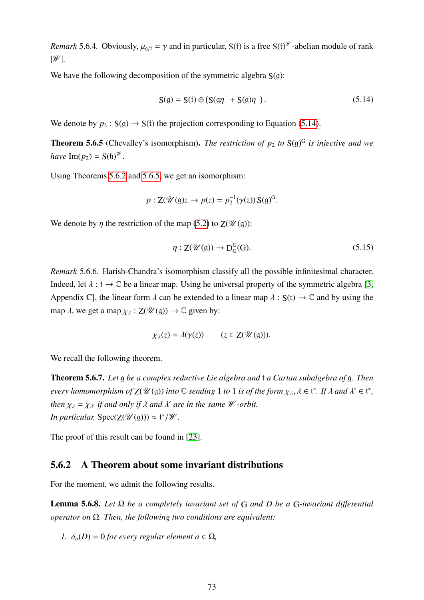<span id="page-73-2"></span>*Remark* 5.6.4. Obviously,  $\mu_{g/t} = \gamma$  and in particular, S(t) is a free S(t)<sup>*W*</sup>-abelian module of rank  $|\mathscr{W}|$ .

We have the following decomposition of the symmetric algebra  $S(q)$ :

<span id="page-73-0"></span>
$$
S(g) = S(t) \oplus (S(g\eta^{+} + S(g)\eta^{-})).
$$
\n(5.14)

We denote by  $p_2$ :  $S(g) \rightarrow S(t)$  the projection corresponding to Equation [\(5.14\)](#page-73-0).

<span id="page-73-1"></span>**Theorem 5.6.5** (Chevalley's isomorphism). *The restriction of*  $p_2$  *to*  $S(g)^G$  *is injective and we have*  $Im(p_2) = S(b)^{W}$ .

Using Theorems [5.6.2](#page-72-1) and [5.6.5,](#page-73-1) we get an isomorphism:

$$
p: \mathbf{Z}(\mathscr{U}(\mathfrak{g})z \to p(z) = p_2^{-1}(\gamma(z))\,\mathbf{S}(\mathfrak{g})^G.
$$

We denote by  $\eta$  the restriction of the map [\(5.2\)](#page-56-0) to  $Z(\mathcal{U}(\mathfrak{g}))$ :

$$
\eta: Z(\mathscr{U}(\mathfrak{g})) \to D_G^G(G). \tag{5.15}
$$

*Remark* 5.6.6*.* Harish-Chandra's isomorphism classify all the possible infinitesimal character. Indeed, let  $\lambda : t \to \mathbb{C}$  be a linear map. Using he universal property of the symmetric algebra [\[3,](#page-97-0) Appendix C], the linear form  $\lambda$  can be extended to a linear map  $\lambda : S(t) \to \mathbb{C}$  and by using the map  $\lambda$ , we get a map  $\chi_{\lambda} : Z(\mathcal{U}(\mathfrak{g})) \to \mathbb{C}$  given by:

$$
\chi_{\lambda}(z) = \lambda(\gamma(z)) \qquad (z \in Z(\mathscr{U}(\mathfrak{g}))).
$$

We recall the following theorem.

Theorem 5.6.7. *Let* g *be a complex reductive Lie algebra and* t *a Cartan subalgebra of* g*. Then every homomorphism of*  $\mathbb{Z}(\mathcal{U}(\mathfrak{g}))$  *into*  $\mathbb C$  *sending* 1 *to* 1 *is of the form*  $\chi_{\lambda}, \lambda \in \mathfrak{t}^*$ . If  $\lambda$  *and*  $\lambda' \in \mathfrak{t}^*$ , *then*  $\chi_{\lambda} = \chi_{\lambda'}$  *if and only if*  $\lambda$  *and*  $\lambda'$  *are in the same W -orbit. In particular,*  $Spec(Z(\mathcal{U}(g))) \approx t^*/\mathcal{W}$ .

The proof of this result can be found in [\[23\]](#page-98-0).

#### 5.6.2 A Theorem about some invariant distributions

For the moment, we admit the following results.

Lemma 5.6.8. *Let* Ω *be a completely invariant set of* G *and D be a* G*-invariant di*ff*erential operator on* Ω*. Then, the following two conditions are equivalent:*

*1.*  $\delta_a(D) = 0$  *for every regular element*  $a \in \Omega$ *,*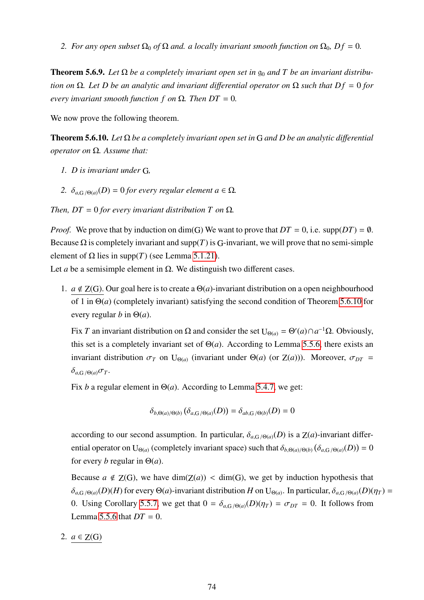<span id="page-74-1"></span>*2. For any open subset*  $\Omega_0$  *of*  $\Omega$  *and. a locally invariant smooth function on*  $\Omega_0$ *, Df* = 0*.* 

<span id="page-74-2"></span>**Theorem 5.6.9.** Let  $\Omega$  be a completely invariant open set in  $\mathfrak{g}_0$  and T be an invariant distribu*tion on*  $\Omega$ *. Let D be an analytic and invariant differential operator on*  $\Omega$  *such that Df* = 0 *for every invariant smooth function f on*  $\Omega$ *. Then DT* = 0*.* 

We now prove the following theorem.

Theorem 5.6.10. *Let* Ω *be a completely invariant open set in* G *and D be an analytic di*ff*erential operator on* Ω*. Assume that:*

- *1. D is invariant under* G*,*
- <span id="page-74-0"></span>2.  $\delta_{a,G/\Theta(a)}(D) = 0$  *for every regular element*  $a \in \Omega$ *.*

*Then, DT* = 0 *for every invariant distribution T on*  $\Omega$ *.* 

*Proof.* We prove that by induction on dim(G) We want to prove that  $DT = 0$ , i.e. supp( $DT$ ) =  $\emptyset$ . Because  $\Omega$  is completely invariant and supp(*T*) is G-invariant, we will prove that no semi-simple element of  $\Omega$  lies in supp(*T*) (see Lemma [5.1.21\)](#page-59-0).

Let *a* be a semisimple element in  $\Omega$ . We distinguish two different cases.

1.  $a \notin Z(G)$ . Our goal here is to create a  $\Theta(a)$ -invariant distribution on a open neighbourhood of 1 in Θ(*a*) (completely invariant) satisfying the second condition of Theorem [5.6.10](#page-74-0) for every regular *b* in  $\Theta(a)$ .

Fix *T* an invariant distribution on Ω and consider the set  $U_{\Theta(a)} = \Theta'(a) \cap a^{-1} \Omega$ . Obviously, this set is a completely invariant set of  $\Theta(a)$ . According to Lemma [5.5.6,](#page-69-0) there exists an invariant distribution  $\sigma_T$  on U<sub>Θ(*a*)</sub> (invariant under Θ(*a*) (or Z(*a*))). Moreover,  $\sigma_{DT}$  =  $\delta_{a,G/(\Theta(a)}\sigma_T$ .

Fix *b* a regular element in  $\Theta(a)$ . According to Lemma [5.4.7,](#page-68-0) we get:

$$
\delta_{b,\Theta(a)/\Theta(b)}(\delta_{a,G/\Theta(a)}(D)) = \delta_{ab,G/\Theta(b)}(D) = 0
$$

according to our second assumption. In particular,  $\delta_{a,G/(\Theta(a))}(D)$  is a  $Z(a)$ -invariant differential operator on U<sub>Θ(*a*)</sub> (completely invariant space) such that  $\delta_{b,\Theta(a)/\Theta(b)} (\delta_{a,G/\Theta(a)}(D)) = 0$ for every *b* regular in  $\Theta(a)$ .

Because  $a \notin Z(G)$ , we have  $\dim(Z(a)) < \dim(G)$ , we get by induction hypothesis that  $\delta_{a,G/(\Theta(a)}(D)(H)$  for every  $\Theta(a)$ -invariant distribution *H* on U<sub> $\Theta(a)$ </sub>. In particular,  $\delta_{a,G/(\Theta(a)}(D)(\eta_T)$  = 0. Using Corollary [5.5.7,](#page-71-0) we get that  $0 = \delta_{a,G/\Theta(a)}(D)(\eta_T) = \sigma_{DT} = 0$ . It follows from Lemma [5.5.6](#page-69-0) that  $DT = 0$ .

#### 2.  $a \in Z(G)$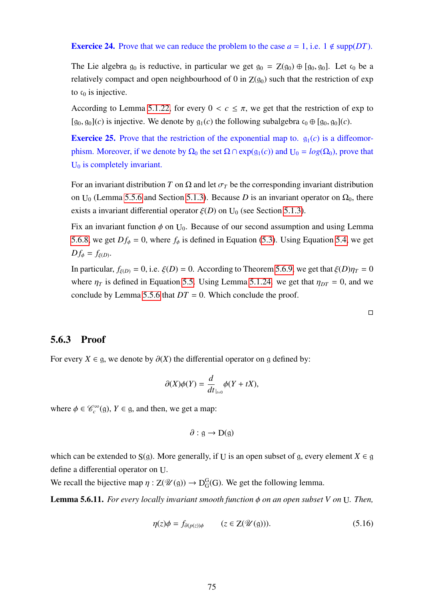#### **Exercice 24.** Prove that we can reduce the problem to the case  $a = 1$ , i.e.  $1 \notin \text{supp}(DT)$ .

The Lie algebra  $g_0$  is reductive, in particular we get  $g_0 = Z(g_0) \oplus [g_0, g_0]$ . Let  $c_0$  be a relatively compact and open neighbourhood of 0 in  $Z(g_0)$  such that the restriction of exp to  $c_0$  is injective.

According to Lemma [5.1.22,](#page-60-0) for every  $0 < c \leq \pi$ , we get that the restriction of exp to  $[g_0, g_0](c)$  is injective. We denote by  $g_1(c)$  the following subalgebra  $c_0 \oplus [g_0, g_0](c)$ .

**Exercice 25.** Prove that the restriction of the exponential map to.  $g_1(c)$  is a diffeomorphism. Moreover, if we denote by  $\Omega_0$  the set  $\Omega \cap \exp(g_1(c))$  and  $U_0 = log(\Omega_0)$ , prove that U<sub>0</sub> is completely invariant.

For an invariant distribution *T* on  $\Omega$  and let  $\sigma_T$  be the corresponding invariant distribution on U<sub>0</sub> (Lemma [5.5.6](#page-69-0) and Section [5.1.3\)](#page-60-1). Because *D* is an invariant operator on  $\Omega_0$ , there exists a invariant differential operator  $\xi(D)$  on U<sub>0</sub> (see Section [5.1.3\)](#page-60-1).

Fix an invariant function  $\phi$  on U<sub>0</sub>. Because of our second assumption and using Lemma [5.6.8,](#page-74-1) we get  $Df_{\phi} = 0$ , where  $f_{\phi}$  is defined in Equation [\(5.3\)](#page-60-2). Using Equation [5.4,](#page-60-3) we get  $Df_{\phi} = f_{\xi(D)}$ .

In particular,  $f_{\xi(D)} = 0$ , i.e.  $\xi(D) = 0$ . According to Theorem [5.6.9,](#page-74-2) we get that  $\xi(D)\eta_T = 0$ where  $\eta_T$  is defined in Equation [5.5.](#page-61-0) Using Lemma [5.1.24.](#page-61-1) we get that  $\eta_{DT} = 0$ , and we conclude by Lemma [5.5.6](#page-69-0) that  $DT = 0$ . Which conclude the proof.

#### 5.6.3 Proof

For every *X* ∈ g, we denote by  $\partial$ (*X*) the differential operator on g defined by:

$$
\partial(X)\phi(Y) = \frac{d}{dt}\phi(Y + tX),
$$

where  $\phi \in \mathcal{C}_c^{\infty}(\mathfrak{g})$ ,  $Y \in \mathfrak{g}$ , and then, we get a map:

$$
\partial : \mathfrak{g} \to D(\mathfrak{g})
$$

which can be extended to  $S(g)$ . More generally, if U is an open subset of g, every element  $X \in g$ define a differential operator on U.

We recall the bijective map  $\eta : Z(\mathcal{U}(\mathfrak{g})) \to D_G^G$  $_G^G(G)$ . We get the following lemma.

Lemma 5.6.11. *For every locally invariant smooth function* φ *on an open subset V on* <sup>U</sup>*. Then,*

<span id="page-75-0"></span>
$$
\eta(z)\phi = f_{\partial(p(z))\phi} \qquad (z \in \mathbb{Z}(\mathcal{U}(\mathfrak{g}))). \tag{5.16}
$$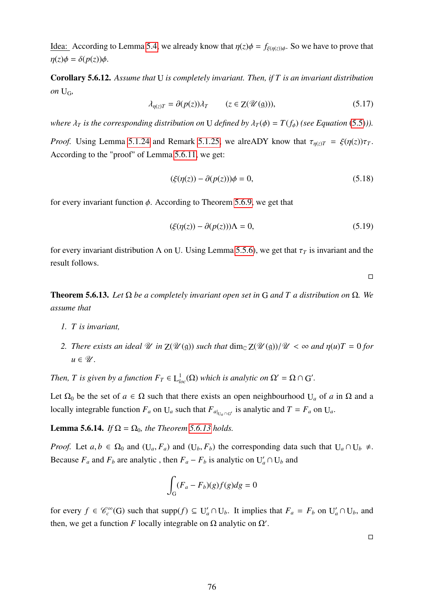Idea: According to Lemma [5.4,](#page-60-3) we already know that  $\eta(z)\phi = f_{\xi(\eta(z))\phi}$ . So we have to prove that  $\eta(z)\phi = \delta(p(z))\phi$ .

Corollary 5.6.12. *Assume that* U *is completely invariant. Then, if T is an invariant distribution*  $on \mathbf{U}_G$ 

$$
\lambda_{\eta(z)T} = \partial(p(z))\lambda_T \qquad (z \in \mathbb{Z}(\mathcal{U}(\mathfrak{g}))), \tag{5.17}
$$

*where*  $\lambda_T$  *is the corresponding distribution on* U *defined by*  $\lambda_T(\phi) = T(f_\phi)$  *(see Equation* [\(5.5\)](#page-61-0)*)*.

*Proof.* Using Lemma [5.1.24](#page-61-1) and Remark [5.1.25,](#page-61-2) we alreADY know that  $\tau_{\eta(z)T} = \xi(\eta(z))\tau_T$ . According to the "proof" of Lemma [5.6.11,](#page-75-0) we get:

$$
(\xi(\eta(z)) - \partial(p(z)))\phi = 0,\t(5.18)
$$

for every invariant function  $\phi$ . According to Theorem [5.6.9,](#page-74-2) we get that

$$
(\xi(\eta(z)) - \partial(p(z)))\Lambda = 0,\t(5.19)
$$

for every invariant distribution  $\Lambda$  on U. Using Lemma [5.5.6\)](#page-69-0), we get that  $\tau$ <sup>T</sup> is invariant and the result follows.

 $\Box$ 

Theorem 5.6.13. *Let* Ω *be a completely invariant open set in* G *and T a distribution on* Ω*. We assume that*

- *1. T is invariant,*
- <span id="page-76-0"></span>*2. There exists an ideal U in*  $Z(\mathcal{U}(g))$  *such that*  $\dim_{\mathbb{C}} Z(\mathcal{U}(g))/\mathcal{U} < \infty$  *and*  $\eta(u)T = 0$  *for*  $u \in \mathscr{U}$ .

*Then, T is given by a function*  $F_T \in L^1_{loc}(\Omega)$  *which is analytic on*  $\Omega' = \Omega \cap G'$ *.* 

Let  $\Omega_0$  be the set of  $a \in \Omega$  such that there exists an open neighbourhood U<sub>a</sub> of a in  $\Omega$  and a locally integrable function  $F_a$  on  $U_a$  such that  $F_{a|_{U_a \cap G'}}$  is analytic and  $T = F_a$  on  $U_a$ .

**Lemma 5.6.14.** *If*  $\Omega = \Omega_0$ *, the Theorem [5.6.13](#page-76-0) holds.* 

*Proof.* Let  $a, b \in \Omega_0$  and  $(U_a, F_a)$  and  $(U_b, F_b)$  the corresponding data such that  $U_a \cap U_b \neq$ . Because  $F_a$  and  $F_b$  are analytic, then  $F_a - F_b$  is analytic on  $U'_a \cap U_b$  and

$$
\int_G (F_a - F_b)(g)f(g)dg = 0
$$

for every  $f \in \mathcal{C}_c^{\infty}(G)$  such that supp $(f) \subseteq U'_a \cap U_b$ . It implies that  $F_a = F_b$  on  $U'_a \cap U_b$ , and then, we get a function *F* locally integrable on  $\Omega$  analytic on  $\Omega'$ .

 $\Box$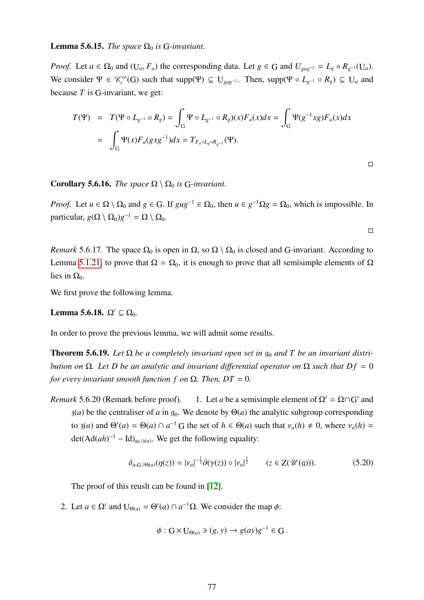#### **Lemma 5.6.15.** *The space*  $\Omega_0$  *is* G-*invariant.*

*Proof.* Let  $a \in \Omega_0$  and  $(U_a, F_a)$  the corresponding data. Let  $g \in G$  and  $U_{gag^{-1}} = L_g \circ R_{g^{-1}}(U_a)$ . We consider  $\Psi \in \mathcal{C}_c^{\infty}(G)$  such that supp( $\Psi$ )  $\subseteq U_{gag^{-1}}$ . Then, supp( $\Psi \circ L_{g^{-1}} \circ R_g$ )  $\subseteq U_a$  and because *T* is G-invariant, we get:

$$
T(\Psi) = T(\Psi \circ L_{g^{-1}} \circ R_g) = \int_G \Psi \circ L_{g^{-1}} \circ R_g)(x) F_a(x) dx = \int_G \Psi(g^{-1}xg) F_a(x) dx
$$
  
= 
$$
\int_G \Psi(x) F_a(gxg^{-1}) dx = T_{F_a \circ L_g \circ R_{g^{-1}}}(\Psi).
$$

**Corollary 5.6.16.** *The space*  $\Omega \setminus \Omega_0$  *is* G-*invariant.* 

*Proof.* Let  $u \in \Omega \setminus \Omega_0$  and  $g \in G$ . If  $gug^{-1} \in \Omega_0$ , then  $u \in g^{-1}\Omega g = \Omega_0$ , which is impossible. In particular,  $g(\Omega \setminus \Omega_0)g^{-1} = \Omega \setminus \Omega_0$ .

 $\Box$ 

*Remark* 5.6.17. The space  $\Omega_0$  is open in  $\Omega$ , so  $\Omega \setminus \Omega_0$  is closed and G-invariant. According to Lemma [5.1.21,](#page-59-0) to prove that  $\Omega = \Omega_0$ , it is enough to prove that all semisimple elements of  $\Omega$ lies in  $Ω_0$ .

We first prove the following lemma.

<span id="page-77-0"></span>Lemma 5.6.18.  $\Omega' \subseteq \Omega_0$ .

In order to prove the previous lemma, we will admit some results.

**Theorem 5.6.19.** Let  $\Omega$  be a completely invariant open set in  $\mathfrak{g}_0$  and T be an invariant distri*bution on*  $\Omega$ *. Let D be an analytic and invariant differential operator on*  $\Omega$  *such that Df* = 0 *for every invariant smooth function f on*  $\Omega$ *. Then, DT* = 0*.* 

*Remark* 5.6.20 (Remark before proof). 1. Let *a* be a semisimple element of  $\Omega' = \Omega \cap G'$  and  $\mathfrak{z}(a)$  be the centraliser of *a* in  $\mathfrak{g}_0$ . We denote by  $\Theta(a)$  the analytic subgroup corresponding to  $\mathfrak{z}(a)$  and  $\Theta'(a) = \Theta(a) \cap a^{-1}$  G the set of  $h \in \Theta(a)$  such that  $v_a(h) \neq 0$ , where  $v_a(h) =$  $\det(\text{Ad}(ah)^{-1} - \text{Id})_{g_0/g(a)}$ . We get the following equality:

<span id="page-77-1"></span>
$$
\delta_{a,G/\Theta(a)}(\eta(z)) = |\nu_a|^{-\frac{1}{2}} \partial(\gamma(z)) \circ |\nu_a|^{\frac{1}{2}} \qquad (z \in Z(\mathcal{U}(\mathfrak{g}))). \tag{5.20}
$$

The proof of this reuslt can be found in [\[12\]](#page-97-1).

<span id="page-77-2"></span>2. Let *a*  $\in \Omega'$  and  $U_{\Theta(a)} = \Theta'(a) \cap a^{-1}\Omega$ . We consider the map  $\phi$ :

$$
\phi: G \times U_{\Theta(a)} \ni (g, y) \to g(ay)g^{-1} \in G.
$$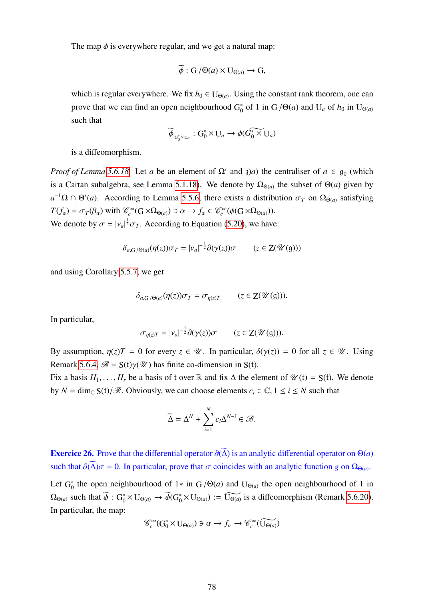The map  $\phi$  is everywhere regular, and we get a natural map:

$$
\widetilde{\phi}: G/\Theta(a) \times U_{\Theta(a)} \to G,
$$

which is regular everywhere. We fix  $h_0 \in U_{\Theta(a)}$ . Using the constant rank theorem, one can prove that we can find an open neighbourhood  $G_0^*$  $\int_0^*$  of 1 in G / $\Theta(a)$  and U<sub>*a*</sub> of  $h_0$  in U<sub> $\Theta(a)$ </sub> such that

$$
\widetilde{\phi}_{|_{G_0^*\times U_a}}:G_0^*\times U_a\to \phi(\widetilde{G_0^*\times U_a})
$$

is a diffeomorphism.

*Proof of Lemma* [5.6.18.](#page-77-0) Let *a* be an element of  $\Omega'$  and  $\partial a$ ) the centraliser of  $a \in \mathfrak{g}_0$  (which is a Cartan subalgebra, see Lemma [5.1.18\)](#page-59-1). We denote by  $\Omega_{\Theta(a)}$  the subset of  $\Theta(a)$  given by  $a^{-1}\Omega \cap \Theta'(a)$ . According to Lemma [5.5.6,](#page-69-0) there exists a distribution  $\sigma_T$  on  $\Omega_{\Theta(a)}$  satisfying  $T(f_{\alpha}) = \sigma_T(\beta_{\alpha})$  with  $\mathcal{C}_c^{\infty}(G \times \Omega_{\Theta(a)}) \ni \alpha \to f_{\alpha} \in \mathcal{C}_c^{\infty}(\phi(G \times \Omega_{\Theta(a)})).$ We denote by  $\sigma = |v_a|^{\frac{1}{2}} \sigma_T$ . According to Equation [\(5.20\)](#page-77-1), we have:

$$
\delta_{a,G/\Theta(a)}(\eta(z))\sigma_T = |\nu_a|^{-\frac{1}{2}}\partial(\gamma(z))\sigma \qquad (z \in Z(\mathscr{U}(\mathfrak{g})))
$$

and using Corollary [5.5.7,](#page-71-0) we get

$$
\delta_{a,G/\Theta(a)}(\eta(z))\sigma_T = \sigma_{\eta(z)T} \qquad (z \in Z(\mathscr{U}(\mathfrak{g}))).
$$

In particular,

$$
\sigma_{\eta(z)T} = |\nu_a|^{-\frac{1}{2}} \partial(\gamma(z))\sigma \qquad (z \in Z(\mathscr{U}(\mathfrak{g}))).
$$

By assumption,  $\eta(z)T = 0$  for every  $z \in \mathcal{U}$ . In particular,  $\delta(\gamma(z)) = 0$  for all  $z \in \mathcal{U}$ . Using Remark [5.6.4,](#page-73-2)  $\mathcal{B} = S(t)\gamma(\mathcal{U})$  has finite co-dimension in S(t).

Fix a basis  $H_1, \ldots, H_r$  be a basis of t over R and fix  $\Delta$  the element of  $\mathcal{U}(t) = S(t)$ . We denote by  $N = \dim_{\mathbb{C}} S(t)/\mathcal{B}$ . Obviously, we can choose elements  $c_i \in \mathbb{C}, 1 \le i \le N$  such that

$$
\widetilde{\Delta} = \Delta^N + \sum_{i=1}^N c_i \Delta^{N-i} \in \mathcal{B}.
$$

<span id="page-78-0"></span>**Exercice 26.** Prove that the differential operator  $\partial(\overline{\Delta})$  is an analytic differential operator on  $\Theta(a)$ such that  $\partial(\Delta)\sigma = 0$ . In particular, prove that  $\sigma$  coincides with an analytic function *g* on  $\Omega_{\Theta(a)}$ .

Let  $G_0^*$ <sup>\*</sup><sub>0</sub> the open neighbourhood of 1<sup>\*</sup> in G /Θ(*a*) and U<sub>Θ(*a*)</sub> the open neighbourhood of 1 in  $\Omega_{\Theta(a)}$  such that  $\widetilde{\phi}: G_0^* \times U_{\Theta(a)} \to \widetilde{\phi}(G_0^* \times U_{\Theta(a)}) := \widetilde{U_{\Theta(a)}}$  is a diffeomorphism (Remark [5.6.20\)](#page-77-2). In particular, the map:

$$
\mathcal{C}_c^{\infty}(G_0^* \times U_{\Theta(a)}) \ni \alpha \to f_{\alpha} \to \mathcal{C}_c^{\infty}(\widetilde{U_{\Theta(a)}})
$$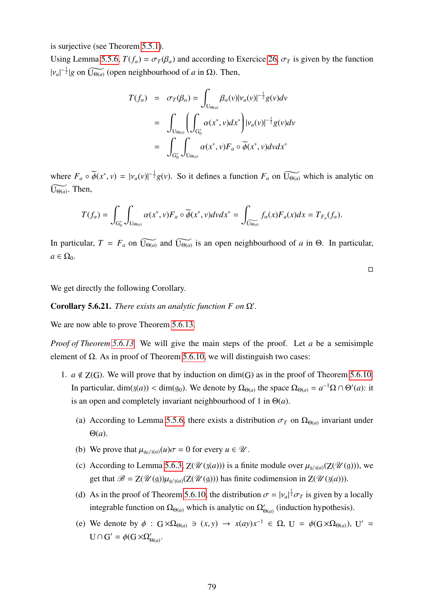is surjective (see Theorem [5.5.1\)](#page-68-1).

Using Lemma [5.5.6,](#page-69-0)  $T(f_{\alpha}) = \sigma_T(\beta_{\alpha})$  and according to Exercice [26,](#page-78-0)  $\sigma_T$  is given by the function  $|v_a|^{-\frac{1}{2}}|g$  on  $\widetilde{U_{\Theta(a)}}$  (open neighbourhood of *a* in  $\Omega$ ). Then,

$$
T(f_{\alpha}) = \sigma_T(\beta_{\alpha}) = \int_{U_{\Theta(a)}} \beta_{\alpha}(v) |\nu_a(v)|^{-\frac{1}{2}} g(v) dv
$$
  

$$
= \int_{U_{\Theta(a)}} \left( \int_{G_0^*} \alpha(x^*, v) dx^* \right) |\nu_a(v)|^{-\frac{1}{2}} g(v) dv
$$
  

$$
= \int_{G_0^*} \int_{U_{\Theta(a)}} \alpha(x^*, v) F_a \circ \overline{\phi}(x^*, v) dv dx^*
$$

where  $F_a \circ \tilde{\phi}(x^*, v) = |v_a(v)|^{-\frac{1}{2}} g(v)$ . So it defines a function  $F_a$  on  $\widetilde{U_{\Theta(a)}}$  which is analytic on  $\widetilde{\mathrm{U}_{\Theta(a)}}$ . Then,

$$
T(f_{\alpha})=\int_{G_0^*}\int_{U_{\Theta(a)}}\alpha(x^*,v)F_a\circ\widetilde{\phi}(x^*,v)dvdx^*=\int_{\widetilde{U_{\Theta(a)}}}f_{\alpha}(x)F_a(x)dx=T_{F_a}(f_{\alpha}).
$$

In particular,  $T = F_a$  on  $\widetilde{U_{\Theta(a)}}$  and  $\widetilde{U_{\Theta(a)}}$  is an open neighbourhood of *a* in  $\Theta$ . In particular,  $a \in \Omega_0$ .

 $\Box$ 

We get directly the following Corollary.

Corollary 5.6.21. *There exists an analytic function F on*  $\Omega'$ .

We are now able to prove Theorem [5.6.13.](#page-76-0)

*Proof of Theorem [5.6.13.](#page-76-0)* We will give the main steps of the proof. Let *a* be a semisimple element of  $Ω$ . As in proof of Theorem [5.6.10,](#page-74-0) we will distinguish two cases:

- 1.  $a \notin Z(G)$ . We will prove that by induction on dim(G) as in the proof of Theorem [5.6.10.](#page-74-0) In particular, dim(3(*a*)) < dim(9<sub>0</sub>). We denote by  $\Omega_{\Theta(a)}$  the space  $\Omega_{\Theta(a)} = a^{-1}\Omega \cap \Theta'(a)$ : it is an open and completely invariant neighbourhood of 1 in  $\Theta(a)$ .
	- (a) According to Lemma [5.5.6,](#page-69-0) there exists a distribution  $\sigma_T$  on  $\Omega_{\Theta(a)}$  invariant under Θ(*a*).
	- (b) We prove that  $\mu_{q_0/3}(u)\sigma = 0$  for every  $u \in \mathcal{U}$ .
	- (c) According to Lemma [5.6.3,](#page-72-2)  $Z(\mathcal{U}(3(a)))$  is a finite module over  $\mu_{9/3(a)}(Z(\mathcal{U}(g)))$ , we get that  $\mathscr{B} = Z(\mathscr{U}(\mathfrak{g}))\mu_{\mathfrak{q}/\mathfrak{z}(a)}(Z(\mathscr{U}(\mathfrak{g})))$  has finite codimension in  $Z(\mathscr{U}(\mathfrak{z}(a)))$ .
	- (d) As in the proof of Theorem [5.6.10,](#page-74-0) the distribution  $\sigma = |v_a|^{\frac{1}{2}} \sigma_T$  is given by a locally integrable function on  $\Omega_{\Theta(a)}$  which is analytic on  $\Omega'_{\Theta(a)}$  (induction hypothesis).
	- (e) We denote by  $\phi$  :  $G \times \Omega_{\Theta(a)} \ni (x, y) \rightarrow x(ay)x^{-1} \in \Omega$ ,  $U = \phi(G \times \Omega_{\Theta(a)})$ ,  $U' = \theta(G \times \Omega_{\Theta(a)})$  $U \cap G' = \phi(G \times \Omega'_{\Theta(a)}.$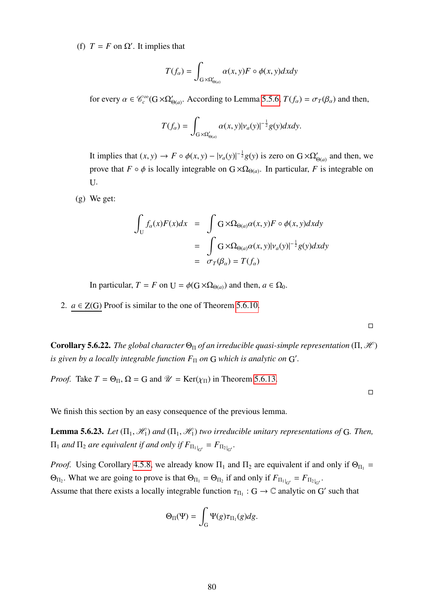(f)  $T = F$  on  $\Omega'$ . It implies that

$$
T(f_{\alpha}) = \int_{G \times \Omega'_{\Theta(a)}} \alpha(x, y) F \circ \phi(x, y) dx dy
$$

for every  $\alpha \in \mathcal{C}_c^{\infty}(G \times \Omega'_{\Theta(a)})$ . According to Lemma [5.5.6,](#page-69-0)  $T(f_\alpha) = \sigma_T(\beta_\alpha)$  and then,

$$
T(f_{\alpha}) = \int_{G \times \Omega'_{\Theta(a)}} \alpha(x, y) |\nu_{a}(y)|^{-\frac{1}{2}} g(y) dxdy.
$$

It implies that  $(x, y) \to F \circ \phi(x, y) - |v_a(y)|^{-\frac{1}{2}} g(y)$  is zero on  $G \times \Omega'_{\Theta(a)}$  and then, we prove that  $F \circ \phi$  is locally integrable on  $G \times \Omega_{\Theta(a)}$ . In particular, *F* is integrable on U.

(g) We get:

$$
\int_{U} f_{\alpha}(x)F(x)dx = \int G \times \Omega_{\Theta(a)} \alpha(x, y)F \circ \phi(x, y)dxdy
$$

$$
= \int_{\Theta} G \times \Omega_{\Theta(a)} \alpha(x, y)|\nu_{\alpha}(y)|^{-\frac{1}{2}}g(y)dxdy
$$

$$
= \sigma_{T}(\beta_{\alpha}) = T(f_{\alpha})
$$

In particular,  $T = F$  on  $U = \phi(G \times \Omega_{\Theta(a)})$  and then,  $a \in \Omega_0$ .

2.  $a \in Z(G)$  Proof is similar to the one of Theorem [5.6.10.](#page-74-0)

 $\Box$ 

**Corollary 5.6.22.** *The global character*  $\Theta_{\Pi}$  *of an irreducible quasi-simple representation* ( $\Pi$ ,  $\mathcal{H}$ ) *is given by a locally integrable function*  $F_{\Pi}$  *on* G *which is analytic on* G'.

*Proof.* Take  $T = \Theta_{\Pi}$ ,  $\Omega = G$  and  $\mathcal{U} = \text{Ker}(\chi_{\Pi})$  in Theorem [5.6.13.](#page-76-0)

 $\Box$ 

We finish this section by an easy consequence of the previous lemma.

**Lemma 5.6.23.** *Let*  $(\Pi_1, \mathcal{H}_1)$  *and*  $(\Pi_1, \mathcal{H}_1)$  *two irreducible unitary representations of* G. *Then,*  $\Pi_1$  and  $\Pi_2$  are equivalent if and only if  $F_{\Pi_1|_{G'}} = F_{\Pi_2|_{G'}}$ .

*Proof.* Using Corollary [4.5.8,](#page-50-0) we already know  $\Pi_1$  and  $\Pi_2$  are equivalent if and only if  $\Theta_{\Pi_1}$  =  $\Theta_{\Pi_2}$ . What we are going to prove is that  $\Theta_{\Pi_1} = \Theta_{\Pi_2}$  if and only if  $F_{\Pi_1|_{G'}} = F_{\Pi_2|_{G'}}$ . Assume that there exists a locally integrable function  $\tau_{\Pi_1}$ :  $G \to \mathbb{C}$  analytic on  $G'$  such that

$$
\Theta_{\Pi}(\Psi) = \int_{G} \Psi(g)\tau_{\Pi_1}(g)dg.
$$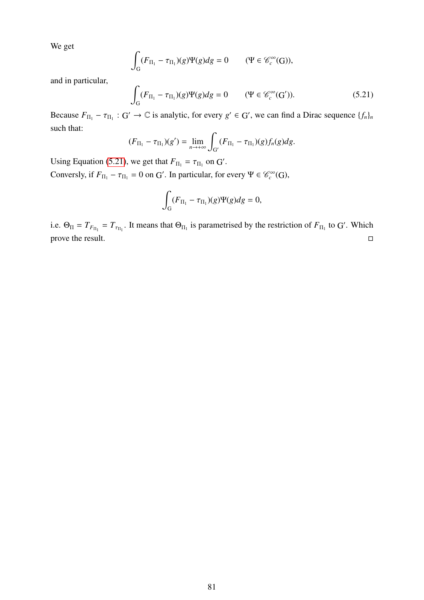We get

$$
\int_{G} (F_{\Pi_1} - \tau_{\Pi_1})(g)\Psi(g) dg = 0 \qquad (\Psi \in \mathcal{C}_c^{\infty}(G)),
$$

and in particular,

<span id="page-81-0"></span>
$$
\int_{G} (F_{\Pi_1} - \tau_{\Pi_1})(g)\Psi(g)dg = 0 \qquad (\Psi \in \mathcal{C}_c^{\infty}(G')). \qquad (5.21)
$$

Because  $F_{\Pi_1} - \tau_{\Pi_1}$ :  $G' \to \mathbb{C}$  is analytic, for every  $g' \in G'$ , we can find a Dirac sequence  $\{f_n\}_n$ such that:

$$
(F_{\Pi_1}-\tau_{\Pi_1})(g')=\lim_{n\to+\infty}\int_{G'}(F_{\Pi_1}-\tau_{\Pi_1})(g)f_n(g)dg.
$$

Using Equation [\(5.21\)](#page-81-0), we get that  $F_{\Pi_1} = \tau_{\Pi_1}$  on G'. Conversly, if  $F_{\Pi_1} - \tau_{\Pi_1} = 0$  on G'. In particular, for every  $\Psi \in \mathcal{C}_c^{\infty}(G)$ ,

$$
\int_{G} (F_{\Pi_1} - \tau_{\Pi_1})(g)\Psi(g) dg = 0,
$$

i.e.  $\Theta_{\Pi} = T_{F_{\Pi_1}} = T_{\tau_{\Pi_1}}$ . It means that  $\Theta_{\Pi_1}$  is parametrised by the restriction of  $F_{\Pi_1}$  to G'. Which prove the result.  $\Box$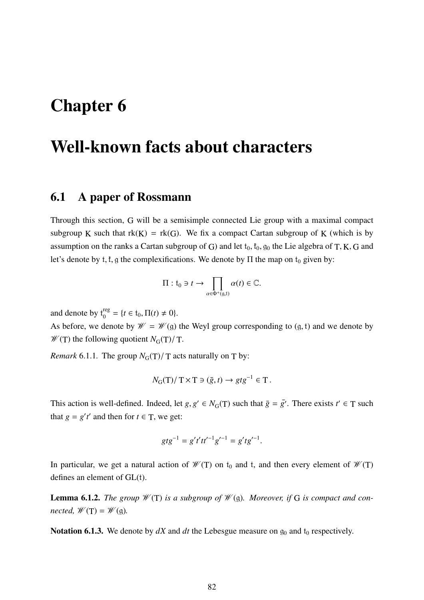# Chapter 6

# Well-known facts about characters

## <span id="page-82-1"></span>6.1 A paper of Rossmann

Through this section, G will be a semisimple connected Lie group with a maximal compact subgroup K such that  $rk(K) = rk(G)$ . We fix a compact Cartan subgroup of K (which is by assumption on the ranks a Cartan subgroup of G) and let  $t_0$ ,  $t_0$ ,  $g_0$  the Lie algebra of T, K, G and let's denote by t, t, g the complexifications. We denote by  $\Pi$  the map on t<sub>0</sub> given by:

$$
\Pi: t_0 \ni t \to \prod_{\alpha \in \Phi^+(g,t)} \alpha(t) \in \mathbb{C}.
$$

and denote by  $t_0^{reg} = \{t \in t_0, \Pi(t) \neq 0\}.$ 

As before, we denote by  $\mathcal{W} = \mathcal{W}(\mathfrak{g})$  the Weyl group corresponding to  $(\mathfrak{g}, \mathfrak{t})$  and we denote by  $\mathcal{W}(T)$  the following quotient  $N_G(T)/T$ .

*Remark* 6.1.1. The group  $N_G(T)/T$  acts naturally on T by:

$$
N_{\mathcal{G}}(\mathcal{T})/\mathcal{T} \times \mathcal{T} \ni (\bar{g}, t) \to g t g^{-1} \in \mathcal{T}.
$$

This action is well-defined. Indeed, let *g*,  $g' \in N_G(T)$  such that  $\overline{g} = \overline{g'}$ . There exists  $t' \in T$  such that  $g = g't'$  and then for  $t \in T$ , we get:

$$
gtg^{-1} = g't'tt'^{-1}g'^{-1} = g'tg'^{-1}.
$$

In particular, we get a natural action of  $\mathcal{W}(T)$  on  $t_0$  and t, and then every element of  $\mathcal{W}(T)$ defines an element of GL(t).

<span id="page-82-0"></span>**Lemma 6.1.2.** The group  $\mathcal{W}(T)$  is a subgroup of  $\mathcal{W}(g)$ . Moreover, if G is compact and con- $\textit{nccted}, \mathcal{W}(T) = \mathcal{W}(\mathfrak{q})$ .

Notation 6.1.3. We denote by  $dX$  and  $dt$  the Lebesgue measure on  $g_0$  and  $t_0$  respectively.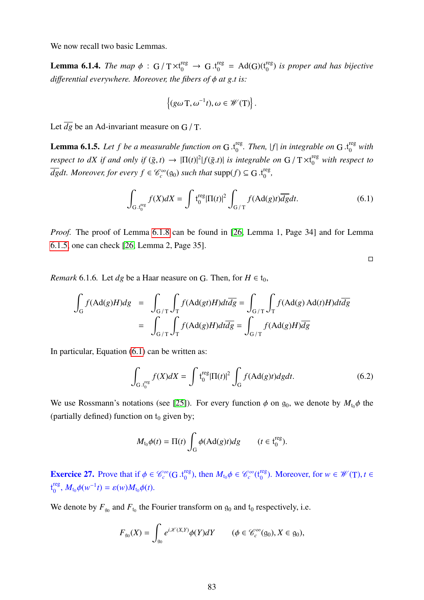We now recall two basic Lemmas.

**Lemma 6.1.4.** *The map*  $\phi$  : G /  $T \times t_0^{\text{reg}} \to G \cdot t_0^{\text{reg}} = \text{Ad}(G)(t_0^{\text{reg}})$ 0 ) *is proper and has bijective di*ff*erential everywhere. Moreover, the fibers of* φ *at g*.*t is:*

$$
\{(g\omega\mathbf{T},\omega^{-1}t),\omega\in\mathscr{W}(\mathbf{T})\}.
$$

Let  $\overline{dg}$  be an Ad-invariant measure on G / T.

**Lemma 6.1.5.** Let f be a measurable function on G  $t_0^{\text{reg}}$ <sup>reg</sup>. Then, |f| in integrable on G .t<sup>reg</sup> with *respect to dX if and only if*  $(\bar{g}, t) \to |\Pi(t)|^2 |f(\bar{g}.t)|$  *is integrable on*  $G / T \times t_0^{\text{reg}}$  *with respect to*<br> $\overline{H}$  *k*, *M s*  $\overline{dg}dt$ . Moreover, for every  $f \in \mathscr{C}_c^{\infty}(\mathfrak{g}_0)$  such that  $\text{supp}(f) \subseteq G$  .t<sup>reg</sup> 0 *,*

<span id="page-83-0"></span>
$$
\int_{G \cdot t_0^{\text{reg}}} f(X)dX = \int t_0^{\text{reg}} |\Pi(t)|^2 \int_{G/T} f(\text{Ad}(g)t) \overline{dg} dt.
$$
 (6.1)

*Proof.* The proof of Lemma [6.1.8](#page-84-0) can be found in [\[26,](#page-99-0) Lemma 1, Page 34] and for Lemma [6.1.5,](#page-83-0) one can check [\[26,](#page-99-0) Lemma 2, Page 35].

 $\hfill\square$ 

*Remark* 6.1.6*.* Let *dg* be a Haar neasure on G. Then, for  $H \in t_0$ ,

$$
\int_{G} f(\text{Ad}(g)H) dg = \int_{G/T} \int_{T} f(\text{Ad}(g t)H) dt d\overline{dg} = \int_{G/T} \int_{T} f(\text{Ad}(g) \text{Ad}(t)H) dt d\overline{dg}
$$
\n
$$
= \int_{G/T} \int_{T} f(\text{Ad}(g)H) dt d\overline{dg} = \int_{G/T} f(\text{Ad}(g)H) d\overline{g}
$$

In particular, Equation [\(6.1\)](#page-83-0) can be written as:

$$
\int_{G \cdot t_0^{\text{reg}}} f(X)dX = \int t_0^{\text{reg}} |\Pi(t)|^2 \int_G f(\text{Ad}(g)t)dgdt.
$$
\n(6.2)

We use Rossmann's notations (see [\[25\]](#page-98-1)). For every function  $\phi$  on  $g_0$ , we denote by  $M_{t_0}\phi$  the (partially defined) function on  $t_0$  given by;

$$
M_{t_0}\phi(t) = \Pi(t) \int_G \phi(\text{Ad}(g)t) dg \qquad (t \in \mathfrak{t}_0^{\text{reg}}).
$$

**Exercice 27.** Prove that if  $\phi \in \mathcal{C}_c^{\infty}(G, t_0^{\text{reg}})$ <sup>reg</sup>), then  $M_{t_0}\phi \in \mathcal{C}_c^{\infty}(t_0^{reg})$ <sup>reg</sup>). Moreover, for  $w \in \mathcal{W}(T)$ ,  $t \in$ t reg  $\int_0^{\text{reg}}$ ,  $M_{t_0}\phi(w^{-1}t) = \varepsilon(w)M_{t_0}\phi(t)$ .

We denote by  $F_{g_0}$  and  $F_{t_0}$  the Fourier transform on  $g_0$  and  $t_0$  respectively, i.e.

$$
F_{\mathfrak{g}_0}(X) = \int_{\mathfrak{g}_0} e^{i\mathscr{K}(X,Y)} \phi(Y) dY \qquad (\phi \in \mathscr{C}_c^{\infty}(\mathfrak{g}_0), X \in \mathfrak{g}_0),
$$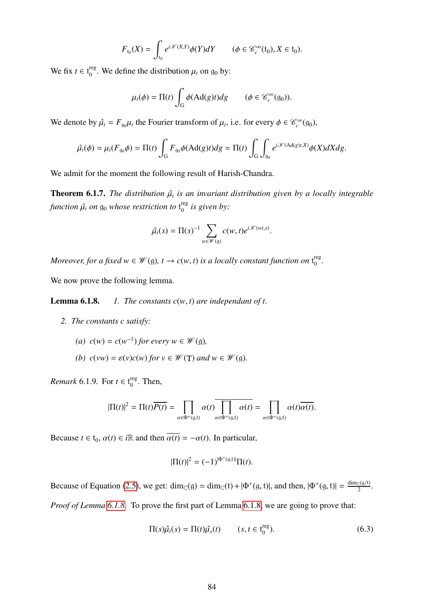$$
F_{t_0}(X) = \int_{t_0} e^{i\mathscr{K}(X,Y)} \phi(Y) dY \qquad (\phi \in \mathscr{C}_c^{\infty}(t_0), X \in t_0).
$$

We fix  $t \in t_0^{\text{reg}}$  $\frac{\text{reg}}{0}$ . We define the distribution  $\mu_t$  on  $g_0$  by:

$$
\mu_t(\phi) = \Pi(t) \int_G \phi(\mathrm{Ad}(g)t) dg \qquad (\phi \in \mathscr{C}_c^{\infty}(\mathfrak{g}_0)).
$$

We denote by  $\hat{\mu}_t = F_{g_0}\mu_t$  the Fourier transform of  $\mu_t$ , i.e. for every  $\phi \in \mathcal{C}_c^{\infty}(g_0)$ ,

$$
\hat{\mu}_t(\phi) = \mu_t(F_{\mathfrak{g}_0}\phi) = \Pi(t)\int_G F_{\mathfrak{g}_0}\phi(\mathrm{Ad}(g)t)dg = \Pi(t)\int_G \int_{\mathfrak{g}_0} e^{i\mathscr{K}(\mathrm{Ad}(g)t,X)}\phi(X)dXdg.
$$

We admit for the moment the following result of Harish-Chandra.

<span id="page-84-2"></span>**Theorem 6.1.7.** *The distribution*  $\hat{\mu}_t$  *is an invariant distribution given by a locally integrable* function  $\hat{\mu_t}$  *on*  $\mathfrak{g}_0$  *whose restriction to*  $\mathfrak{t}_0^{\text{reg}}$ 0 *is given by:*

$$
\hat{\mu}_t(s) = \Pi(s)^{-1} \sum_{w \in \mathscr{W}(g)} c(w, t) e^{i \mathscr{K}(wt, s)}.
$$

*Moreover, for a fixed w*  $\in \mathcal{W}(\mathfrak{g})$ ,  $t \to c(w, t)$  *is a locally constant function on*  $t_0^{\text{reg}}$ reg<br>0

We now prove the following lemma.

**Lemma 6.1.8.** *1. The constants*  $c(w, t)$  *are independant of t.* 

- *2. The constants c satisfy:*
	- *(a)*  $c(w) = c(w^{-1})$  *for every*  $w \in \mathcal{W}(g)$ *,*
	- *(b)*  $c(vw) = \varepsilon(v)c(w)$  *for*  $v \in \mathcal{W}(T)$  *and*  $w \in \mathcal{W}(g)$ *.*

<span id="page-84-0"></span>*Remark* 6.1.9. For  $t \in t_0^{\text{reg}}$  $_0^{\text{reg}}$ . Then,

$$
|\Pi(t)|^2 = \Pi(t)\overline{P(t)} = \prod_{\alpha \in \Phi^+(g,t)} \alpha(t) \overline{\prod_{\alpha \in \Phi^+(g,t)} \alpha(t)} = \prod_{\alpha \in \Phi^+(g,t)} \alpha(t) \overline{\alpha(t)}.
$$

Because  $t \in t_0$ ,  $\alpha(t) \in i\mathbb{R}$  and then  $\overline{\alpha(t)} = -\alpha(t)$ . In particular,

$$
|\Pi(t)|^2 = (-1)^{|\Phi^+(g,t)|} \Pi(t).
$$

Because of Equation [\(2.5\)](#page-18-0), we get:  $\dim_{\mathbb{C}}(g) = \dim_{\mathbb{C}}(f) + |\Phi^+(g, t)|$ , and then,  $|\Phi^+(g, t)| = \frac{\dim_{\mathbb{C}}(g/t)}{2}$ . *Proof of Lemma [6.1.8.](#page-84-0)* To prove the first part of Lemma [6.1.8,](#page-84-0) we are going to prove that:

<span id="page-84-1"></span>
$$
\Pi(s)\hat{\mu}_t(s) = \Pi(t)\hat{\mu}_s(t) \qquad (s, t \in \mathfrak{t}_0^{\text{reg}}). \tag{6.3}
$$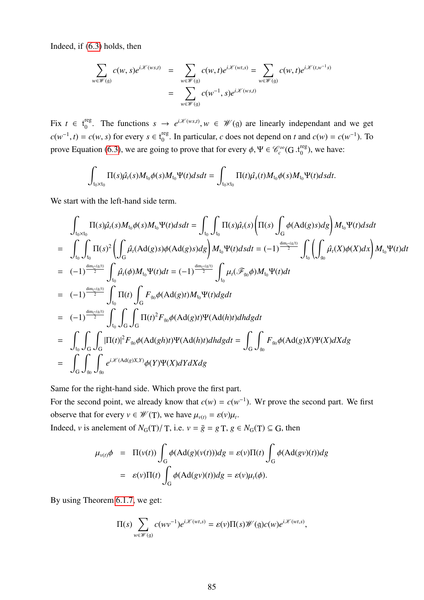Indeed, if [\(6.3\)](#page-84-1) holds, then

$$
\sum_{w \in \mathcal{W}(\mathfrak{g})} c(w, s) e^{i\mathcal{K}(ws,t)} = \sum_{w \in \mathcal{W}(\mathfrak{g})} c(w, t) e^{i\mathcal{K}(wt,s)} = \sum_{w \in \mathcal{W}(\mathfrak{g})} c(w, t) e^{i\mathcal{K}(tw^{-1}s)}
$$
\n
$$
= \sum_{w \in \mathcal{W}(\mathfrak{g})} c(w^{-1}, s) e^{i\mathcal{K}(ws,t)}
$$

Fix  $t \in t_0^{reg}$ <sup>reg</sup>. The functions  $s \to e^{i\mathcal{K}(ws,t)}$ ,  $w \in \mathcal{W}(\mathfrak{g})$  are linearly independant and we get  $c(w^{-1}, t) = c(w, s)$  for every  $s \in t_0^{\text{reg}}$  $\int_0^{\text{reg}}$ . In particular, *c* does not depend on *t* and  $c(w) = c(w^{-1})$ . To prove Equation [\(6.3\)](#page-84-1), we are going to prove that for every  $\phi$ ,  $\Psi \in \mathcal{C}_c^{\infty}(G \cdot t_0^{reg})$  $_{0}^{reg}$ ), we have:

$$
\int_{t_0\times t_0} \Pi(s)\hat{\mu}_t(s)M_{t_0}\phi(s)M_{t_0}\Psi(t)dsdt=\int_{t_0\times t_0} \Pi(t)\hat{\mu_s}(t)M_{t_0}\phi(s)M_{t_0}\Psi(t)dsdt.
$$

We start with the left-hand side term.

$$
\int_{t_0 \times t_0} \Pi(s) \hat{\mu}_t(s) M_{t_0} \phi(s) M_{t_0} \Psi(t) ds dt = \int_{t_0} \int_{t_0} \Pi(s) \hat{\mu}_t(s) \left( \Pi(s) \int_G \phi(\text{Ad}(g)s) dg \right) M_{t_0} \Psi(t) ds dt
$$
\n
$$
= \int_{t_0} \int_{t_0} \Pi(s)^2 \left( \int_G \hat{\mu}_t(\text{Ad}(g)s) \phi(\text{Ad}(g)s) dg \right) M_{t_0} \Psi(t) ds dt = (-1)^{\frac{\dim_C(g/t)}{2}} \int_{t_0} \left( \int_{g_0} \hat{\mu}_t(X) \phi(X) dx \right) M_{t_0} \Psi(t) dt
$$
\n
$$
= (-1)^{\frac{\dim_C(g/t)}{2}} \int_{t_0} \hat{\mu}_t(\phi) M_{t_0} \Psi(t) dt = (-1)^{\frac{\dim_C(g/t)}{2}} \int_{t_0} \mu_t(\mathscr{F}_{g_0} \phi) M_{t_0} \Psi(t) dt
$$
\n
$$
= (-1)^{\frac{\dim_C(g/t)}{2}} \int_{t_0} \Pi(t) \int_G F_{g_0} \phi(\text{Ad}(g)t) M_{t_0} \Psi(t) dg dt
$$
\n
$$
= (-1)^{\frac{\dim_C(g/t)}{2}} \int_{t_0} \int_G \int_G \Pi(t)^2 F_{g_0} \phi(\text{Ad}(g)t) \Psi(\text{Ad}(h)t) dh dg dt
$$
\n
$$
= \int_{t_0} \int_G \int_G |\Pi(t)|^2 F_{g_0} \phi(\text{Ad}(g) t) \Psi(\text{Ad}(h) t) dh dg dt = \int_G \int_{g_0} F_{g_0} \phi(\text{Ad}(g) X) \Psi(X) dX dg
$$
\n
$$
= \int_G \int_{g_0} \int_{g_0} e^{i \mathscr{K}(\text{Ad}(g) X, Y)} \phi(Y) \Psi(X) dY dX dg
$$

Same for the right-hand side. Which prove the first part.

For the second point, we already know that  $c(w) = c(w^{-1})$ . Wr prove the second part. We first observe that for every  $v \in \mathcal{W}(T)$ , we have  $\mu_{v(t)} = \varepsilon(v)\mu_t$ .

Indeed, *v* is an<br>element of  $N_G(T)/T$ , i.e.  $v = \overline{g} = gT$ ,  $g \in N_G(T) \subseteq G$ , then

$$
\mu_{\nu(t)}\phi = \Pi(\nu(t))\int_G \phi(\text{Ad}(g)(\nu(t)))dg = \varepsilon(\nu)\Pi(t)\int_G \phi(\text{Ad}(g\nu)(t))dg
$$
  
=  $\varepsilon(\nu)\Pi(t)\int_G \phi(\text{Ad}(g\nu)(t))dg = \varepsilon(\nu)\mu_t(\phi).$ 

By using Theorem [6.1.7,](#page-84-2) we get:

$$
\Pi(s)\sum_{w\in\mathscr{W}(\mathfrak{g})}c(wv^{-1})e^{i\mathscr{K}(wt,s)}=\varepsilon(v)\Pi(s)\mathscr{W}(\mathfrak{g})c(w)e^{i\mathscr{K}(wt,s)},
$$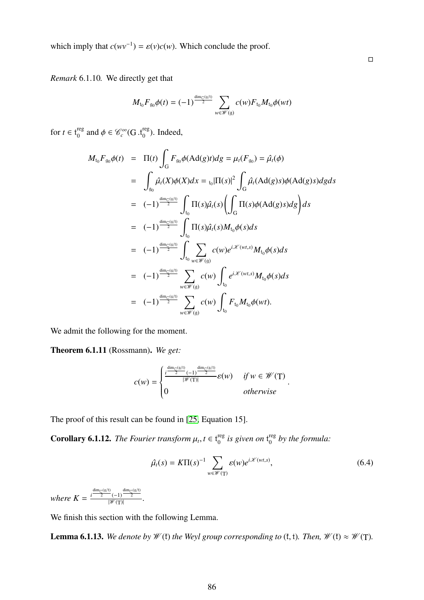which imply that  $c(wv^{-1}) = \varepsilon(v)c(w)$ . Which conclude the proof.

*Remark* 6.1.10*.* We directly get that

$$
M_{t_0}F_{g_0}\phi(t) = (-1)^{\frac{\dim_{\mathbb{C}}(g/t)}{2}}\sum_{w\in\mathscr{W}(g)}c(w)F_{t_0}M_{t_0}\phi(wt)
$$

for  $t \in t_0^{\text{reg}}$ <sup>reg</sup> and  $\phi \in \mathscr{C}_c^{\infty}(\mathbf{G}.t_0^{\text{reg}})$  $_{0}^{\text{reg}}$ ). Indeed,

$$
M_{t_0}F_{g_0}\phi(t) = \Pi(t)\int_G F_{g_0}\phi(\text{Ad}(g)t)dg = \mu_t(F_{g_0}) = \hat{\mu}_t(\phi)
$$
  
\n
$$
= \int_{g_0}\hat{\mu}_t(X)\phi(X)dx = t_0|\Pi(s)|^2 \int_G \hat{\mu}_t(\text{Ad}(g)s)\phi(\text{Ad}(g)s)dgds
$$
  
\n
$$
= (-1)^{\frac{\dim_{\mathbb{C}}(g/t)}{2}} \int_{t_0}\Pi(s)\hat{\mu}_t(s)\left(\int_G\Pi(s)\phi(\text{Ad}(g)s)dg\right)ds
$$
  
\n
$$
= (-1)^{\frac{\dim_{\mathbb{C}}(g/t)}{2}} \int_{t_0}\Pi(s)\hat{\mu}_t(s)M_{t_0}\phi(s)ds
$$
  
\n
$$
= (-1)^{\frac{\dim_{\mathbb{C}}(g/t)}{2}} \int_{t_0}\sum_{w \in \mathcal{W}(g)} c(w)e^{i\mathcal{K}(wt,s)}M_{t_0}\phi(s)ds
$$
  
\n
$$
= (-1)^{\frac{\dim_{\mathbb{C}}(g/t)}{2}} \sum_{w \in \mathcal{W}(g)} c(w) \int_{t_0} e^{i\mathcal{K}(wt,s)}M_{t_0}\phi(s)ds
$$
  
\n
$$
= (-1)^{\frac{\dim_{\mathbb{C}}(g/t)}{2}} \sum_{w \in \mathcal{W}(g)} c(w) \int_{t_0} F_{t_0}M_{t_0}\phi(wt).
$$

We admit the following for the moment.

Theorem 6.1.11 (Rossmann). *We get:*

$$
c(w) = \begin{cases} \frac{i^{\frac{\dim_{\mathbb{C}}(\mathfrak{g}/t)}{2}}(-1)^{\frac{\dim_{\mathbb{C}}(\mathfrak{g}/t)}{2}}}{|\mathcal{W}(\mathsf{T})|} \varepsilon(w) & \text{if } w \in \mathcal{W}(\mathsf{T})\\ 0 & \text{otherwise} \end{cases}
$$

The proof of this result can be found in [\[25,](#page-98-1) Equation 15].

**Corollary 6.1.12.** *The Fourier transform*  $\mu_t$ ,  $t \in t_0^{\text{reg}}$  $_{0}^{\text{reg}}$  is given on  $\bm{{\mathsf{t}}}_{0}^{\text{reg}}$ 0 *by the formula:*

<span id="page-86-1"></span>
$$
\hat{\mu}_t(s) = K\Pi(s)^{-1} \sum_{w \in \mathcal{W}(\mathbf{T})} \varepsilon(w) e^{i\mathcal{K}(wt,s)}, \tag{6.4}
$$

*where*  $K = \frac{i^{\frac{\dim_{\mathbb{C}}(\mathfrak{g}/t)}{2}}(-1)^{\frac{\dim_{\mathbb{C}}(\mathfrak{g}/t)}{2}}}{\frac{|\mathcal{W}(T)|}{2}}$  $\frac{(-1)^{\frac{2}{\pi}}}{\sqrt{\mathscr{W}(T)}}$ .

We finish this section with the following Lemma.

<span id="page-86-0"></span>**Lemma 6.1.13.** *We denote by*  $W$ (*t*) *the Weyl group corresponding to* (*t*, *t*)*. Then,*  $W$ (*t*)  $\approx W(T)$ *.*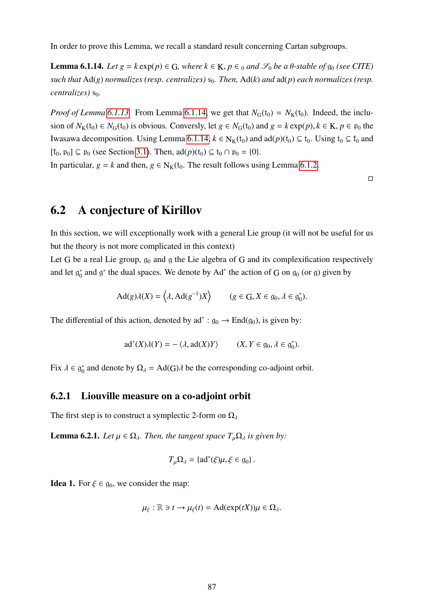In order to prove this Lemma, we recall a standard result concerning Cartan subgroups.

<span id="page-87-0"></span>**Lemma 6.1.14.** *Let g* =  $k$  exp( $p$ )  $\in$  G, where  $k \in K$ ,  $p \in Q$  and  $\mathscr{S}_0$  *be a*  $\theta$ -stable of  $g_0$  (see CITE)  $such that Ad(g) normalizes (resp. centralizes)$   $s<sub>0</sub>$ . Then,  $Ad(k)$  and  $ad(p)$  each normalizes (resp. *centralizes*)  $s<sub>0</sub>$ *.* 

*Proof of Lemma* [6.1.13.](#page-86-0) From Lemma [6.1.14,](#page-87-0) we get that  $N_G(t_0) = N_K(t_0)$ . Indeed, the inclusion of  $N_K(t_0) \in N_G(t_0)$  is obvious. Conversly, let  $g \in N_G(t_0)$  and  $g = k \exp(p)$ ,  $k \in K$ ,  $p \in \mathfrak{p}_0$  the Iwasawa decomposition. Using Lemma [6.1.14,](#page-87-0)  $k \in N_K(t_0)$  and ad( $p$ )( $t_0$ )  $\subseteq t_0$ . Using  $t_0 \subseteq t_0$  and  $[\mathfrak{k}_0, \mathfrak{p}_0] \subseteq \mathfrak{p}_0$  (see Section [3.1\)](#page-20-0). Then,  $ad(p)(t_0) \subseteq t_0 \cap \mathfrak{p}_0 = \{0\}.$ 

In particular,  $g = k$  and then,  $g \in N_K(t_0)$ . The result follows using Lemma [6.1.2.](#page-82-0)

 $\Box$ 

## <span id="page-87-1"></span>6.2 A conjecture of Kirillov

In this section, we will exceptionally work with a general Lie group (it will not be useful for us but the theory is not more complicated in this context)

Let G be a real Lie group,  $g_0$  and g the Lie algebra of G and its complexification respectively and let  $g_0^*$  $\frac{1}{6}$  and  $\frac{1}{9}$  the dual spaces. We denote by Ad<sup>\*</sup> the action of G on  $\frac{1}{90}$  (or g) given by

$$
Ad(g)\lambda(X) = \left\langle \lambda, Ad(g^{-1})X \right\rangle \qquad (g \in G, X \in \mathfrak{g}_0, \lambda \in \mathfrak{g}_0^*).
$$

The differential of this action, denoted by  $ad^* : g_0 \to \text{End}(g_0)$ , is given by:

$$
ad^*(X)\lambda(Y) = -\langle \lambda, ad(X)Y \rangle \qquad (X, Y \in \mathfrak{g}_0, \lambda \in \mathfrak{g}_0^*).
$$

Fix  $\lambda \in \mathfrak{g}_0^*$ <sup>\*</sup><sub>0</sub> and denote by  $\Omega_{\lambda} = \text{Ad}(G) \lambda$  be the corresponding co-adjoint orbit.

#### 6.2.1 Liouville measure on a co-adjoint orbit

The first step is to construct a symplectic 2-form on  $\Omega_{\lambda}$ 

**Lemma 6.2.1.** *Let*  $\mu \in \Omega_{\lambda}$ *. Then, the tangent space*  $T_{\mu}\Omega_{\lambda}$  *is given by:* 

$$
T_{\mu}\Omega_{\lambda} = \{ad^*(\xi)\mu, \xi \in \mathfrak{g}_0\}.
$$

**Idea 1.** For  $\xi \in g_0$ , we consider the map:

$$
\mu_{\xi}: \mathbb{R} \ni t \to \mu_{\xi}(t) = \mathrm{Ad}(\exp(tX))\mu \in \Omega_{\lambda}.
$$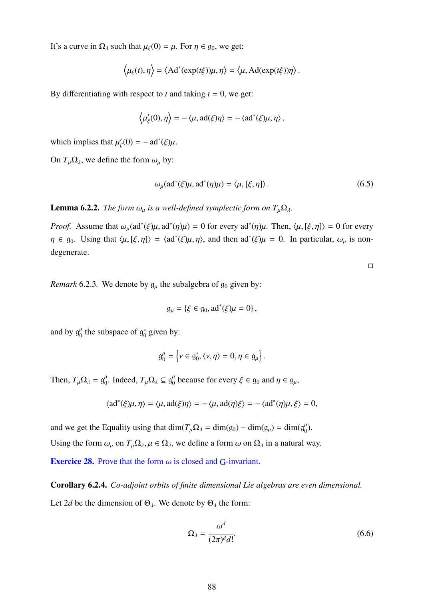It's a curve in  $\Omega_{\lambda}$  such that  $\mu_{\xi}(0) = \mu$ . For  $\eta \in g_0$ , we get:

$$
\langle \mu_{\xi}(t), \eta \rangle = \langle \mathrm{Ad}^*(\exp(t\xi))\mu, \eta \rangle = \langle \mu, \mathrm{Ad}(\exp(t\xi))\eta \rangle.
$$

By differentiating with respect to  $t$  and taking  $t = 0$ , we get:

$$
\langle \mu'_{\xi}(0), \eta \rangle = -\langle \mu, \text{ad}(\xi)\eta \rangle = -\langle \text{ad}^*(\xi)\mu, \eta \rangle
$$
,

which implies that  $\mu'_{\xi}(0) = -ad^*(\xi)\mu$ .

ξ

On  $T_\mu \Omega_\lambda$ , we define the form  $\omega_\mu$  by:

$$
\omega_{\mu}(\text{ad}^*(\xi)\mu, \text{ad}^*(\eta)\mu) = \langle \mu, [\xi, \eta] \rangle. \tag{6.5}
$$

**Lemma 6.2.2.** *The form*  $\omega_{\mu}$  *is a well-defined symplectic form on*  $T_{\mu}\Omega_{\lambda}$ *.* 

*Proof.* Assume that  $\omega_{\mu}(\text{ad}^*(\xi)\mu, \text{ad}^*(\eta)\mu) = 0$  for every  $\text{ad}^*(\eta)\mu$ . Then,  $\langle \mu, [\xi, \eta] \rangle = 0$  for every  $\eta \in g_0$ . Using that  $\langle \mu, [\xi, \eta] \rangle = \langle ad^*(\xi)\mu, \eta \rangle$ , and then  $ad^*(\xi)\mu = 0$ . In particular,  $\omega_\mu$  is nondegenerate.

*Remark* 6.2.3. We denote by  $g_u$  the subalgebra of  $g_0$  given by:

$$
\mathfrak{g}_{\mu} = \{ \xi \in \mathfrak{g}_0, ad^*(\xi)\mu = 0 \},
$$

and by  $g_0^{\mu}$  the subspace of  $g_0^*$  $_{0}^{*}$  given by:

$$
\mathfrak{g}_0^{\mu} = \left\{ \nu \in \mathfrak{g}_0^*, \langle \nu, \eta \rangle = 0, \eta \in \mathfrak{g}_{\mu} \right\}.
$$

Then,  $T_{\mu}\Omega_{\lambda} = g_0^{\mu}$ . Indeed,  $T_{\mu}\Omega_{\lambda} \subseteq g_0^{\mu}$  because for every  $\xi \in g_0$  and  $\eta \in g_{\mu}$ ,

$$
\langle \mathrm{ad}^*(\xi)\mu, \eta \rangle = \langle \mu, \mathrm{ad}(\xi)\eta \rangle = -\langle \mu, \mathrm{ad}(\eta)\xi \rangle = -\langle \mathrm{ad}^*(\eta)\mu, \xi \rangle = 0,
$$

<span id="page-88-0"></span>and we get the Equality using that  $\dim(T_\mu \Omega_\lambda = \dim(g_0) - \dim(g_\mu) = \dim(g_0^\mu)$ . Using the form  $\omega_{\mu}$  on  $T_{\mu}\Omega_{\lambda}, \mu \in \Omega_{\lambda}$ , we define a form  $\omega$  on  $\Omega_{\lambda}$  in a natural way. **Exercice 28.** Prove that the form  $\omega$  is closed and G-invariant.

Corollary 6.2.4. *Co-adjoint orbits of finite dimensional Lie algebras are even dimensional.* Let 2*d* be the dimension of  $\Theta_{\lambda}$ . We denote by  $\Theta_{\lambda}$  the form:

$$
\Omega_{\lambda} = \frac{\omega^d}{(2\pi)^d d!}.
$$
\n(6.6)

 $\Box$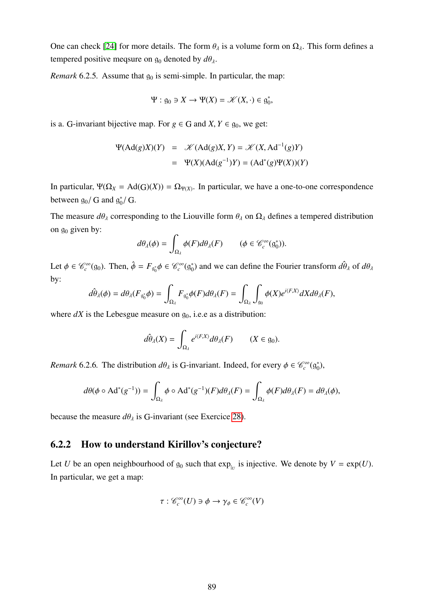One can check [\[24\]](#page-98-2) for more details. The form  $\theta_{\lambda}$  is a volume form on  $\Omega_{\lambda}$ . This form defines a tempered positive meqsure on  $g_0$  denoted by  $d\theta_\lambda$ .

<span id="page-89-0"></span>*Remark* 6.2.5. Assume that  $g_0$  is semi-simple. In particular, the map:

$$
\Psi: \mathfrak{g}_0 \ni X \to \Psi(X) = \mathscr{K}(X, \cdot) \in \mathfrak{g}_0^*,
$$

is a. G-invariant bijective map. For  $g \in G$  and  $X, Y \in g_0$ , we get:

$$
\Psi(\text{Ad}(g)X)(Y) = \mathcal{K}(\text{Ad}(g)X, Y) = \mathcal{K}(X, \text{Ad}^{-1}(g)Y)
$$

$$
= \Psi(X)(\text{Ad}(g^{-1})Y) = (\text{Ad}^*(g)\Psi(X))(Y)
$$

In particular,  $\Psi(\Omega_X = \text{Ad}(G)(X)) = \Omega_{\Psi(X)}$ . In particular, we have a one-to-one correspondence between  $g_0/G$  and  $g_0^*$  $_{0}^{*}/$  G.

The measure  $d\theta_\lambda$  corresponding to the Liouville form  $\theta_\lambda$  on  $\Omega_\lambda$  defines a tempered distribution on  $g_0$  given by:

$$
d\theta_{\lambda}(\phi) = \int_{\Omega_{\lambda}} \phi(F) d\theta_{\lambda}(F) \qquad (\phi \in \mathscr{C}_c^{\infty}(\mathfrak{g}_0^*)).
$$

Let  $\phi \in \mathcal{C}_c^{\infty}(\mathfrak{g}_0)$ . Then,  $\hat{\phi} = F_{\mathfrak{g}_0^*} \phi \in \mathcal{C}_c^{\infty}(\mathfrak{g}_0^*)$  $\hat{\theta}_0$  and we can define the Fourier transform  $d\hat{\theta}_\lambda$  of  $d\theta_\lambda$ by:

$$
d\hat{\theta}_{\lambda}(\phi) = d\theta_{\lambda}(F_{\mathfrak{g}_{0}^{*}}\phi) = \int_{\Omega_{\lambda}} F_{\mathfrak{g}_{0}^{*}}\phi(F) d\theta_{\lambda}(F) = \int_{\Omega_{\lambda}} \int_{\mathfrak{g}_{0}} \phi(X) e^{i\langle F,X \rangle} dX d\theta_{\lambda}(F),
$$

where  $dX$  is the Lebesgue measure on  $g<sub>0</sub>$ , i.e.e as a distribution:

$$
d\hat{\theta}_{\lambda}(X) = \int_{\Omega_{\lambda}} e^{i\langle F, X \rangle} d\theta_{\lambda}(F) \qquad (X \in \mathfrak{g}_0).
$$

*Remark* 6.2.6. The distribution  $d\theta_{\lambda}$  is G-invariant. Indeed, for every  $\phi \in \mathcal{C}_c^{\infty}(\mathfrak{g}_0^*)$  $_{0}^{\ast}),$ 

$$
d\theta(\phi \circ \mathrm{Ad}^*(g^{-1})) = \int_{\Omega_\lambda} \phi \circ \mathrm{Ad}^*(g^{-1})(F) d\theta_\lambda(F) = \int_{\Omega_\lambda} \phi(F) d\theta_\lambda(F) = d\theta_\lambda(\phi),
$$

because the measure  $d\theta_{\lambda}$  is G-invariant (see Exercice [28\)](#page-88-0).

#### 6.2.2 How to understand Kirillov's conjecture?

Let *U* be an open neighbourhood of  $g_0$  such that  $\exp_{|U|}$  is injective. We denote by  $V = \exp(U)$ . In particular, we get a map:

$$
\tau: \mathcal{C}_c^{\infty}(U) \ni \phi \to \gamma_{\phi} \in \mathcal{C}_c^{\infty}(V)
$$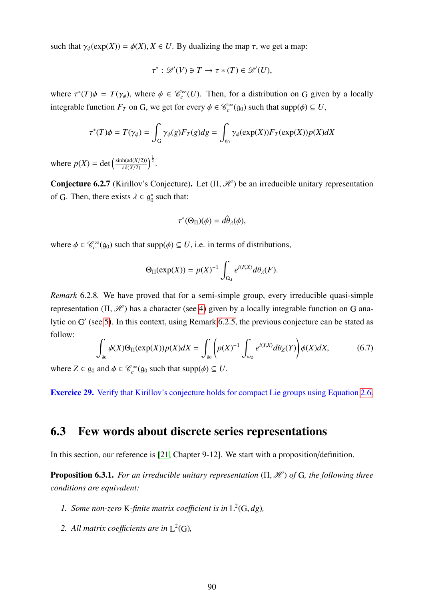such that  $\gamma_{\phi}(\exp(X)) = \phi(X), X \in U$ . By dualizing the map  $\tau$ , we get a map:

$$
\tau^* : \mathscr{D}'(V) \ni T \to \tau * (T) \in \mathscr{D}'(U),
$$

where  $\tau^*(T)\phi = T(\gamma_{\phi})$ , where  $\phi \in \mathcal{C}_c^{\infty}(U)$ . Then, for a distribution on G given by a locally integrable function  $F_T$  on G, we get for every  $\phi \in \mathcal{C}_c^{\infty}(g_0)$  such that  $supp(\phi) \subseteq U$ ,

$$
\tau^*(T)\phi = T(\gamma_{\phi}) = \int_G \gamma_{\phi}(g) F_T(g) dg = \int_{g_0} \gamma_{\phi}(\exp(X)) F_T(\exp(X)) p(X) dX
$$

where  $p(X) = \det \left( \frac{\sinh(\text{ad}(X/2))}{\text{ad}(X/2)} \right)^{\frac{1}{2}}$ .

Conjecture 6.2.7 (Kirillov's Conjecture). Let  $(\Pi, \mathcal{H})$  be an irreducible unitary representation of G. Then, there exists  $\lambda \in \mathfrak{g}_0^*$  $_0^*$  such that:

$$
\tau^*(\Theta_{\Pi})(\phi) = d\hat{\theta}_{\lambda}(\phi),
$$

where  $\phi \in \mathcal{C}_c^{\infty}(g_0)$  such that supp $(\phi) \subseteq U$ , i.e. in terms of distributions,

$$
\Theta_{\Pi}(\exp(X)) = p(X)^{-1} \int_{\Omega_{\lambda}} e^{i\langle F,X \rangle} d\theta_{\lambda}(F).
$$

*Remark* 6.2.8*.* We have proved that for a semi-simple group, every irreducible quasi-simple representation (Π,  $\mathcal{H}$ ) has a character (see [4\)](#page-39-0) given by a locally integrable function on G ana-lytic on G' (see [5\)](#page-54-0). In this context, using Remark [6.2.5,](#page-89-0) the previous conjecture can be stated as follow:

<span id="page-90-0"></span>
$$
\int_{\mathfrak{g}_0} \phi(X)\Theta_{\Pi}(\exp(X))p(X)dX = \int_{\mathfrak{g}_0} \left(p(X)^{-1} \int_{\omega_Z} e^{i\langle X,X\rangle} d\theta_Z(Y)\right) \phi(X)dX,\tag{6.7}
$$

where  $Z \in \mathfrak{g}_0$  and  $\phi \in \mathcal{C}_c^{\infty}(\mathfrak{g}_0 \text{ such that } \text{supp}(\phi) \subseteq U$ .

Exercice 29. Verify that Kirillov's conjecture holds for compact Lie groups using Equation [2.6.](#page-19-0)

### 6.3 Few words about discrete series representations

In this section, our reference is [\[21,](#page-98-3) Chapter 9-12]. We start with a proposition/definition.

**Proposition 6.3.1.** *For an irreducible unitary representation* (Π, *H*) *of* G, the following three *conditions are equivalent:*

- 1. Some non-zero K-finite matrix coefficient is in  $L^2(G, dg)$ ,
- 2. All matrix coefficients are in  $L^2(G)$ ,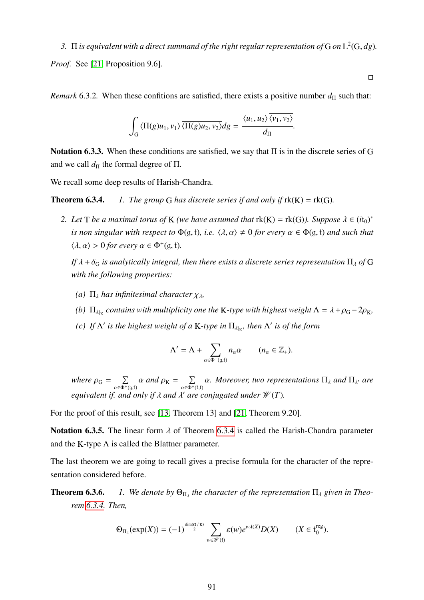*3.* Π *is equivalent with a direct summand of the right regular representation of* G *on* L 2 (G, *dg*)*. Proof.* See [\[21,](#page-98-3) Proposition 9.6].

*Remark* 6.3.2. When these confitions are satisfied, there exists a positive number  $d_{\Pi}$  such that:

$$
\int_G \langle \Pi(g)u_1, v_1 \rangle \overline{\langle \Pi(g)u_2, v_2 \rangle} dg = \frac{\langle u_1, u_2 \rangle \langle v_1, v_2 \rangle}{d_{\Pi}}.
$$

Notation 6.3.3. When these conditions are satisfied, we say that  $\Pi$  is in the discrete series of G and we call  $d_{\Pi}$  the formal degree of  $\Pi$ .

We recall some deep results of Harish-Chandra.

**Theorem 6.3.4.** *1. The group* G *has discrete series if and only if*  $rk(K) = rk(G)$ *.* 

*2. Let*  $T$  *be a maximal torus of*  $K$  *(we have assumed that*  $rk(K) = rk(G)$ *). Suppose*  $\lambda \in (it_0)^*$ *is non singular with respect to*  $\Phi$ (g, t), *i.e.*  $\langle \lambda, \alpha \rangle \neq 0$  *for every*  $\alpha \in \Phi$ (g, t) *and such that*  $\langle \lambda, \alpha \rangle > 0$  *for every*  $\alpha \in \Phi^+(0, 1)$ *.* 

*If*  $\lambda$  +  $\delta_G$  *is analytically integral, then there exists a discrete series representation*  $\Pi_{\lambda}$  *of* G *with the following properties:*

- *(a)*  $\Pi_{\lambda}$  *has infinitesimal character*  $\chi_{\lambda}$ *,*
- *(b)*  $\Pi_{\lambda|K}$  contains with multiplicity one the K-type with highest weight  $\Lambda = \lambda + \rho_G 2\rho_K$ ,
- <span id="page-91-0"></span>*(c)* If  $\Lambda'$  is the highest weight of a K-type in  $\Pi_{\lambda|_K}$ , then  $\Lambda'$  is of the form

$$
\Lambda' = \Lambda + \sum_{\alpha \in \Phi^+(g,t)} n_{\alpha} \alpha \qquad (n_{\alpha} \in \mathbb{Z}_+).
$$

*where*  $\rho_G = \sum_{\alpha \in \Phi^+}$  $\sum_{\alpha \in \Phi^+(g,t)} \alpha$  and  $\rho_K = \sum_{\alpha \in \Phi^+(g,t)}$  $\sum_{\alpha \in \Phi^+(\mathfrak{k}, \mathfrak{t})} \alpha$ . Moreover, two representations  $\Pi_{\lambda}$  and  $\Pi_{\lambda'}$  are<br>*a*. *a*. *are* conjugated under *H*( $\pi$ ) *equivalent if. and only if*  $\lambda$  *and*  $\lambda'$  *are conjugated under*  $\mathcal{W}(T)$ *.* 

For the proof of this result, see [\[13,](#page-98-4) Theorem 13] and [\[21,](#page-98-3) Theorem 9.20].

Notation 6.3.5. The linear form  $\lambda$  of Theorem [6.3.4](#page-91-0) is called the Harish-Chandra parameter and the K-type  $\Lambda$  is called the Blattner parameter.

The last theorem we are going to recall gives a precise formula for the character of the representation considered before.

**Theorem 6.3.6.** *1. We denote by*  $\Theta_{\Pi_{\lambda}}$  the character of the representation  $\Pi_{\lambda}$  given in Theo*rem [6.3.4.](#page-91-0) Then,*

$$
\Theta_{\Pi_{\lambda}}(\exp(X)) = (-1)^{\frac{\dim(G/K)}{2}} \sum_{w \in \mathscr{W}(\mathfrak{k})} \varepsilon(w) e^{w\lambda(X)} D(X) \qquad (X \in \mathfrak{t}_0^{\text{reg}}).
$$

 $\Box$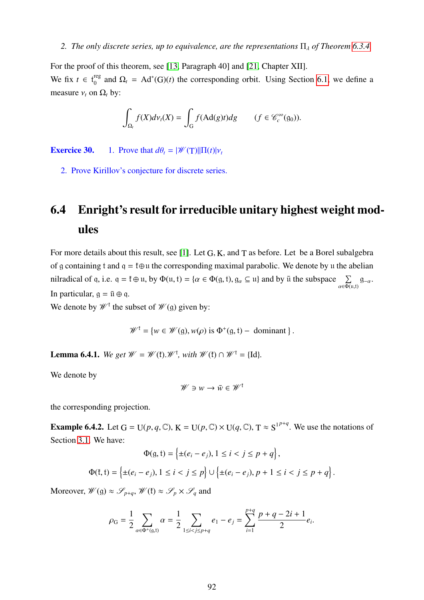#### *2. The only discrete series, up to equivalence, are the representations*  $\Pi_{\lambda}$  *of Theorem* [6.3.4.](#page-91-0)

For the proof of this theorem, see [\[13,](#page-98-4) Paragraph 40] and [\[21,](#page-98-3) Chapter XII].

We fix  $t \in t_0^{reg}$  $\Omega_0$ <sup>teg</sup> and  $\Omega_t$  = Ad<sup>\*</sup>(G)(*t*) the corresponding orbit. Using Section [6.1,](#page-82-1) we define a measure  $v_t$  on  $\Omega_t$  by:

$$
\int_{\Omega_t} f(X) d\nu_t(X) = \int_G f(\text{Ad}(g)t) dg \qquad (f \in \mathscr{C}_c^{\infty}(g_0)).
$$

**Exercice 30.** 1. Prove that  $d\theta_t = |\mathcal{W}(\text{T})||\Pi(t)|v_t$ 

2. Prove Kirillov's conjecture for discrete series.

## <span id="page-92-0"></span>6.4 Enright's result for irreducible unitary highest weight modules

For more details about this result, see [\[1\]](#page-97-2). Let G, K, and T as before. Let be a Borel subalgebra of g containing t and  $q = \text{t} \oplus \text{u}$  the corresponding maximal parabolic. We denote by u the abelian nilradical of q, i.e.  $q = \mathfrak{k} \oplus \mathfrak{u}$ , by  $\Phi(\mathfrak{u}, \mathfrak{t}) = \{ \alpha \in \Phi(\mathfrak{g}, \mathfrak{t}), \mathfrak{g}_{\alpha} \subseteq \mathfrak{u} \}$  and by  $\overline{\mathfrak{u}}$  the subspace  $\sum_{\alpha \in \Phi(\mathfrak{u}, \mathfrak{t})} \mathfrak{g}_{-\alpha}$ .<br>In particular,  $\alpha = \overline{\mathfrak{u}} \oplus \alpha$ . In particular,  $g = \bar{u} \oplus q$ .

We denote by  $\mathscr{W}^{\dagger}$  the subset of  $\mathscr{W}(\mathfrak{g})$  given by:

$$
\mathscr{W}^{\dagger} = \{ w \in \mathscr{W}(\mathfrak{g}), w(\rho) \text{ is } \Phi^+(\mathfrak{g}, \mathfrak{t}) - \text{ dominant } \}.
$$

**Lemma 6.4.1.** We get  $W = W(\mathfrak{k}).W^{\mathfrak{k}}$ , with  $W(\mathfrak{k}) \cap W^{\mathfrak{k}} = {\text{Id}}$ *.* 

We denote by

$$
\mathcal{W} \ni w \to \bar{w} \in \mathcal{W}^{\dagger}
$$

the corresponding projection.

**Example 6.4.2.** Let  $G = U(p, q, \mathbb{C})$ ,  $K = U(p, \mathbb{C}) \times U(q, \mathbb{C})$ ,  $T \approx S^{1^{p+q}}$ . We use the notations of Section [3.1.](#page-20-0) We have:

$$
\Phi(g, t) = \left\{ \pm (e_i - e_j), 1 \le i < j \le p + q \right\},\
$$
\n
$$
\Phi(\mathfrak{k}, t) = \left\{ \pm (e_i - e_j), 1 \le i < j \le p \right\} \cup \left\{ \pm (e_i - e_j), p + 1 \le i < j \le p + q \right\}.
$$

Moreover,  $\mathscr{W}(\mathfrak{g}) \approx \mathscr{S}_{p+q}, \mathscr{W}(\mathfrak{f}) \approx \mathscr{S}_p \times \mathscr{S}_q$  and

$$
\rho_{\rm G} = \frac{1}{2} \sum_{\alpha \in \Phi^+(g,t)} \alpha = \frac{1}{2} \sum_{1 \le i < j \le p+q} e_1 - e_j = \sum_{i=1}^{p+q} \frac{p+q-2i+1}{2} e_i.
$$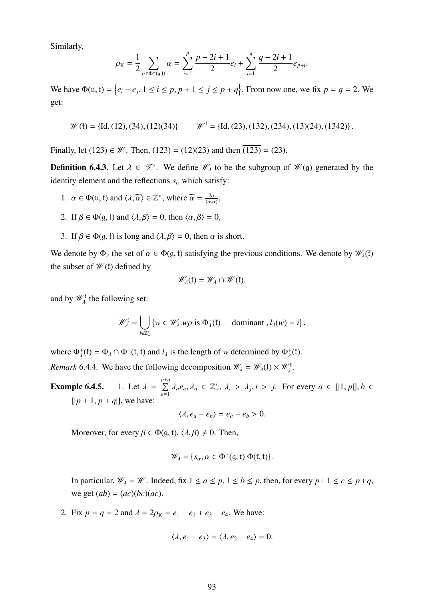Similarly,

$$
\rho_{\rm K} = \frac{1}{2} \sum_{\alpha \in \Phi^+(g,t)} \alpha = \sum_{i=1}^p \frac{p-2i+1}{2} e_i + \sum_{i=1}^q \frac{q-2i+1}{2} e_{p+i}.
$$

We have  $\Phi(\mathfrak{u}, \mathfrak{t}) = \{e_i - e_j, 1 \le i \le p, p + 1 \le j \le p + q\}$ . From now one, we fix  $p = q = 2$ . We get:

$$
\mathscr{W}(\mathfrak{k}) = \{ \text{Id}, (12), (34), (12)(34) \} \qquad \mathscr{W}^{\mathfrak{k}} = \{ \text{Id}, (23), (132), (234), (13)(24), (1342) \}.
$$

Finally, let (123)  $\in \mathcal{W}$ . Then, (123) = (12)(23) and then  $\overline{(123)}$  = (23).

**Definition 6.4.3.** Let  $\lambda \in \mathcal{T}^*$ . We define  $\mathcal{W}_{\lambda}$  to be the subgroup of  $\mathcal{W}(g)$  generated by the identity element and the reflections  $s_\alpha$  which satisfy:

- 1.  $\alpha \in \Phi(\mathfrak{u}, \mathfrak{t})$  and  $\langle \lambda, \widetilde{\alpha} \rangle \in \mathbb{Z}_+^*$ , where  $\widetilde{\alpha} = \frac{2\alpha}{\langle \alpha, \alpha \rangle}$  $\frac{2\alpha}{\langle \alpha,\alpha \rangle}$
- 2. If  $\beta \in \Phi(q, t)$  and  $\langle \lambda, \beta \rangle = 0$ , then  $\langle \alpha, \beta \rangle = 0$ ,
- 3. If  $\beta \in \Phi(q, t)$  is long and  $\langle \lambda, \beta \rangle = 0$ , then  $\alpha$  is short.

We denote by  $\Phi_{\lambda}$  the set of  $\alpha \in \Phi(q, t)$  satisfying the previous conditions. We denote by  $\mathscr{W}_{\lambda}(t)$ the subset of  $\mathcal{W}(f)$  defined by

$$
\mathscr{W}_{\lambda}(\mathfrak{k})=\mathscr{W}_{\lambda}\cap\mathscr{W}(\mathfrak{k}).
$$

and by  $\mathscr{W}_{\lambda}^{\dagger}$  the following set:

$$
\mathscr{W}_{\lambda}^{\dagger} = \bigcup_{i \in \mathbb{Z}_{+}^{*}} \{ w \in \mathscr{W}_{\lambda}.w\rho \text{ is } \Phi_{\lambda}^{+}(\mathfrak{k}) - \text{ dominant }, l_{\lambda}(w) = i \},
$$

where  $\Phi_{\lambda}^{+}(\mathfrak{k}) = \Phi_{\lambda} \cap \Phi^{+}(\mathfrak{k}, \mathfrak{t})$  and  $l_{\lambda}$  is the length of *w* determined by  $\Phi_{\lambda}^{+}(\mathfrak{k})$ . *Remark* 6.4.4. We have the following decomposition  $\mathcal{W}_{\lambda} = \mathcal{W}_{\lambda}(\mathfrak{k}) \times \mathcal{W}_{\lambda}^{\mathfrak{k}}$ .

**Example 6.4.5.** 1. Let  $\lambda =$ *p* P+*q*  $\sum_{a=1}^{P+q} \lambda_a e_a, \lambda_a \in \mathbb{Z}_+^*, \lambda_i > \lambda_j, i > j.$  For every  $a \in [|1, p|], b \in$  $[|p+1, p+q|]$ , we have:

$$
\langle \lambda, e_a - e_b \rangle = e_a - e_b > 0.
$$

Moreover, for every  $\beta \in \Phi(q, t), \langle \lambda, \beta \rangle \neq 0$ . Then,

$$
\mathscr{W}_{\lambda} = \{s_{\alpha}, \alpha \in \Phi^+(g, t) \Phi(t, t)\}.
$$

In particular,  $\mathcal{W}_\lambda = \mathcal{W}$ . Indeed, fix  $1 \le a \le p, 1 \le b \le p$ , then, for every  $p+1 \le c \le p+q$ , we get  $(ab) = (ac)(bc)(ac)$ .

2. Fix  $p = q = 2$  and  $\lambda = 2\rho_K = e_1 - e_2 + e_3 - e_4$ . We have:

$$
\langle \lambda, e_1 - e_3 \rangle = \langle \lambda, e_2 - e_4 \rangle = 0.
$$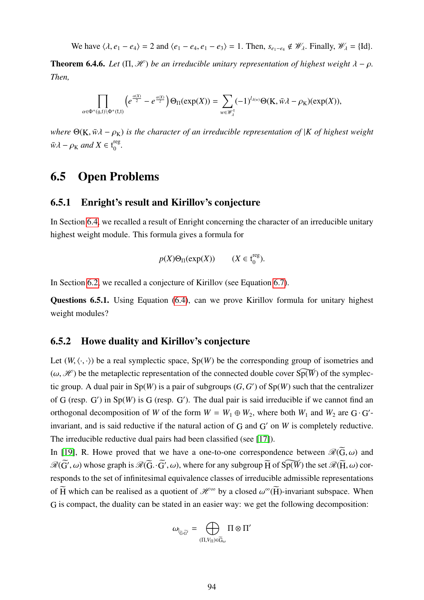We have  $\langle \lambda, e_1 - e_4 \rangle = 2$  and  $\langle e_1 - e_4, e_1 - e_3 \rangle = 1$ . Then,  $s_{e_1-e_4} \notin \mathcal{W}_{\lambda}$ . Finally,  $\mathcal{W}_{\lambda} = \{\text{Id}\}.$ 

**Theorem 6.4.6.** *Let*  $(\Pi, \mathcal{H})$  *be an irreducible unitary representation of highest weight*  $\lambda - \rho$ *. Then,*

$$
\prod_{\alpha\in\Phi^+(g,t)\setminus\Phi^+(t,t)}\left(e^{\frac{\alpha(X)}{2}}-e^{\frac{\alpha(X)}{2}}\right)\Theta_{\Pi}(\exp(X))=\sum_{w\in\mathscr W_\lambda^t}(-1)^{l_{\lambda(w)}}\Theta(\mathbf{K},\bar{w}\lambda-\rho_\mathbf{K})(\exp(X)),
$$

*where*  $\Theta(K, \bar{w} \lambda - \rho_K)$  *is the character of an irreducible representation of* |*K of highest weight*  $\bar{w}\lambda - \rho_{\rm K}$  *and*  $X \in {\rm t}_{0}^{\rm reg}$ 0 *.*

### 6.5 Open Problems

#### 6.5.1 Enright's result and Kirillov's conjecture

In Section [6.4,](#page-92-0) we recalled a result of Enright concerning the character of an irreducible unitary highest weight module. This formula gives a formula for

$$
p(X)\Theta_{\Pi}(\exp(X))
$$
  $(X \in t_0^{\text{reg}}).$ 

In Section [6.2,](#page-87-1) we recalled a conjecture of Kirillov (see Equation [6.7\)](#page-90-0).

Questions 6.5.1. Using Equation [\(6.4\)](#page-86-1), can we prove Kirillov formula for unitary highest weight modules?

#### 6.5.2 Howe duality and Kirillov's conjecture

Let  $(W, \langle \cdot, \cdot \rangle)$  be a real symplectic space,  $Sp(W)$  be the corresponding group of isometries and  $(\omega, \mathcal{H})$  be the metaplectic representation of the connected double cover  $\widetilde{Sp(W)}$  of the symplectic group. A dual pair in  $Sp(W)$  is a pair of subgroups  $(G, G')$  of  $Sp(W)$  such that the centralizer of  $G$  (resp.  $G'$ ) in  $Sp(W)$  is  $G$  (resp.  $G'$ ). The dual pair is said irreducible if we cannot find an orthogonal decomposition of *W* of the form  $W = W_1 \oplus W_2$ , where both  $W_1$  and  $W_2$  are G·G<sup>'</sup>invariant, and is said reductive if the natural action of  $G$  and  $G'$  on  $W$  is completely reductive. The irreducible reductive dual pairs had been classified (see [\[17\]](#page-98-5)).

In [\[19\]](#page-98-6), R. Howe proved that we have a one-to-one correspondence between  $\mathscr{R}(\widetilde{G}, \omega)$  and  $\mathcal{R}(\widetilde{G}', \omega)$  whose graph is  $\mathcal{R}(\widetilde{G}\cdot\widetilde{G}', \omega)$ , where for any subgroup  $\widetilde{H}$  of  $\widetilde{Sp(W)}$  the set  $\mathcal{R}(\widetilde{H}, \omega)$  corresponds to the set of infinitesimal equivalence classes of irreducible admissible representations of  $\widetilde{H}$  which can be realised as a quotient of  $\mathcal{H}^{\infty}$  by a closed  $\omega^{\infty}(\widetilde{H})$ -invariant subspace. When G is compact, the duality can be stated in an easier way: we get the following decomposition:

$$
\omega_{\vert_{\widetilde{G}\cdot\widetilde{G}'}}=\bigoplus_{(\Pi,V_{\Pi})\in \widetilde{G}_{\omega}}\Pi\otimes\Pi'
$$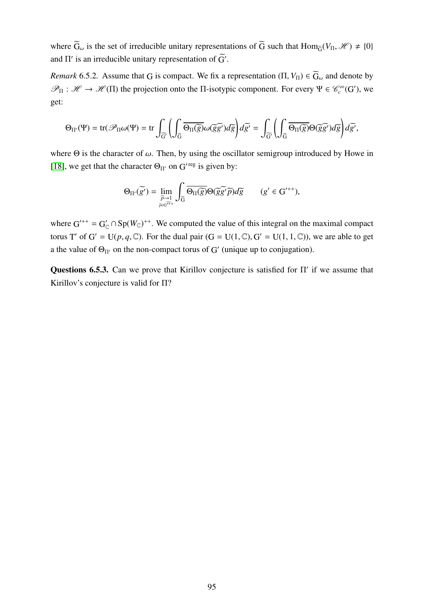where  $\widetilde{G}_{\omega}$  is the set of irreducible unitary representations of  $\widetilde{G}$  such that  $\text{Hom}_{\widetilde{G}}(V_{\Pi}, \mathcal{H}) \neq \{0\}$ and  $\Pi'$  is an irreducible unitary representation of  $\tilde{G}'$ .

*Remark* 6.5.2. Assume that G is compact. We fix a representation  $(\Pi, V_{\Pi}) \in \widetilde{G}_{\omega}$  and denote by  $\mathcal{P}_{\Pi} : \mathcal{H} \to \mathcal{H}(\Pi)$  the projection onto the  $\Pi$ -isotypic component. For every  $\Psi \in \mathcal{C}_c^{\infty}(G')$ , we get:

$$
\Theta_{\Pi'}(\Psi) = \text{tr}(\mathscr{P}_{\Pi}\omega(\Psi) = \text{tr}\int_{\widetilde{G}}\Bigg(\int_{\widetilde{G}}\overline{\Theta_{\Pi}(\widetilde{g})}\omega(\widetilde{g}\widetilde{g'})d\widetilde{g}\Bigg)d\widetilde{g'} = \int_{\widetilde{G}'}\Bigg(\int_{\widetilde{G}}\overline{\Theta_{\Pi}(\widetilde{g})}\Theta(\widetilde{g}\widetilde{g'})d\widetilde{g}\Bigg)d\widetilde{g'},
$$

where  $\Theta$  is the character of  $\omega$ . Then, by using the oscillator semigroup introduced by Howe in [\[18\]](#page-98-7), we get that the character  $\Theta_{\Pi'}$  on G'<sup>reg</sup> is given by:

$$
\Theta_{\Pi'}(\widetilde{g'}) = \lim_{\substack{\widetilde{p}\to 1\\ \widetilde{p}\in\widetilde{G^{r+1}}}} \int_{\widetilde{G}} \overline{\Theta_{\Pi}(\widetilde{g})} \Theta(\widetilde{g}\widetilde{g'}\widetilde{p}) d\widetilde{g} \qquad (g' \in G'^{++}),
$$

where  $G^{++} = G'_{\mathbb{C}} \cap Sp(W_{\mathbb{C}})^{++}$ . We computed the value of this integral on the maximal compact torus T' of  $G' = U(p, q, \mathbb{C})$ . For the dual pair  $(G = U(1, \mathbb{C}), G' = U(1, 1, \mathbb{C}))$ , we are able to get a the value of  $\Theta_{\Pi'}$  on the non-compact torus of G' (unique up to conjugation).

Questions 6.5.3. Can we prove that Kirillov conjecture is satisfied for  $\Pi'$  if we assume that Kirillov's conjecture is valid for Π?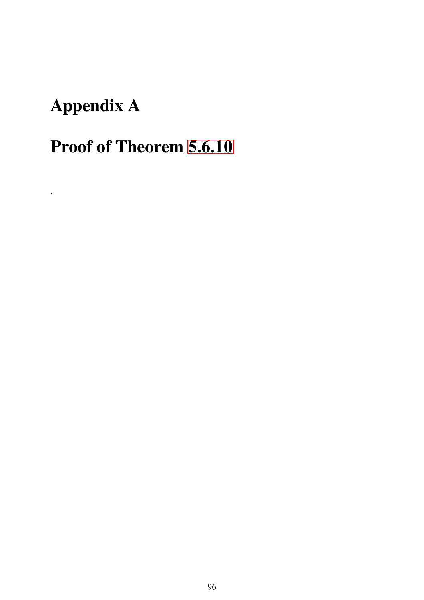# Appendix A

.

# Proof of Theorem [5.6.10](#page-74-0)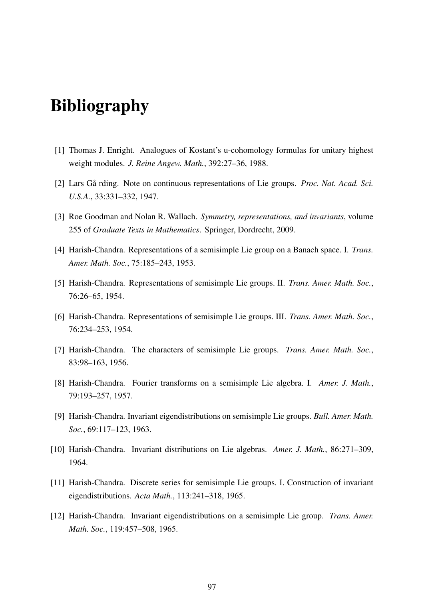# Bibliography

- <span id="page-97-2"></span>[1] Thomas J. Enright. Analogues of Kostant's u-cohomology formulas for unitary highest weight modules. *J. Reine Angew. Math.*, 392:27–36, 1988.
- [2] Lars Gå rding. Note on continuous representations of Lie groups. *Proc. Nat. Acad. Sci. U.S.A.*, 33:331–332, 1947.
- <span id="page-97-0"></span>[3] Roe Goodman and Nolan R. Wallach. *Symmetry, representations, and invariants*, volume 255 of *Graduate Texts in Mathematics*. Springer, Dordrecht, 2009.
- [4] Harish-Chandra. Representations of a semisimple Lie group on a Banach space. I. *Trans. Amer. Math. Soc.*, 75:185–243, 1953.
- [5] Harish-Chandra. Representations of semisimple Lie groups. II. *Trans. Amer. Math. Soc.*, 76:26–65, 1954.
- [6] Harish-Chandra. Representations of semisimple Lie groups. III. *Trans. Amer. Math. Soc.*, 76:234–253, 1954.
- [7] Harish-Chandra. The characters of semisimple Lie groups. *Trans. Amer. Math. Soc.*, 83:98–163, 1956.
- [8] Harish-Chandra. Fourier transforms on a semisimple Lie algebra. I. *Amer. J. Math.*, 79:193–257, 1957.
- [9] Harish-Chandra. Invariant eigendistributions on semisimple Lie groups. *Bull. Amer. Math. Soc.*, 69:117–123, 1963.
- [10] Harish-Chandra. Invariant distributions on Lie algebras. *Amer. J. Math.*, 86:271–309, 1964.
- [11] Harish-Chandra. Discrete series for semisimple Lie groups. I. Construction of invariant eigendistributions. *Acta Math.*, 113:241–318, 1965.
- <span id="page-97-1"></span>[12] Harish-Chandra. Invariant eigendistributions on a semisimple Lie group. *Trans. Amer. Math. Soc.*, 119:457–508, 1965.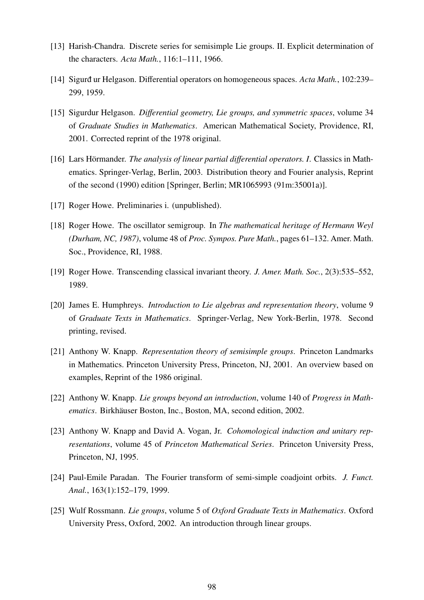- <span id="page-98-4"></span>[13] Harish-Chandra. Discrete series for semisimple Lie groups. II. Explicit determination of the characters. *Acta Math.*, 116:1–111, 1966.
- [14] Sigurd ur Helgason. Differential operators on homogeneous spaces. *Acta Math.*, 102:239– 299, 1959.
- [15] Sigurdur Helgason. *Di*ff*erential geometry, Lie groups, and symmetric spaces*, volume 34 of *Graduate Studies in Mathematics*. American Mathematical Society, Providence, RI, 2001. Corrected reprint of the 1978 original.
- [16] Lars Hörmander. *The analysis of linear partial di*ff*erential operators. I*. Classics in Mathematics. Springer-Verlag, Berlin, 2003. Distribution theory and Fourier analysis, Reprint of the second (1990) edition [Springer, Berlin; MR1065993 (91m:35001a)].
- <span id="page-98-5"></span>[17] Roger Howe. Preliminaries i. (unpublished).
- <span id="page-98-7"></span>[18] Roger Howe. The oscillator semigroup. In *The mathematical heritage of Hermann Weyl (Durham, NC, 1987)*, volume 48 of *Proc. Sympos. Pure Math.*, pages 61–132. Amer. Math. Soc., Providence, RI, 1988.
- <span id="page-98-6"></span>[19] Roger Howe. Transcending classical invariant theory. *J. Amer. Math. Soc.*, 2(3):535–552, 1989.
- [20] James E. Humphreys. *Introduction to Lie algebras and representation theory*, volume 9 of *Graduate Texts in Mathematics*. Springer-Verlag, New York-Berlin, 1978. Second printing, revised.
- <span id="page-98-3"></span>[21] Anthony W. Knapp. *Representation theory of semisimple groups*. Princeton Landmarks in Mathematics. Princeton University Press, Princeton, NJ, 2001. An overview based on examples, Reprint of the 1986 original.
- [22] Anthony W. Knapp. *Lie groups beyond an introduction*, volume 140 of *Progress in Mathematics*. Birkhäuser Boston, Inc., Boston, MA, second edition, 2002.
- <span id="page-98-0"></span>[23] Anthony W. Knapp and David A. Vogan, Jr. *Cohomological induction and unitary representations*, volume 45 of *Princeton Mathematical Series*. Princeton University Press, Princeton, NJ, 1995.
- <span id="page-98-2"></span>[24] Paul-Emile Paradan. The Fourier transform of semi-simple coadjoint orbits. *J. Funct. Anal.*, 163(1):152–179, 1999.
- <span id="page-98-1"></span>[25] Wulf Rossmann. *Lie groups*, volume 5 of *Oxford Graduate Texts in Mathematics*. Oxford University Press, Oxford, 2002. An introduction through linear groups.